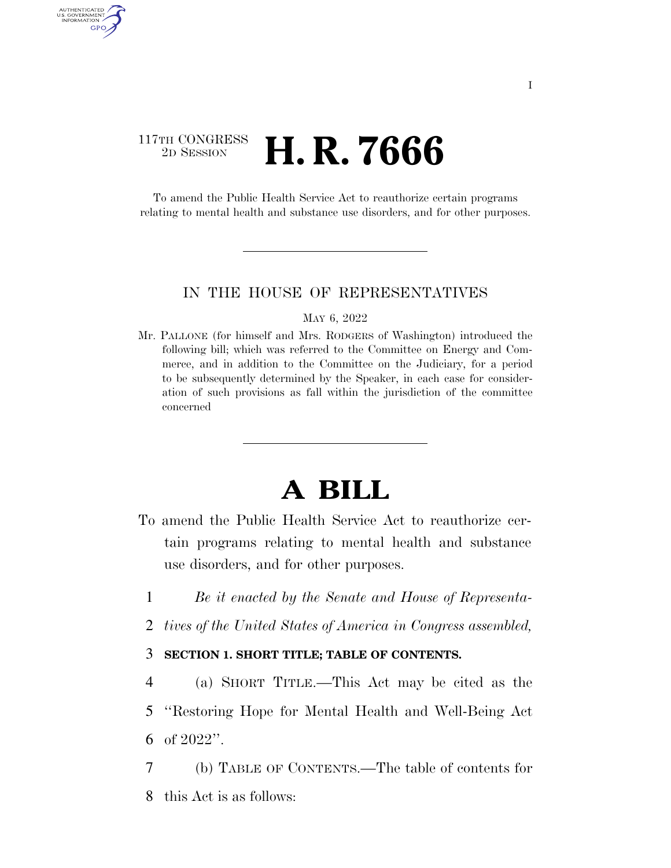### 117TH CONGRESS <sup>2D SESSION</sup> **H. R. 7666**

AUTHENTICATED U.S. GOVERNMENT GPO

> To amend the Public Health Service Act to reauthorize certain programs relating to mental health and substance use disorders, and for other purposes.

### IN THE HOUSE OF REPRESENTATIVES

### MAY 6, 2022

Mr. PALLONE (for himself and Mrs. RODGERS of Washington) introduced the following bill; which was referred to the Committee on Energy and Commerce, and in addition to the Committee on the Judiciary, for a period to be subsequently determined by the Speaker, in each case for consideration of such provisions as fall within the jurisdiction of the committee concerned

## **A BILL**

- To amend the Public Health Service Act to reauthorize certain programs relating to mental health and substance use disorders, and for other purposes.
	- 1 *Be it enacted by the Senate and House of Representa-*
	- 2 *tives of the United States of America in Congress assembled,*

### 3 **SECTION 1. SHORT TITLE; TABLE OF CONTENTS.**

4 (a) SHORT TITLE.—This Act may be cited as the 5 ''Restoring Hope for Mental Health and Well-Being Act 6 of 2022''.

7 (b) TABLE OF CONTENTS.—The table of contents for 8 this Act is as follows: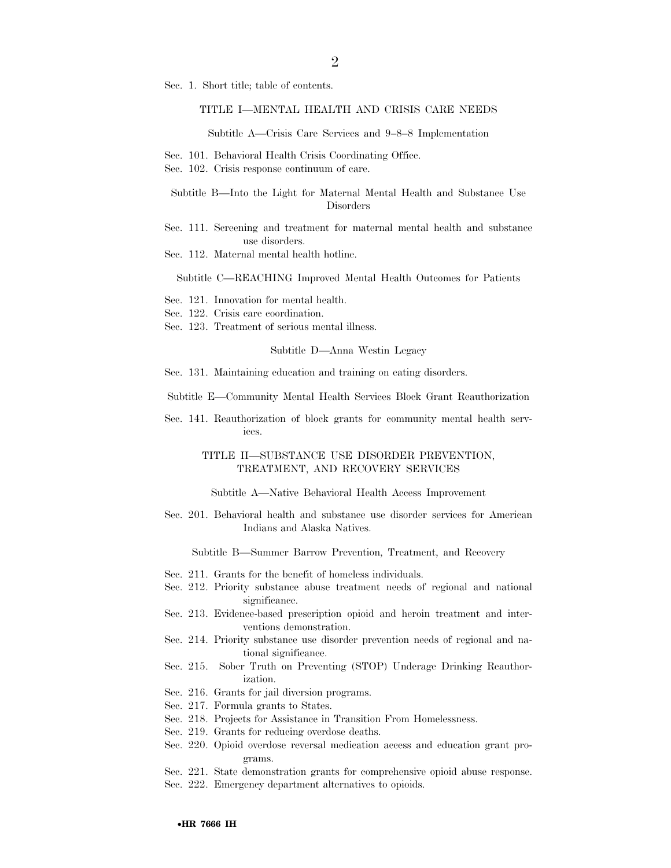Sec. 1. Short title; table of contents.

### TITLE I—MENTAL HEALTH AND CRISIS CARE NEEDS

Subtitle A—Crisis Care Services and 9–8–8 Implementation

- Sec. 101. Behavioral Health Crisis Coordinating Office.
- Sec. 102. Crisis response continuum of care.

### Subtitle B—Into the Light for Maternal Mental Health and Substance Use Disorders

- Sec. 111. Screening and treatment for maternal mental health and substance use disorders.
- Sec. 112. Maternal mental health hotline.

#### Subtitle C—REACHING Improved Mental Health Outcomes for Patients

- Sec. 121. Innovation for mental health.
- Sec. 122. Crisis care coordination.
- Sec. 123. Treatment of serious mental illness.

#### Subtitle D—Anna Westin Legacy

Sec. 131. Maintaining education and training on eating disorders.

Subtitle E—Community Mental Health Services Block Grant Reauthorization

Sec. 141. Reauthorization of block grants for community mental health services.

### TITLE II—SUBSTANCE USE DISORDER PREVENTION, TREATMENT, AND RECOVERY SERVICES

Subtitle A—Native Behavioral Health Access Improvement

Sec. 201. Behavioral health and substance use disorder services for American Indians and Alaska Natives.

Subtitle B—Summer Barrow Prevention, Treatment, and Recovery

- Sec. 211. Grants for the benefit of homeless individuals.
- Sec. 212. Priority substance abuse treatment needs of regional and national significance.
- Sec. 213. Evidence-based prescription opioid and heroin treatment and interventions demonstration.
- Sec. 214. Priority substance use disorder prevention needs of regional and national significance.
- Sec. 215. Sober Truth on Preventing (STOP) Underage Drinking Reauthorization.
- Sec. 216. Grants for jail diversion programs.
- Sec. 217. Formula grants to States.
- Sec. 218. Projects for Assistance in Transition From Homelessness.
- Sec. 219. Grants for reducing overdose deaths.
- Sec. 220. Opioid overdose reversal medication access and education grant programs.
- Sec. 221. State demonstration grants for comprehensive opioid abuse response.
- Sec. 222. Emergency department alternatives to opioids.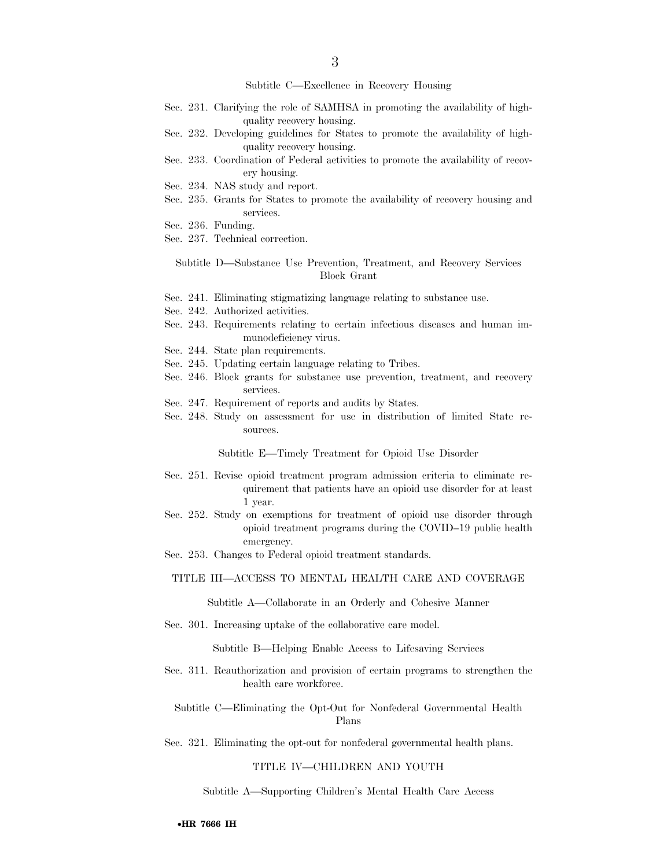Subtitle C—Excellence in Recovery Housing

- Sec. 231. Clarifying the role of SAMHSA in promoting the availability of highquality recovery housing.
- Sec. 232. Developing guidelines for States to promote the availability of highquality recovery housing.
- Sec. 233. Coordination of Federal activities to promote the availability of recovery housing.
- Sec. 234. NAS study and report.
- Sec. 235. Grants for States to promote the availability of recovery housing and services.
- Sec. 236. Funding.
- Sec. 237. Technical correction.

Subtitle D—Substance Use Prevention, Treatment, and Recovery Services Block Grant

- Sec. 241. Eliminating stigmatizing language relating to substance use.
- Sec. 242. Authorized activities.
- Sec. 243. Requirements relating to certain infectious diseases and human immunodeficiency virus.
- Sec. 244. State plan requirements.
- Sec. 245. Updating certain language relating to Tribes.
- Sec. 246. Block grants for substance use prevention, treatment, and recovery services.
- Sec. 247. Requirement of reports and audits by States.
- Sec. 248. Study on assessment for use in distribution of limited State resources.

Subtitle E—Timely Treatment for Opioid Use Disorder

- Sec. 251. Revise opioid treatment program admission criteria to eliminate requirement that patients have an opioid use disorder for at least 1 year.
- Sec. 252. Study on exemptions for treatment of opioid use disorder through opioid treatment programs during the COVID–19 public health emergency.
- Sec. 253. Changes to Federal opioid treatment standards.

#### TITLE III—ACCESS TO MENTAL HEALTH CARE AND COVERAGE

Subtitle A—Collaborate in an Orderly and Cohesive Manner

Sec. 301. Increasing uptake of the collaborative care model.

Subtitle B—Helping Enable Access to Lifesaving Services

Sec. 311. Reauthorization and provision of certain programs to strengthen the health care workforce.

Subtitle C—Eliminating the Opt-Out for Nonfederal Governmental Health Plans

Sec. 321. Eliminating the opt-out for nonfederal governmental health plans.

#### TITLE IV—CHILDREN AND YOUTH

Subtitle A—Supporting Children's Mental Health Care Access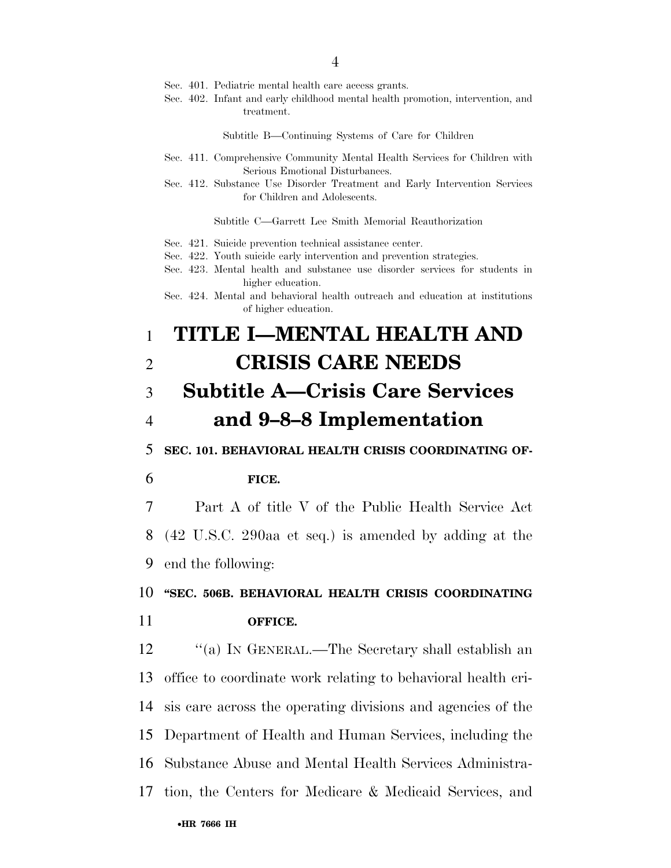- Sec. 401. Pediatric mental health care access grants.
- Sec. 402. Infant and early childhood mental health promotion, intervention, and treatment.

Subtitle B—Continuing Systems of Care for Children

- Sec. 411. Comprehensive Community Mental Health Services for Children with Serious Emotional Disturbances.
- Sec. 412. Substance Use Disorder Treatment and Early Intervention Services for Children and Adolescents.

Subtitle C—Garrett Lee Smith Memorial Reauthorization

- Sec. 421. Suicide prevention technical assistance center.
- Sec. 422. Youth suicide early intervention and prevention strategies.
- Sec. 423. Mental health and substance use disorder services for students in higher education.

### 1 **TITLE I—MENTAL HEALTH AND**  2 **CRISIS CARE NEEDS**  3 **Subtitle A—Crisis Care Services**

# 4 **and 9–8–8 Implementation**

5 **SEC. 101. BEHAVIORAL HEALTH CRISIS COORDINATING OF-**

#### 6 **FICE.**

7 Part A of title V of the Public Health Service Act 8 (42 U.S.C. 290aa et seq.) is amended by adding at the 9 end the following:

### 10 **''SEC. 506B. BEHAVIORAL HEALTH CRISIS COORDINATING**  11 **OFFICE.**

 ''(a) IN GENERAL.—The Secretary shall establish an office to coordinate work relating to behavioral health cri- sis care across the operating divisions and agencies of the Department of Health and Human Services, including the Substance Abuse and Mental Health Services Administra-tion, the Centers for Medicare & Medicaid Services, and

Sec. 424. Mental and behavioral health outreach and education at institutions of higher education.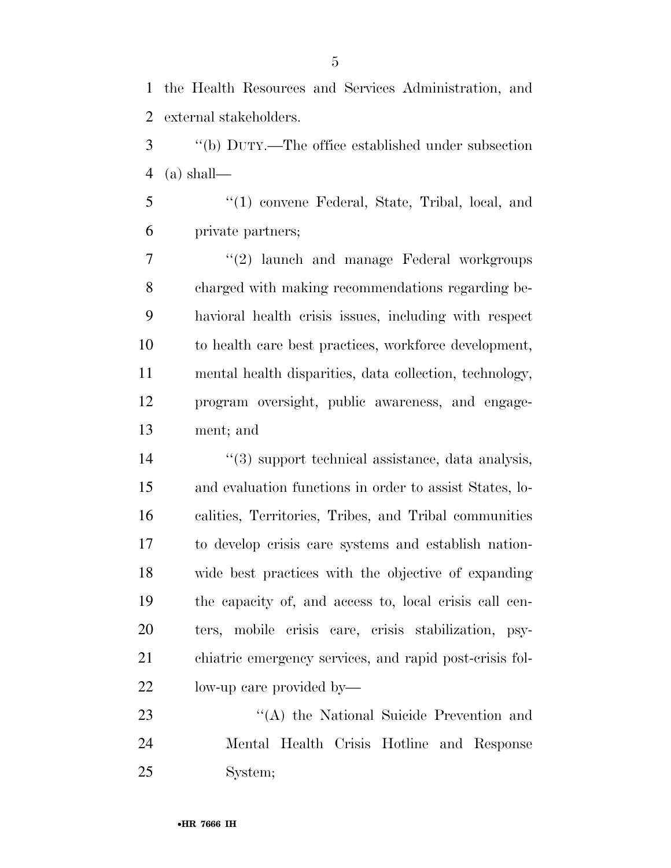the Health Resources and Services Administration, and external stakeholders.

 ''(b) DUTY.—The office established under subsection (a) shall—

 ''(1) convene Federal, State, Tribal, local, and private partners;

7 ''(2) launch and manage Federal workgroups charged with making recommendations regarding be- havioral health crisis issues, including with respect to health care best practices, workforce development, mental health disparities, data collection, technology, program oversight, public awareness, and engage-ment; and

 $\frac{1}{3}$  support technical assistance, data analysis, and evaluation functions in order to assist States, lo- calities, Territories, Tribes, and Tribal communities to develop crisis care systems and establish nation- wide best practices with the objective of expanding the capacity of, and access to, local crisis call cen- ters, mobile crisis care, crisis stabilization, psy- chiatric emergency services, and rapid post-crisis fol-low-up care provided by—

23 ''(A) the National Suicide Prevention and Mental Health Crisis Hotline and Response System;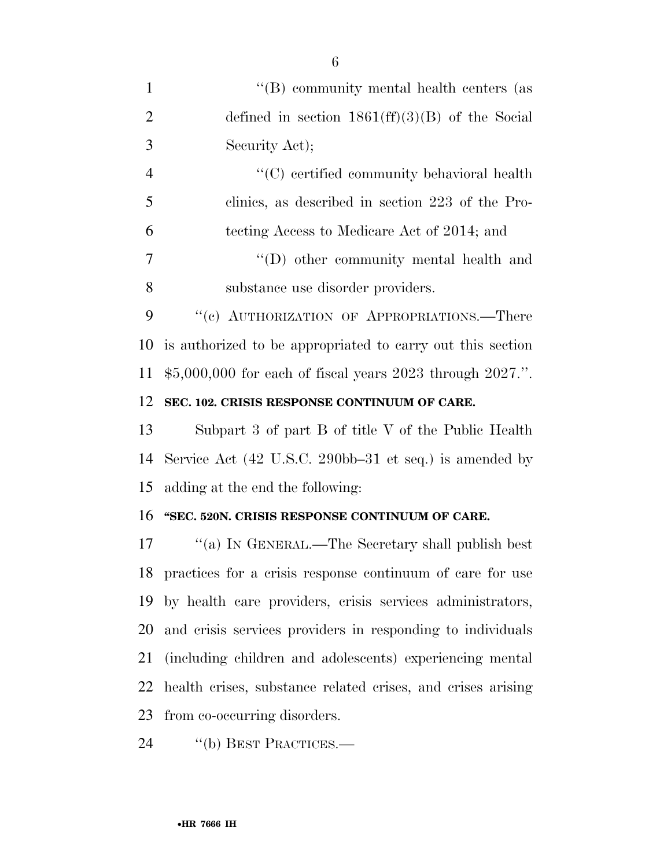| $\mathbf{1}$   | "(B) community mental health centers (as                     |
|----------------|--------------------------------------------------------------|
| $\overline{2}$ | defined in section $1861(ff)(3)(B)$ of the Social            |
| 3              | Security Act);                                               |
| $\overline{4}$ | "(C) certified community behavioral health                   |
| 5              | clinics, as described in section 223 of the Pro-             |
| 6              | tecting Access to Medicare Act of 2014; and                  |
| $\overline{7}$ | "(D) other community mental health and                       |
| 8              | substance use disorder providers.                            |
| 9              | "(c) AUTHORIZATION OF APPROPRIATIONS.—There                  |
| 10             | is authorized to be appropriated to carry out this section   |
| 11             | $$5,000,000$ for each of fiscal years 2023 through 2027.".   |
| 12             | SEC. 102. CRISIS RESPONSE CONTINUUM OF CARE.                 |
| 13             | Subpart 3 of part B of title V of the Public Health          |
| 14             | Service Act (42 U.S.C. 290bb–31 et seq.) is amended by       |
| 15             | adding at the end the following:                             |
| 16             | "SEC. 520N. CRISIS RESPONSE CONTINUUM OF CARE.               |
| 17             | "(a) IN GENERAL.—The Secretary shall publish best            |
|                | 18 practices for a crisis response continuum of care for use |
| 19             | by health care providers, crisis services administrators,    |
| 20             | and crisis services providers in responding to individuals   |
| 21             | (including children and adolescents) experiencing mental     |
| 22             | health crises, substance related crises, and crises arising  |
| 23             | from co-occurring disorders.                                 |
|                |                                                              |

24 "(b) BEST PRACTICES.—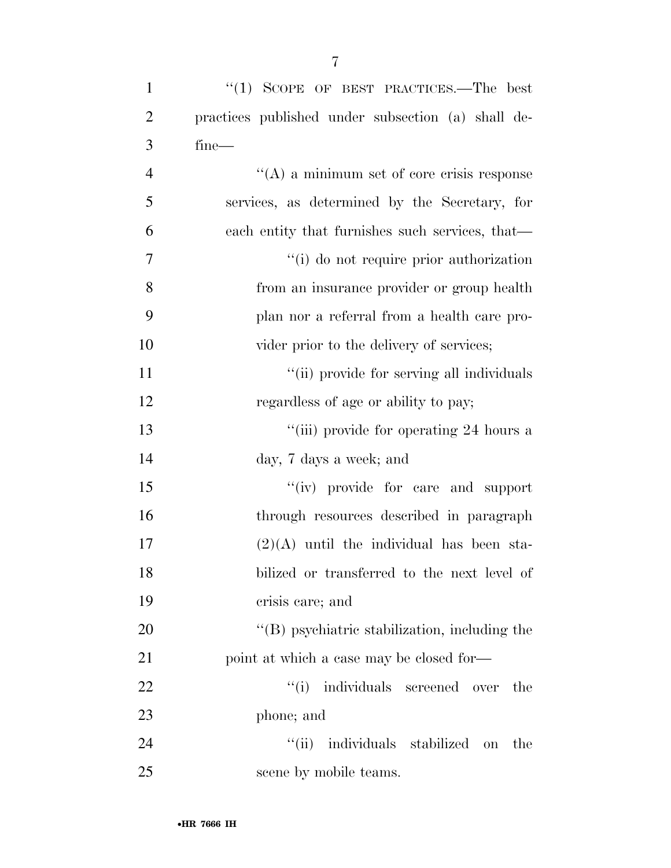| $\mathbf{1}$   | "(1) SCOPE OF BEST PRACTICES.—The best               |
|----------------|------------------------------------------------------|
| $\overline{2}$ | practices published under subsection (a) shall de-   |
| 3              | $fine-$                                              |
| $\overline{4}$ | $\lq\lq$ (A) a minimum set of core crisis response   |
| 5              | services, as determined by the Secretary, for        |
| 6              | each entity that furnishes such services, that—      |
| 7              | "(i) do not require prior authorization              |
| 8              | from an insurance provider or group health           |
| 9              | plan nor a referral from a health care pro-          |
| 10             | vider prior to the delivery of services;             |
| 11             | "(ii) provide for serving all individuals            |
| 12             | regardless of age or ability to pay;                 |
| 13             | "(iii) provide for operating 24 hours a              |
| 14             | day, 7 days a week; and                              |
| 15             | "(iv) provide for care and support                   |
| 16             | through resources described in paragraph             |
| 17             | $(2)(A)$ until the individual has been sta-          |
| 18             | bilized or transferred to the next level of          |
| 19             | crisis care; and                                     |
| 20             | $\lq\lq$ symmetric stabilization, including the      |
| 21             | point at which a case may be closed for—             |
| 22             | "(i) individuals screened over<br>the                |
| 23             | phone; and                                           |
| 24             | $\lq\lq$ (ii)<br>individuals stabilized<br>the<br>on |
| 25             | scene by mobile teams.                               |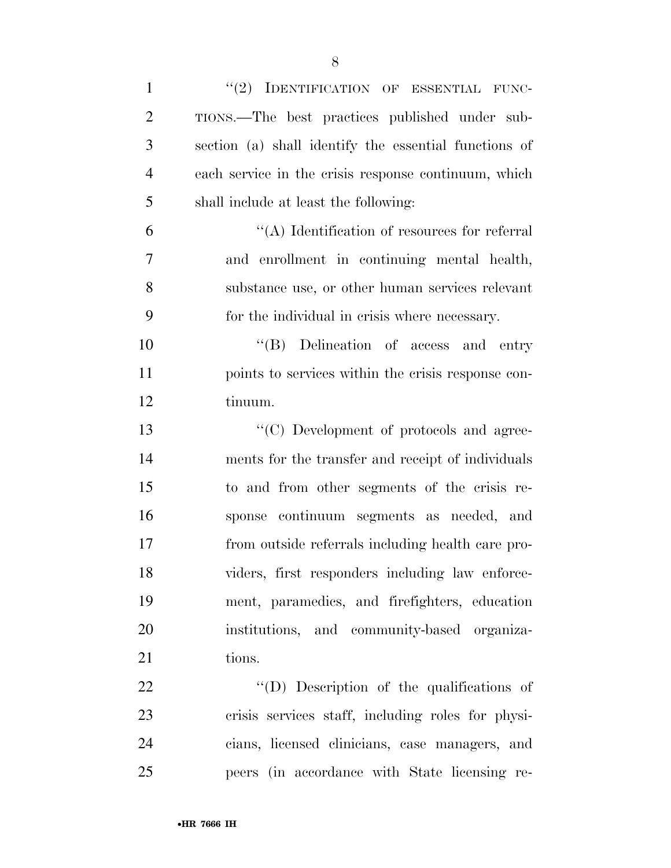| $\mathbf{1}$   | "(2) IDENTIFICATION OF ESSENTIAL FUNC-                |
|----------------|-------------------------------------------------------|
| $\overline{2}$ | TIONS.—The best practices published under sub-        |
| 3              | section (a) shall identify the essential functions of |
| $\overline{4}$ | each service in the crisis response continuum, which  |
| 5              | shall include at least the following:                 |
| 6              | $\lq\lq$ . Identification of resources for referral   |
| 7              | and enrollment in continuing mental health,           |
| 8              | substance use, or other human services relevant       |
| 9              | for the individual in crisis where necessary.         |
| 10             | "(B) Delineation of access and entry                  |
| 11             | points to services within the crisis response con-    |
| 12             | tinuum.                                               |
| 13             | "(C) Development of protocols and agree-              |
| 14             | ments for the transfer and receipt of individuals     |
| 15             | to and from other segments of the crisis re-          |
| 16             | sponse continuum segments as needed, and              |
| 17             | from outside referrals including health care pro-     |
| 18             | viders, first responders including law enforce-       |
| 19             | ment, paramedics, and firefighters, education         |
| 20             | institutions, and community-based organiza-           |
| 21             | tions.                                                |
| 22             | "(D) Description of the qualifications of             |
| 23             | crisis services staff, including roles for physi-     |
| 24             | cians, licensed clinicians, case managers, and        |
| 25             | peers (in accordance with State licensing re-         |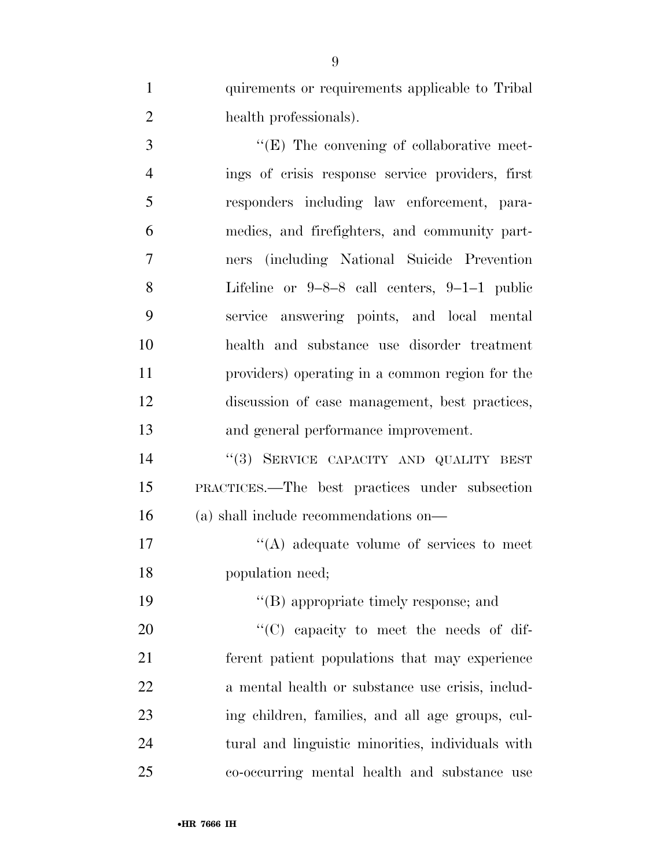quirements or requirements applicable to Tribal health professionals).

 $\cdot$  (E) The convening of collaborative meet- ings of crisis response service providers, first responders including law enforcement, para- medics, and firefighters, and community part- ners (including National Suicide Prevention Lifeline or 9–8–8 call centers, 9–1–1 public service answering points, and local mental health and substance use disorder treatment providers) operating in a common region for the discussion of case management, best practices, and general performance improvement.

14 "(3) SERVICE CAPACITY AND QUALITY BEST PRACTICES.—The best practices under subsection (a) shall include recommendations on—

17  $\langle (A) \rangle$  adequate volume of services to meet population need;

19 ''(B) appropriate timely response; and  $\text{``(C)}$  capacity to meet the needs of dif- ferent patient populations that may experience a mental health or substance use crisis, includ- ing children, families, and all age groups, cul- tural and linguistic minorities, individuals with co-occurring mental health and substance use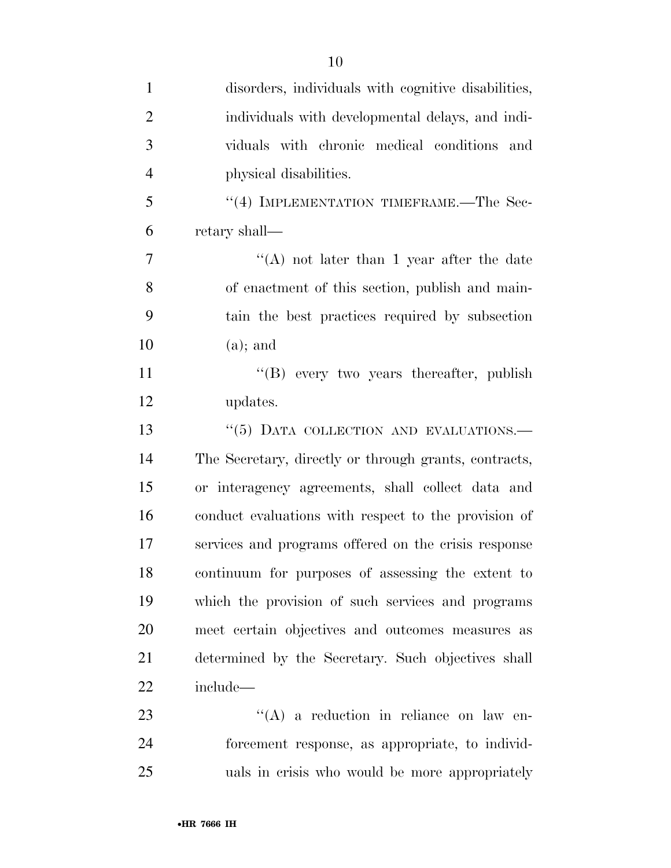| $\mathbf{1}$   | disorders, individuals with cognitive disabilities,   |
|----------------|-------------------------------------------------------|
| $\overline{2}$ | individuals with developmental delays, and indi-      |
| 3              | viduals with chronic medical conditions<br>and        |
| $\overline{4}$ | physical disabilities.                                |
| 5              | "(4) IMPLEMENTATION TIMEFRAME.—The Sec-               |
| 6              | retary shall—                                         |
| 7              | "(A) not later than 1 year after the date             |
| 8              | of enactment of this section, publish and main-       |
| 9              | tain the best practices required by subsection        |
| 10             | $(a)$ ; and                                           |
| 11             | $\lq\lq (B)$ every two years thereafter, publish      |
| 12             | updates.                                              |
| 13             | "(5) DATA COLLECTION AND EVALUATIONS.-                |
| 14             | The Secretary, directly or through grants, contracts, |
| 15             | or interagency agreements, shall collect data and     |
| 16             | conduct evaluations with respect to the provision of  |
| 17             | services and programs offered on the crisis response  |
| 18             | continuum for purposes of assessing the extent to     |
| 19             | which the provision of such services and programs     |
| 20             | meet certain objectives and outcomes measures as      |
| 21             | determined by the Secretary. Such objectives shall    |
| 22             | include-                                              |
| 23             | $\lq\lq$ a reduction in reliance on law en-           |
| 24             | forcement response, as appropriate, to individ-       |
| 25             | uals in crisis who would be more appropriately        |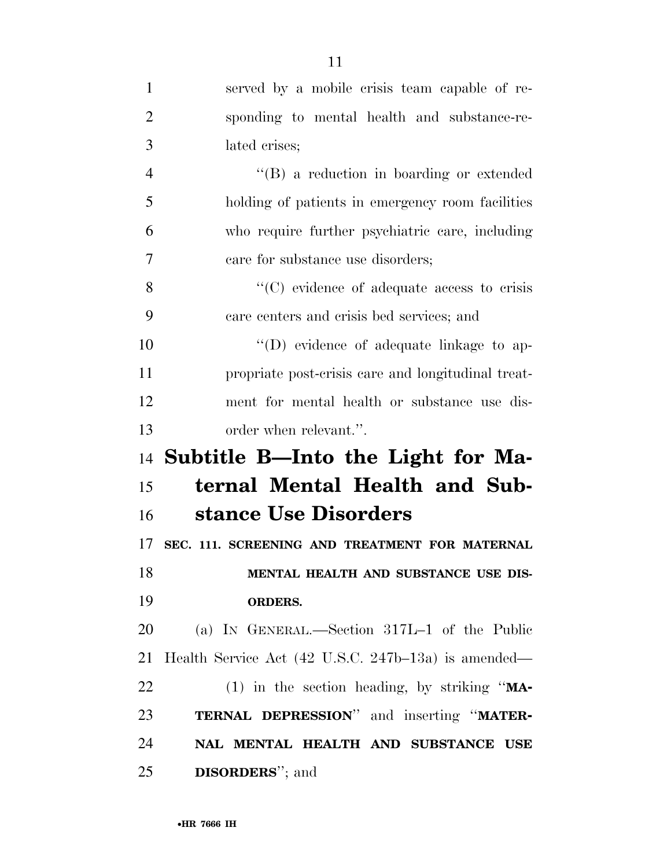| $\mathbf{1}$   | served by a mobile crisis team capable of re-       |
|----------------|-----------------------------------------------------|
| $\overline{2}$ | sponding to mental health and substance-re-         |
| 3              | lated crises;                                       |
| $\overline{4}$ | "(B) a reduction in boarding or extended            |
| 5              | holding of patients in emergency room facilities    |
| 6              | who require further psychiatric care, including     |
| 7              | care for substance use disorders;                   |
| 8              | "(C) evidence of adequate access to crisis          |
| 9              | care centers and crisis bed services; and           |
| 10             | $\lq\lq$ (D) evidence of adequate linkage to ap-    |
| 11             | propriate post-crisis care and longitudinal treat-  |
| 12             | ment for mental health or substance use dis-        |
| 13             | order when relevant.".                              |
|                | 14 Subtitle B—Into the Light for Ma-                |
| 15             | ternal Mental Health and Sub-                       |
| 16             | stance Use Disorders                                |
| 17             | SEC. 111. SCREENING AND TREATMENT FOR MATERNAL      |
| 18             | MENTAL HEALTH AND SUBSTANCE USE DIS-                |
| 19             | ORDERS.                                             |
| 20             | (a) IN GENERAL.—Section 317L-1 of the Public        |
| 21             | Health Service Act (42 U.S.C. 247b–13a) is amended— |
| 22             | (1) in the section heading, by striking " $MA$ -    |
| 23             | TERNAL DEPRESSION" and inserting "MATER-            |
| 24             | NAL MENTAL HEALTH AND SUBSTANCE USE                 |
| 25             | <b>DISORDERS</b> "; and                             |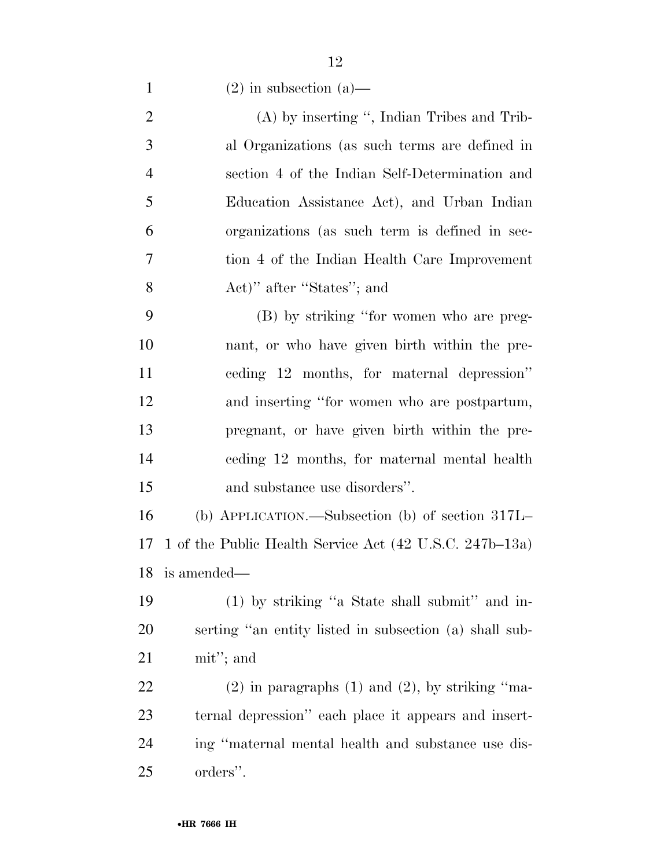1 (2) in subsection (a)—

 (A) by inserting '', Indian Tribes and Trib- al Organizations (as such terms are defined in section 4 of the Indian Self-Determination and Education Assistance Act), and Urban Indian organizations (as such term is defined in sec- tion 4 of the Indian Health Care Improvement Act)'' after ''States''; and

 (B) by striking ''for women who are preg- nant, or who have given birth within the pre- ceding 12 months, for maternal depression'' and inserting ''for women who are postpartum, pregnant, or have given birth within the pre- ceding 12 months, for maternal mental health and substance use disorders''.

 (b) APPLICATION.—Subsection (b) of section 317L– 1 of the Public Health Service Act (42 U.S.C. 247b–13a) is amended—

 (1) by striking ''a State shall submit'' and in- serting ''an entity listed in subsection (a) shall sub-mit''; and

22 (2) in paragraphs (1) and (2), by striking "ma- ternal depression'' each place it appears and insert- ing ''maternal mental health and substance use dis-orders''.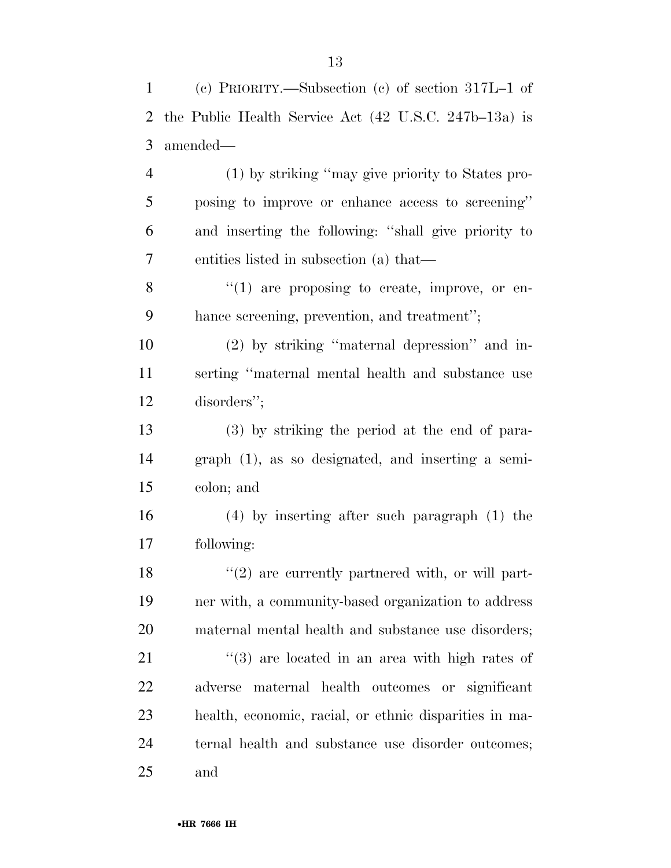| $\mathbf{1}$   | (c) PRIORITY.—Subsection (c) of section $317L-1$ of              |
|----------------|------------------------------------------------------------------|
| 2              | the Public Health Service Act $(42 \text{ U.S.C. } 247b-13a)$ is |
| 3              | amended—                                                         |
| $\overline{4}$ | (1) by striking "may give priority to States pro-                |
| 5              | posing to improve or enhance access to screening"                |
| 6              | and inserting the following: "shall give priority to             |
| 7              | entities listed in subsection (a) that—                          |
| 8              | $\lq(1)$ are proposing to create, improve, or en-                |
| 9              | hance screening, prevention, and treatment";                     |
| 10             | $(2)$ by striking "maternal depression" and in-                  |
| 11             | serting "maternal mental health and substance use                |
| 12             | disorders";                                                      |
| 13             | (3) by striking the period at the end of para-                   |
| 14             | $graph(1)$ , as so designated, and inserting a semi-             |
| 15             | colon; and                                                       |
| 16             | $(4)$ by inserting after such paragraph $(1)$ the                |
| 17             | following:                                                       |
| 18             | $\lq(2)$ are currently partnered with, or will part-             |
| 19             | ner with, a community-based organization to address              |
| 20             | maternal mental health and substance use disorders;              |
| 21             | $(3)$ are located in an area with high rates of                  |
| 22             | maternal health outcomes or significant<br>adverse               |
| 23             | health, economic, racial, or ethnic disparities in ma-           |
| 24             | ternal health and substance use disorder outcomes;               |
| 25             | and                                                              |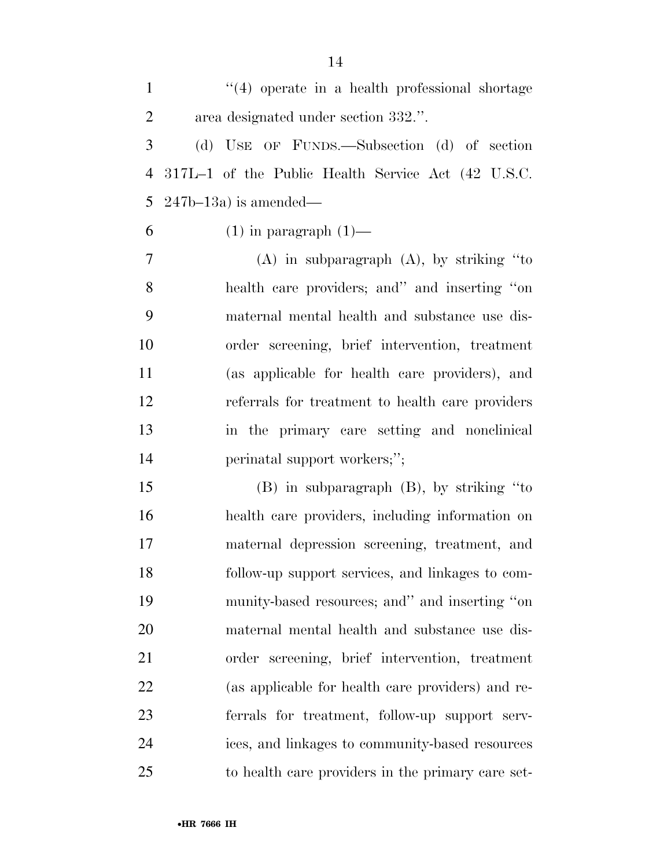| $\mathbf{1}$   | "(4) operate in a health professional shortage     |
|----------------|----------------------------------------------------|
| $\overline{2}$ | area designated under section 332.".               |
| 3              | (d) USE OF FUNDS.—Subsection (d) of section        |
| 4              | 317L-1 of the Public Health Service Act (42 U.S.C. |
| 5              | $247b-13a$ is amended—                             |
| 6              | $(1)$ in paragraph $(1)$ —                         |
| 7              | $(A)$ in subparagraph $(A)$ , by striking "to      |
| 8              | health care providers; and inserting "on           |
| 9              | maternal mental health and substance use dis-      |
| 10             | order screening, brief intervention, treatment     |
| 11             | (as applicable for health care providers), and     |
| 12             | referrals for treatment to health care providers   |
| 13             | in the primary care setting and nonclinical        |
| 14             | perinatal support workers;";                       |
| 15             | $(B)$ in subparagraph $(B)$ , by striking "to      |
| 16             | health care providers, including information on    |
| 17             | maternal depression screening, treatment, and      |
| 18             | follow-up support services, and linkages to com-   |
| 19             | munity-based resources; and" and inserting "on     |
| 20             | maternal mental health and substance use dis-      |
| 21             | order screening, brief intervention, treatment     |
| 22             | (as applicable for health care providers) and re-  |
| 23             | ferrals for treatment, follow-up support serv-     |
| 24             | ices, and linkages to community-based resources    |
| 25             | to health care providers in the primary care set-  |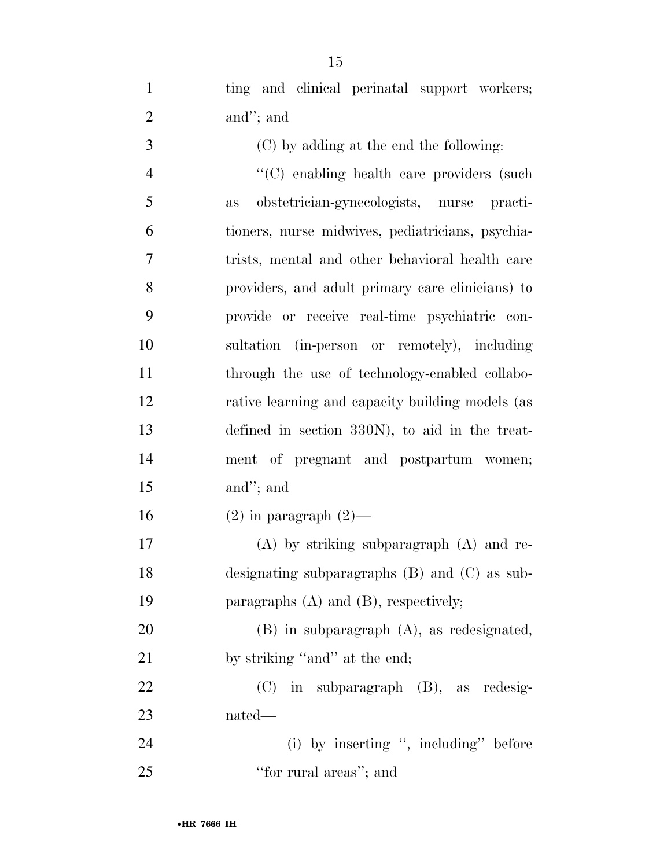1 ting and clinical perinatal support workers; and''; and

 (C) by adding at the end the following: ''(C) enabling health care providers (such as obstetrician-gynecologists, nurse practi- tioners, nurse midwives, pediatricians, psychia- trists, mental and other behavioral health care providers, and adult primary care clinicians) to provide or receive real-time psychiatric con- sultation (in-person or remotely), including through the use of technology-enabled collabo-12 rative learning and capacity building models (as defined in section 330N), to aid in the treat- ment of pregnant and postpartum women; and''; and

16 (2) in paragraph  $(2)$ —

 (A) by striking subparagraph (A) and re- designating subparagraphs (B) and (C) as sub-19 paragraphs (A) and (B), respectively;

 (B) in subparagraph (A), as redesignated, 21 by striking "and" at the end;

 (C) in subparagraph (B), as redesig-nated—

24 (i) by inserting ", including" before 25 "for rural areas"; and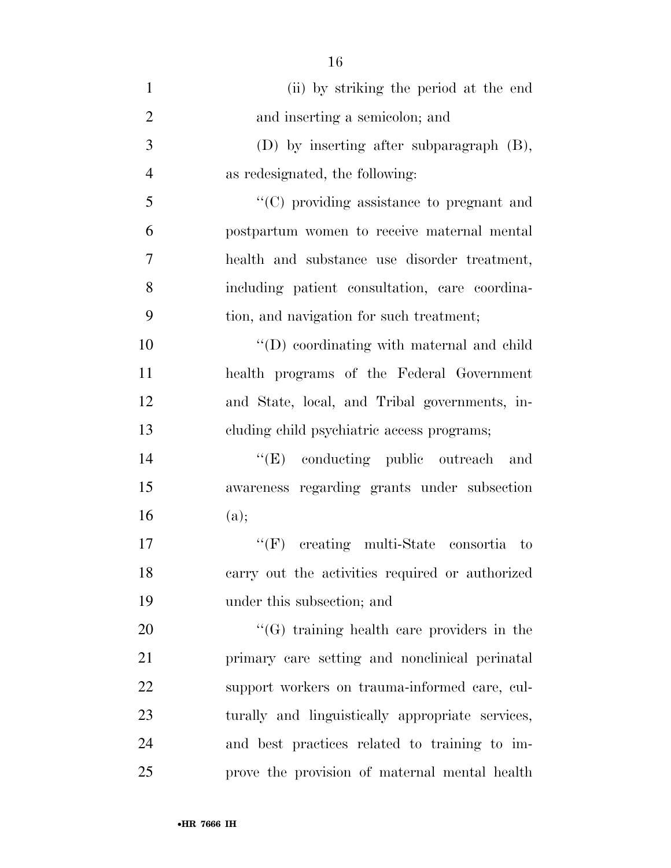| $\mathbf{1}$   | (ii) by striking the period at the end            |
|----------------|---------------------------------------------------|
| $\overline{2}$ | and inserting a semicolon; and                    |
| 3              | (D) by inserting after subparagraph (B),          |
| $\overline{4}$ | as redesignated, the following:                   |
| 5              | "(C) providing assistance to pregnant and         |
| 6              | postpartum women to receive maternal mental       |
| $\overline{7}$ | health and substance use disorder treatment,      |
| 8              | including patient consultation, care coordina-    |
| 9              | tion, and navigation for such treatment;          |
| 10             | "(D) coordinating with maternal and child         |
| 11             | health programs of the Federal Government         |
| 12             | and State, local, and Tribal governments, in-     |
| 13             | cluding child psychiatric access programs;        |
| 14             | "(E) conducting public outreach and               |
| 15             | awareness regarding grants under subsection       |
| 16             | (a);                                              |
| 17             | $\lq\lq(F)$ creating multi-State consortia to     |
| 18             | carry out the activities required or authorized   |
| 19             | under this subsection; and                        |
| 20             | $\lq\lq(G)$ training health care providers in the |
| 21             | primary care setting and nonclinical perinatal    |
| 22             | support workers on trauma-informed care, cul-     |
| 23             | turally and linguistically appropriate services,  |
| 24             | and best practices related to training to im-     |
| 25             | prove the provision of maternal mental health     |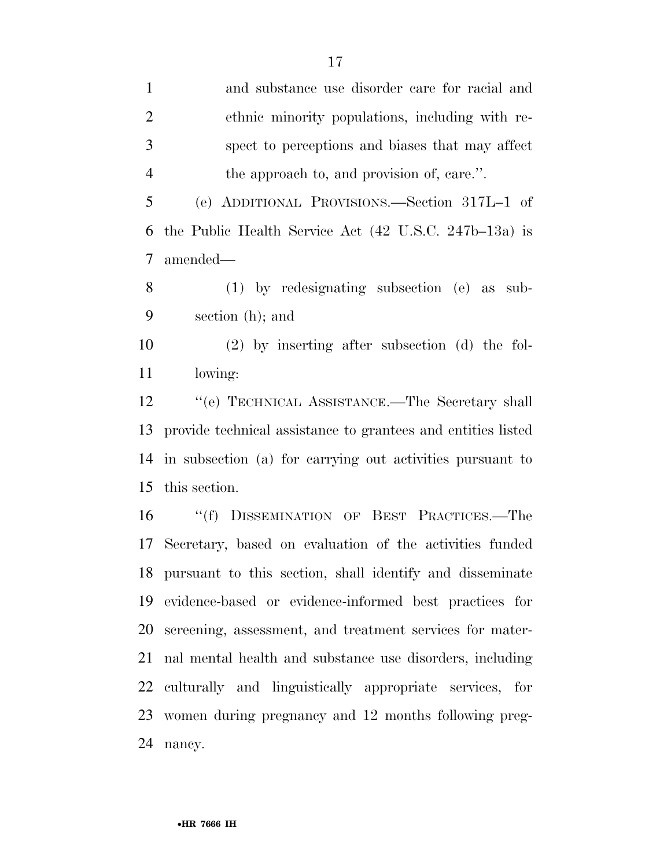and substance use disorder care for racial and ethnic minority populations, including with re- spect to perceptions and biases that may affect the approach to, and provision of, care.''. (e) ADDITIONAL PROVISIONS.—Section 317L–1 of the Public Health Service Act (42 U.S.C. 247b–13a) is amended— (1) by redesignating subsection (e) as sub- section (h); and (2) by inserting after subsection (d) the fol- lowing: 12 "'(e) TECHNICAL ASSISTANCE.—The Secretary shall provide technical assistance to grantees and entities listed in subsection (a) for carrying out activities pursuant to this section. ''(f) DISSEMINATION OF BEST PRACTICES.—The Secretary, based on evaluation of the activities funded pursuant to this section, shall identify and disseminate evidence-based or evidence-informed best practices for

 screening, assessment, and treatment services for mater- nal mental health and substance use disorders, including culturally and linguistically appropriate services, for women during pregnancy and 12 months following preg-nancy.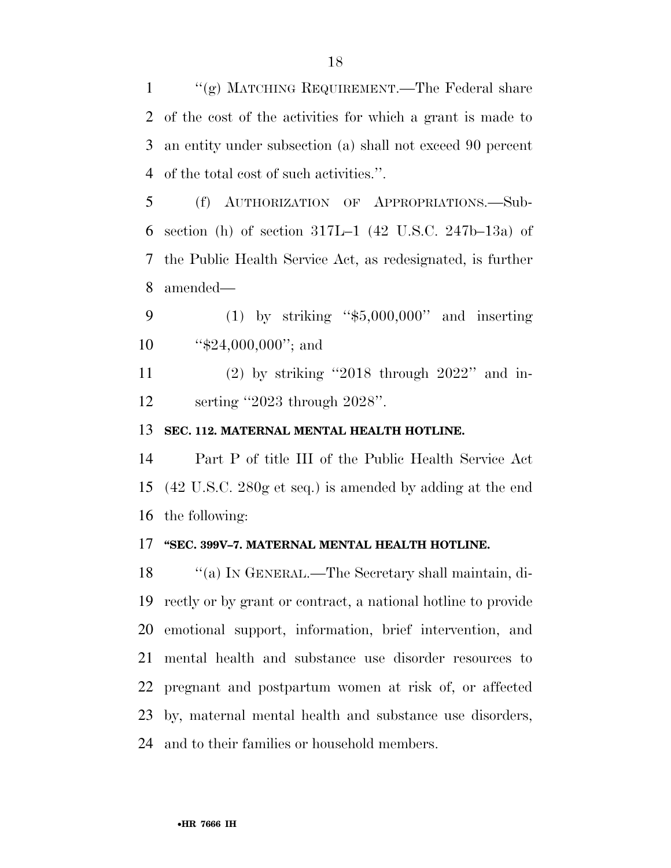''(g) MATCHING REQUIREMENT.—The Federal share of the cost of the activities for which a grant is made to an entity under subsection (a) shall not exceed 90 percent of the total cost of such activities.''.

- (f) AUTHORIZATION OF APPROPRIATIONS.—Sub- section (h) of section 317L–1 (42 U.S.C. 247b–13a) of the Public Health Service Act, as redesignated, is further amended—
- (1) by striking ''\$5,000,000'' and inserting 10 "\$24,000,000"; and
- (2) by striking ''2018 through 2022'' and in-serting ''2023 through 2028''.

### **SEC. 112. MATERNAL MENTAL HEALTH HOTLINE.**

 Part P of title III of the Public Health Service Act (42 U.S.C. 280g et seq.) is amended by adding at the end the following:

### **''SEC. 399V–7. MATERNAL MENTAL HEALTH HOTLINE.**

 ''(a) IN GENERAL.—The Secretary shall maintain, di- rectly or by grant or contract, a national hotline to provide emotional support, information, brief intervention, and mental health and substance use disorder resources to pregnant and postpartum women at risk of, or affected by, maternal mental health and substance use disorders, and to their families or household members.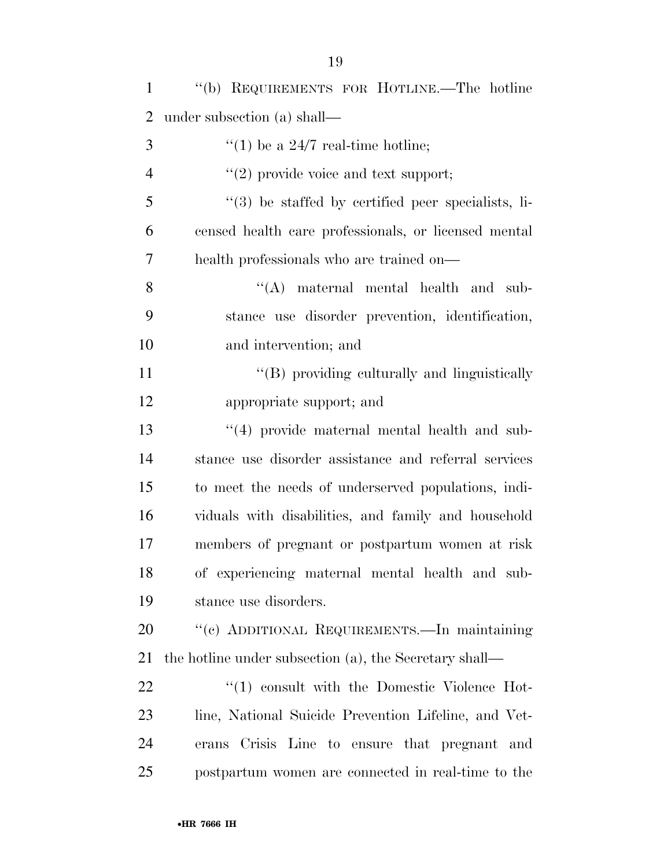| $\mathbf{1}$   | "(b) REQUIREMENTS FOR HOTLINE.—The hotline             |
|----------------|--------------------------------------------------------|
| $\overline{2}$ | under subsection (a) shall—                            |
| 3              | "(1) be a $24/7$ real-time hotline;                    |
| 4              | $\lq(2)$ provide voice and text support;               |
| 5              | $\lq(3)$ be staffed by certified peer specialists, li- |
| 6              | censed health care professionals, or licensed mental   |
| 7              | health professionals who are trained on—               |
| 8              | $\lq\lq$ maternal mental health and sub-               |
| 9              | stance use disorder prevention, identification,        |
| 10             | and intervention; and                                  |
| 11             | "(B) providing culturally and linguistically           |
| 12             | appropriate support; and                               |
| 13             | "(4) provide maternal mental health and sub-           |
| 14             | stance use disorder assistance and referral services   |
| 15             | to meet the needs of underserved populations, indi-    |
| 16             | viduals with disabilities, and family and household    |
| 17             | members of pregnant or postpartum women at risk        |
| 18             | of experiencing maternal mental health and sub-        |
| 19             | stance use disorders.                                  |
| 20             | "(c) ADDITIONAL REQUIREMENTS.—In maintaining           |
| 21             | the hotline under subsection (a), the Secretary shall— |
| 22             | $\lq(1)$ consult with the Domestic Violence Hot-       |
| 23             | line, National Suicide Prevention Lifeline, and Vet-   |
| 24             | Crisis Line to ensure that pregnant and<br>erans       |
| 25             | postpartum women are connected in real-time to the     |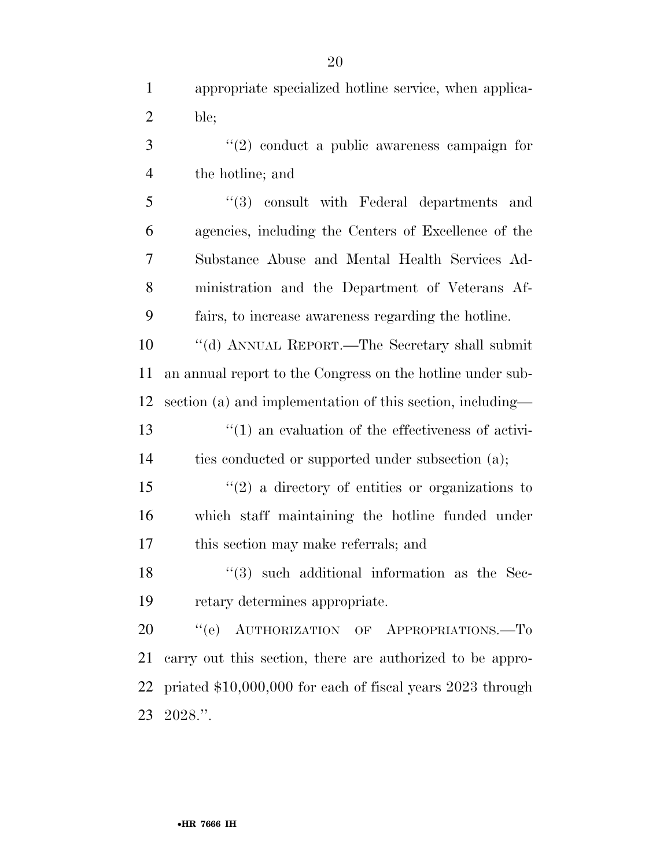appropriate specialized hotline service, when applica-ble;

 ''(2) conduct a public awareness campaign for the hotline; and

 ''(3) consult with Federal departments and agencies, including the Centers of Excellence of the Substance Abuse and Mental Health Services Ad- ministration and the Department of Veterans Af-fairs, to increase awareness regarding the hotline.

 ''(d) ANNUAL REPORT.—The Secretary shall submit an annual report to the Congress on the hotline under sub- section (a) and implementation of this section, including—  $\frac{1}{2}$  (1) an evaluation of the effectiveness of activi-

ties conducted or supported under subsection (a);

 ''(2) a directory of entities or organizations to which staff maintaining the hotline funded under this section may make referrals; and

 ''(3) such additional information as the Sec-retary determines appropriate.

20 "(e) AUTHORIZATION OF APPROPRIATIONS.-To carry out this section, there are authorized to be appro- priated \$10,000,000 for each of fiscal years 2023 through 2028.''.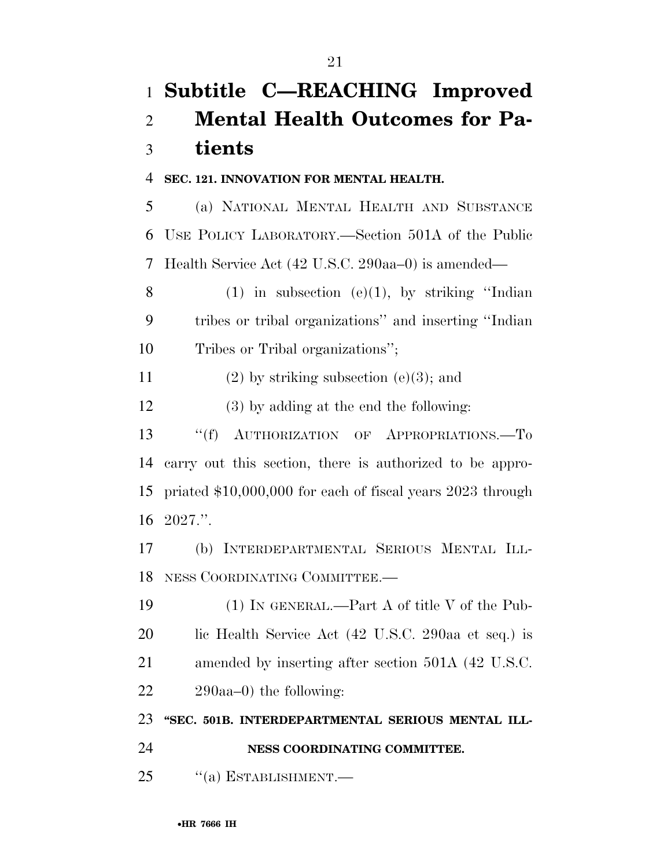### **Subtitle C—REACHING Improved Mental Health Outcomes for Pa-tients**

### **SEC. 121. INNOVATION FOR MENTAL HEALTH.**

 (a) NATIONAL MENTAL HEALTH AND SUBSTANCE USE POLICY LABORATORY.—Section 501A of the Public Health Service Act (42 U.S.C. 290aa–0) is amended—

8 (1) in subsection  $(e)(1)$ , by striking "Indian tribes or tribal organizations'' and inserting ''Indian Tribes or Tribal organizations'';

11 (2) by striking subsection (e)(3); and

(3) by adding at the end the following:

 ''(f) AUTHORIZATION OF APPROPRIATIONS.—To carry out this section, there is authorized to be appro- priated \$10,000,000 for each of fiscal years 2023 through 2027.''.

 (b) INTERDEPARTMENTAL SERIOUS MENTAL ILL-NESS COORDINATING COMMITTEE.—

 (1) IN GENERAL.—Part A of title V of the Pub- lic Health Service Act (42 U.S.C. 290aa et seq.) is amended by inserting after section 501A (42 U.S.C. 290aa–0) the following:

**''SEC. 501B. INTERDEPARTMENTAL SERIOUS MENTAL ILL-**

**NESS COORDINATING COMMITTEE.** 

25 "(a) ESTABLISHMENT.—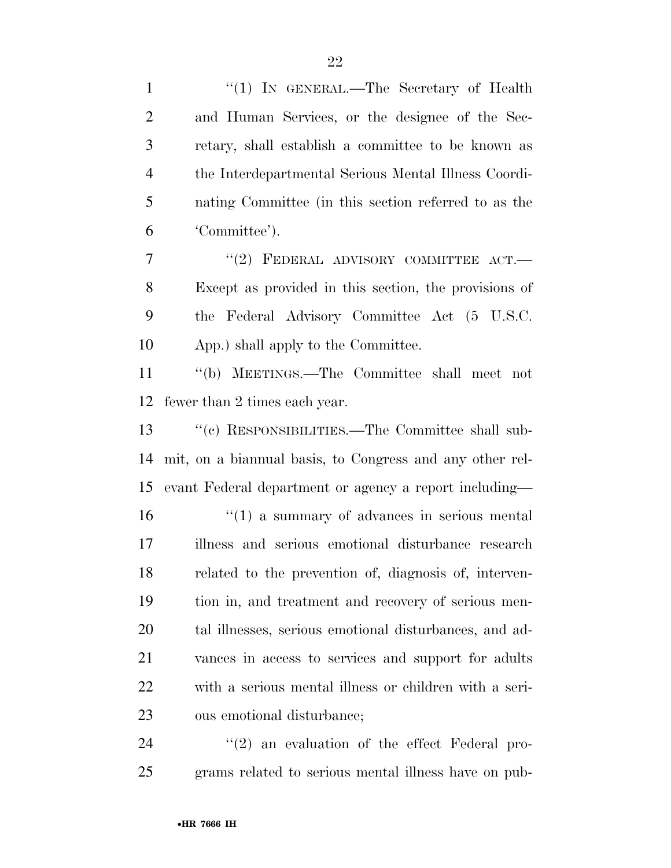| $\mathbf{1}$   | "(1) IN GENERAL.—The Secretary of Health                     |
|----------------|--------------------------------------------------------------|
| $\overline{2}$ | and Human Services, or the designee of the Sec-              |
| 3              | retary, shall establish a committee to be known as           |
| $\overline{4}$ | the Interdepartmental Serious Mental Illness Coordi-         |
| 5              | nating Committee (in this section referred to as the         |
| 6              | 'Committee').                                                |
| 7              | "(2) FEDERAL ADVISORY COMMITTEE ACT.-                        |
| 8              | Except as provided in this section, the provisions of        |
| 9              | the Federal Advisory Committee Act (5 U.S.C.                 |
| 10             | App.) shall apply to the Committee.                          |
| 11             | "(b) MEETINGS.—The Committee shall meet not                  |
| 12             | fewer than 2 times each year.                                |
| 13             | "(c) RESPONSIBILITIES.—The Committee shall sub-              |
| 14             | mit, on a biannual basis, to Congress and any other rel-     |
| 15             | evant Federal department or agency a report including—       |
| 16             | $\cdot\cdot\cdot(1)$ a summary of advances in serious mental |
| 17             | illness and serious emotional disturbance research           |
| 18             | related to the prevention of, diagnosis of, interven-        |
| 19             | tion in, and treatment and recovery of serious men-          |
| 20             | tal illnesses, serious emotional disturbances, and ad-       |
| 21             | vances in access to services and support for adults          |
| 22             | with a serious mental illness or children with a seri-       |
| 23             | ous emotional disturbance;                                   |
| 24             | $\lq(2)$ an evaluation of the effect Federal pro-            |

grams related to serious mental illness have on pub-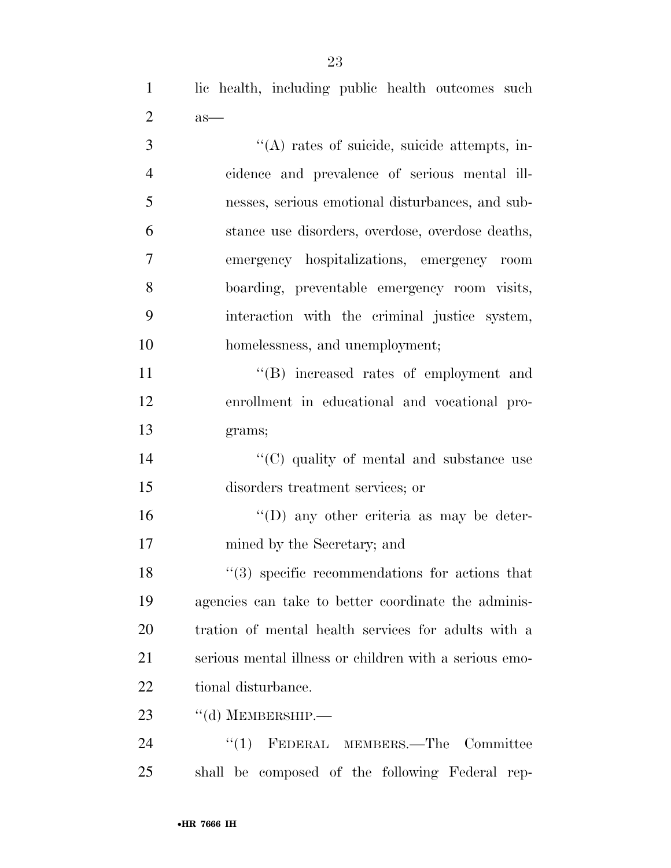lic health, including public health outcomes such as—

| 3              | "(A) rates of suicide, suicide attempts, in-                   |
|----------------|----------------------------------------------------------------|
| $\overline{4}$ | cidence and prevalence of serious mental ill-                  |
| 5              | nesses, serious emotional disturbances, and sub-               |
| 6              | stance use disorders, overdose, overdose deaths,               |
| 7              | emergency hospitalizations, emergency room                     |
| 8              | boarding, preventable emergency room visits,                   |
| 9              | interaction with the criminal justice system,                  |
| 10             | homelessness, and unemployment;                                |
| 11             | "(B) increased rates of employment and                         |
| 12             | enrollment in educational and vocational pro-                  |
| 13             | grams;                                                         |
| 14             | "(C) quality of mental and substance use                       |
| 15             | disorders treatment services; or                               |
| 16             | $\lq\lq$ (D) any other criteria as may be deter-               |
| 17             | mined by the Secretary; and                                    |
| 18             | $\cdot\cdot\cdot(3)$ specific recommendations for actions that |
| 19             | agencies can take to better coordinate the adminis-            |
| 20             | tration of mental health services for adults with a            |
| 21             | serious mental illness or children with a serious emo-         |
| 22             | tional disturbance.                                            |
| 23             | $\lq\lq$ (d) MEMBERSHIP.—                                      |
| 24             | ``(1)<br>FEDERAL MEMBERS.-The<br>Committee                     |

shall be composed of the following Federal rep-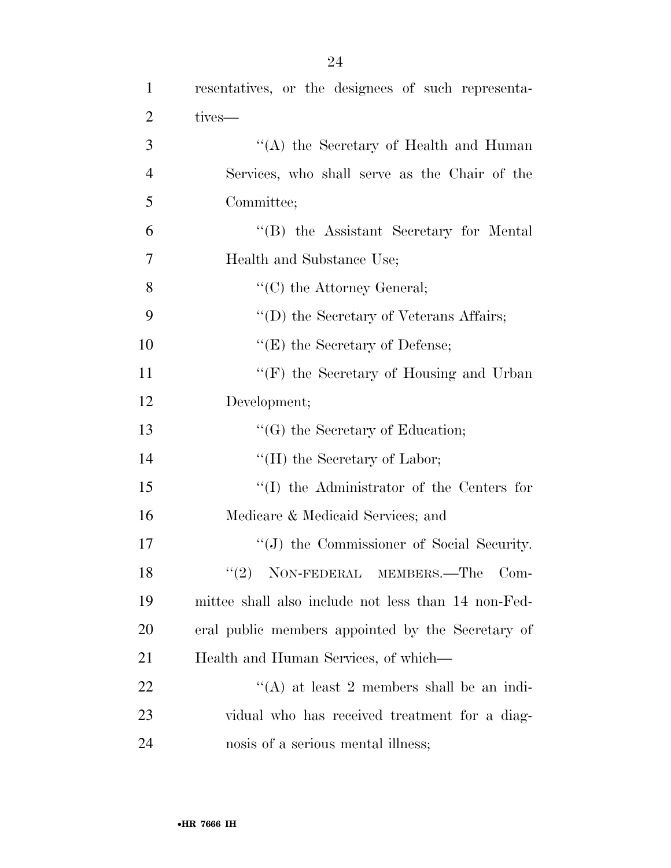| $\mathbf{1}$   | resentatives, or the designees of such representa-  |
|----------------|-----------------------------------------------------|
| $\overline{2}$ | tives-                                              |
| 3              | "(A) the Secretary of Health and Human              |
| $\overline{4}$ | Services, who shall serve as the Chair of the       |
| 5              | Committee;                                          |
| 6              | "(B) the Assistant Secretary for Mental             |
| 7              | Health and Substance Use;                           |
| 8              | $\lq\lq$ (C) the Attorney General;                  |
| 9              | "(D) the Secretary of Veterans Affairs;             |
| 10             | " $(E)$ the Secretary of Defense;                   |
| 11             | "(F) the Secretary of Housing and Urban"            |
| 12             | Development;                                        |
| 13             | $\lq\lq(G)$ the Secretary of Education;             |
| 14             | "(H) the Secretary of Labor;                        |
| 15             | $\lq\lq$ the Administrator of the Centers for       |
| 16             | Medicare & Medicaid Services; and                   |
| 17             | "(J) the Commissioner of Social Security.           |
| 18             | $"(2)$ NON-FEDERAL MEMBERS.—The Com-                |
| 19             | mittee shall also include not less than 14 non-Fed- |
| 20             | eral public members appointed by the Secretary of   |
| 21             | Health and Human Services, of which—                |
| 22             | "(A) at least 2 members shall be an indi-           |
| 23             | vidual who has received treatment for a diag-       |
| 24             | nosis of a serious mental illness;                  |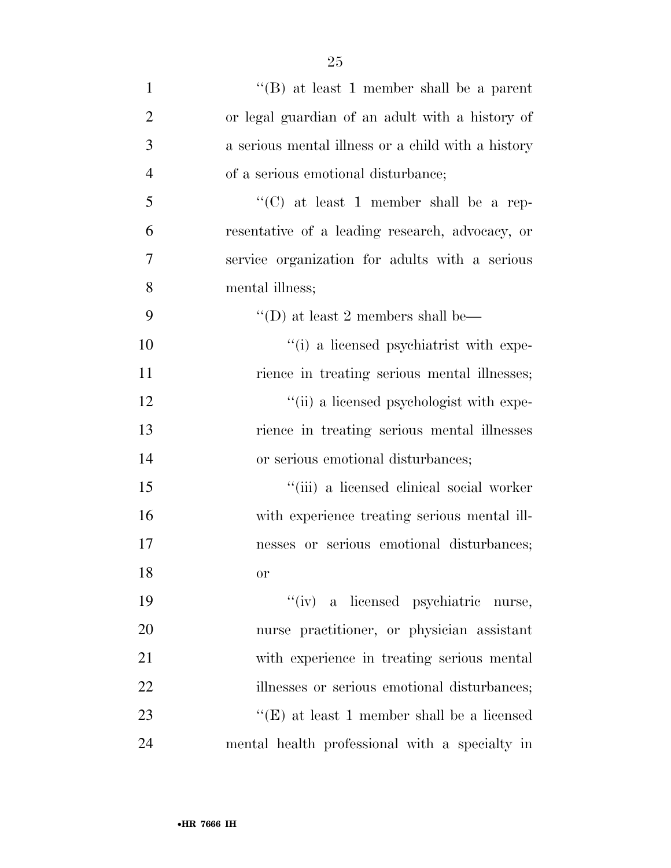| $\mathbf{1}$   | "(B) at least 1 member shall be a parent           |
|----------------|----------------------------------------------------|
| $\overline{2}$ | or legal guardian of an adult with a history of    |
| 3              | a serious mental illness or a child with a history |
| $\overline{4}$ | of a serious emotional disturbance;                |
| 5              | "(C) at least 1 member shall be a rep-             |
| 6              | resentative of a leading research, advocacy, or    |
| 7              | service organization for adults with a serious     |
| 8              | mental illness;                                    |
| 9              | "(D) at least 2 members shall be—                  |
| 10             | "(i) a licensed psychiatrist with expe-            |
| 11             | rience in treating serious mental illnesses;       |
| 12             | "(ii) a licensed psychologist with expe-           |
| 13             | rience in treating serious mental illnesses        |
| 14             | or serious emotional disturbances;                 |
| 15             | "(iii) a licensed clinical social worker           |
| 16             | with experience treating serious mental ill-       |
| 17             | nesses or serious emotional disturbances;          |
| 18             | <b>or</b>                                          |
| 19             | "(iv) a licensed psychiatric nurse,                |
| 20             | nurse practitioner, or physician assistant         |
| 21             | with experience in treating serious mental         |
| 22             | illnesses or serious emotional disturbances;       |
| 23             | "(E) at least 1 member shall be a licensed         |
| 24             | mental health professional with a specialty in     |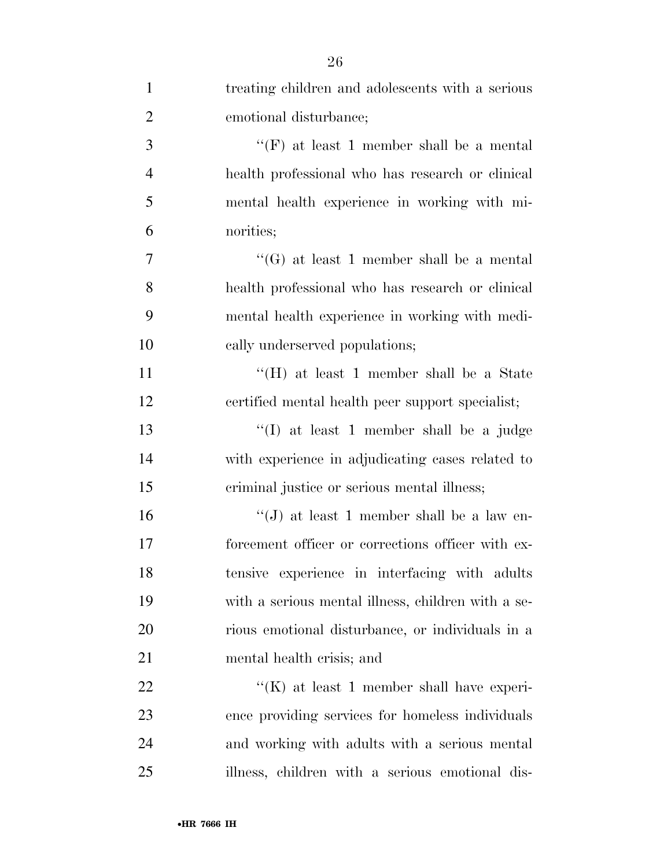| $\mathbf{1}$   | treating children and adolescents with a serious   |
|----------------|----------------------------------------------------|
| $\overline{2}$ | emotional disturbance;                             |
| 3              | "(F) at least 1 member shall be a mental           |
| $\overline{4}$ | health professional who has research or clinical   |
| 5              | mental health experience in working with mi-       |
| 6              | norities;                                          |
| 7              | "(G) at least 1 member shall be a mental           |
| 8              | health professional who has research or clinical   |
| 9              | mental health experience in working with medi-     |
| 10             | cally underserved populations;                     |
| <sup>11</sup>  | "(H) at least 1 member shall be a State            |
| 12             | certified mental health peer support specialist;   |
| 13             | "(I) at least 1 member shall be a judge            |
| 14             | with experience in adjudicating cases related to   |
| 15             | criminal justice or serious mental illness;        |
| 16             | "(J) at least 1 member shall be a law en-          |
| 17             | forcement officer or corrections officer with ex-  |
| 18             | tensive experience in interfacing with adults      |
| 19             | with a serious mental illness, children with a se- |
| 20             | rious emotional disturbance, or individuals in a   |
| 21             | mental health crisis; and                          |
| 22             | $\lq\lq(K)$ at least 1 member shall have experi-   |
| 23             | ence providing services for homeless individuals   |
| 24             | and working with adults with a serious mental      |
| 25             | illness, children with a serious emotional dis-    |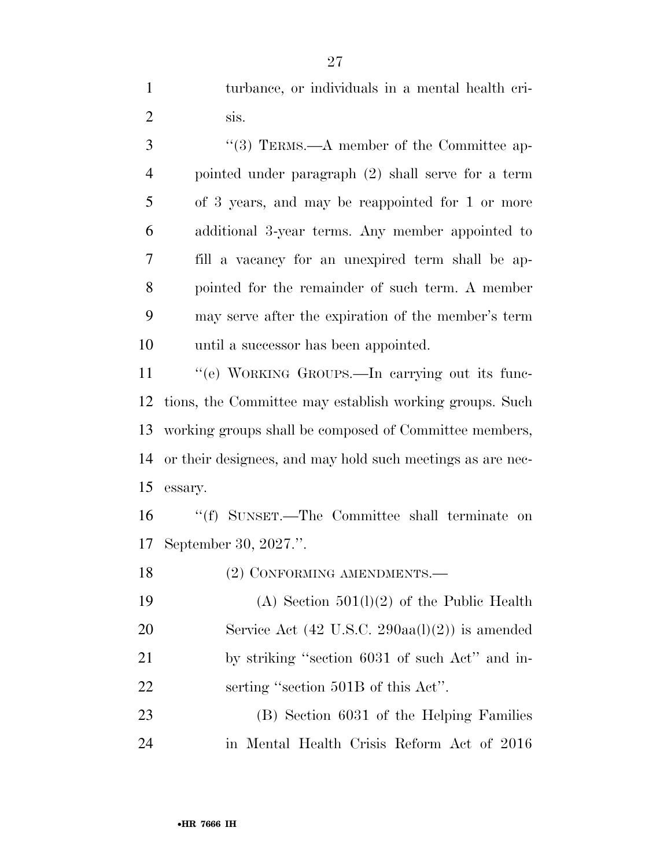turbance, or individuals in a mental health cri-2  $\sin$ 

3 "(3) TERMS.—A member of the Committee ap- pointed under paragraph (2) shall serve for a term of 3 years, and may be reappointed for 1 or more additional 3-year terms. Any member appointed to fill a vacancy for an unexpired term shall be ap- pointed for the remainder of such term. A member may serve after the expiration of the member's term until a successor has been appointed.

11 "(e) WORKING GROUPS.—In carrying out its func- tions, the Committee may establish working groups. Such working groups shall be composed of Committee members, or their designees, and may hold such meetings as are nec-essary.

 ''(f) SUNSET.—The Committee shall terminate on September 30, 2027.''.

18 (2) CONFORMING AMENDMENTS.—

 (A) Section 501(l)(2) of the Public Health Service Act (42 U.S.C. 290aa(l)(2)) is amended by striking ''section 6031 of such Act'' and in-22 serting "section 501B of this Act".

 (B) Section 6031 of the Helping Families in Mental Health Crisis Reform Act of 2016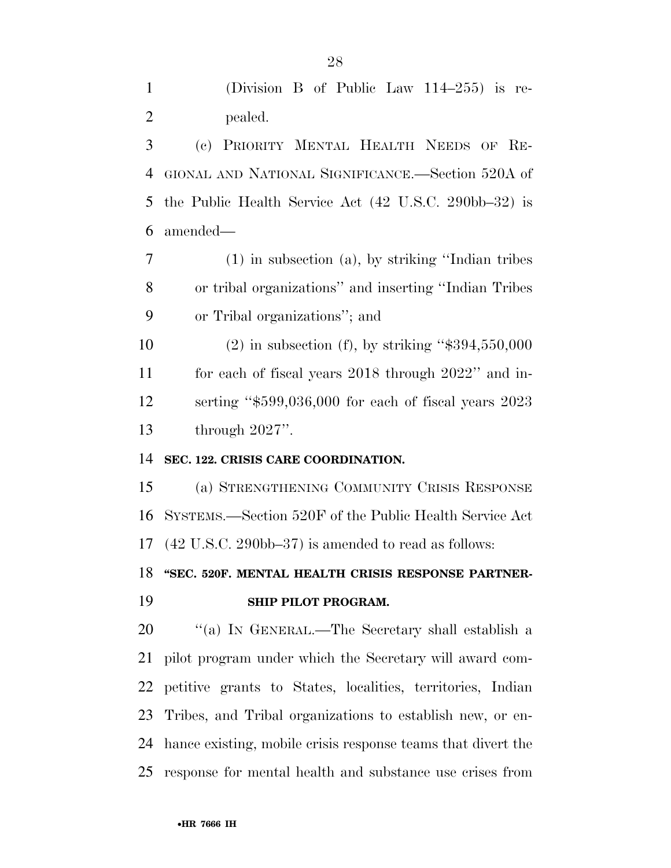(Division B of Public Law 114–255) is re-pealed.

 (c) PRIORITY MENTAL HEALTH NEEDS OF RE- GIONAL AND NATIONAL SIGNIFICANCE.—Section 520A of the Public Health Service Act (42 U.S.C. 290bb–32) is amended—

 (1) in subsection (a), by striking ''Indian tribes or tribal organizations'' and inserting ''Indian Tribes or Tribal organizations''; and

 (2) in subsection (f), by striking ''\$394,550,000 for each of fiscal years 2018 through 2022'' and in- serting ''\$599,036,000 for each of fiscal years 2023 through 2027''.

### **SEC. 122. CRISIS CARE COORDINATION.**

 (a) STRENGTHENING COMMUNITY CRISIS RESPONSE SYSTEMS.—Section 520F of the Public Health Service Act (42 U.S.C. 290bb–37) is amended to read as follows:

### **''SEC. 520F. MENTAL HEALTH CRISIS RESPONSE PARTNER-SHIP PILOT PROGRAM.**

 ''(a) IN GENERAL.—The Secretary shall establish a pilot program under which the Secretary will award com- petitive grants to States, localities, territories, Indian Tribes, and Tribal organizations to establish new, or en- hance existing, mobile crisis response teams that divert the response for mental health and substance use crises from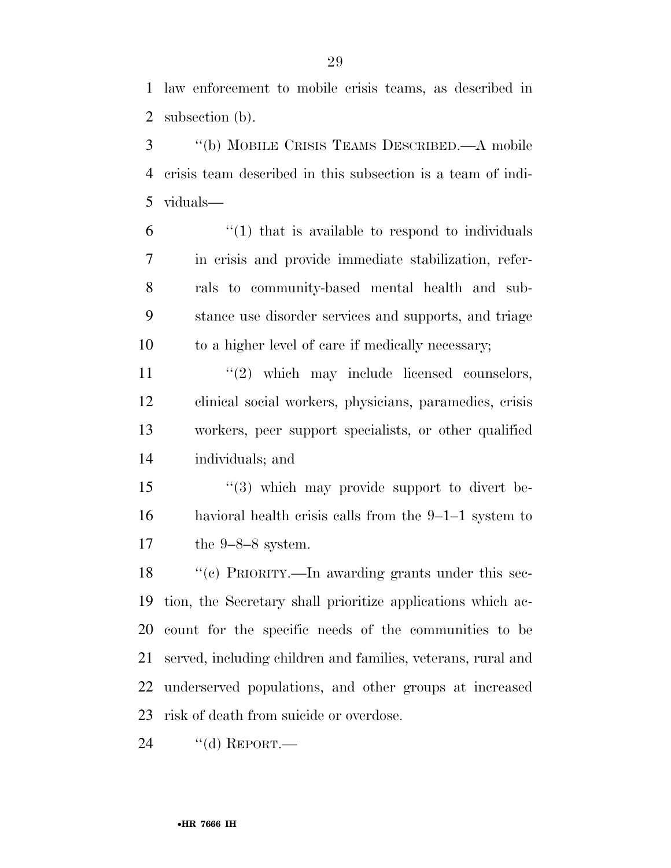law enforcement to mobile crisis teams, as described in subsection (b).

 ''(b) MOBILE CRISIS TEAMS DESCRIBED.—A mobile crisis team described in this subsection is a team of indi-viduals—

 "(1) that is available to respond to individuals in crisis and provide immediate stabilization, refer- rals to community-based mental health and sub- stance use disorder services and supports, and triage to a higher level of care if medically necessary;

 $\frac{1}{2}$  which may include licensed counselors, clinical social workers, physicians, paramedics, crisis workers, peer support specialists, or other qualified individuals; and

15 "(3) which may provide support to divert be- havioral health crisis calls from the 9–1–1 system to the 9–8–8 system.

 ''(c) PRIORITY.—In awarding grants under this sec- tion, the Secretary shall prioritize applications which ac- count for the specific needs of the communities to be served, including children and families, veterans, rural and underserved populations, and other groups at increased risk of death from suicide or overdose.

24 "(d) REPORT.—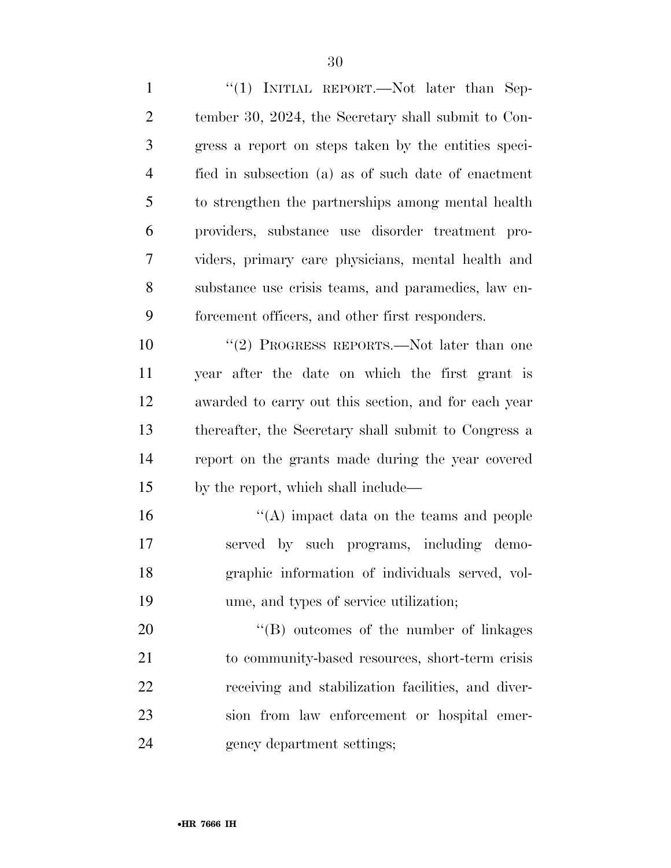1 "(1) INITIAL REPORT.—Not later than Sep- tember 30, 2024, the Secretary shall submit to Con- gress a report on steps taken by the entities speci- fied in subsection (a) as of such date of enactment to strengthen the partnerships among mental health providers, substance use disorder treatment pro- viders, primary care physicians, mental health and substance use crisis teams, and paramedics, law en-forcement officers, and other first responders.

10 ''(2) PROGRESS REPORTS.—Not later than one year after the date on which the first grant is awarded to carry out this section, and for each year thereafter, the Secretary shall submit to Congress a report on the grants made during the year covered by the report, which shall include—

16 ''(A) impact data on the teams and people served by such programs, including demo- graphic information of individuals served, vol-ume, and types of service utilization;

 $\text{``(B)}$  outcomes of the number of linkages 21 to community-based resources, short-term crisis receiving and stabilization facilities, and diver- sion from law enforcement or hospital emer-gency department settings;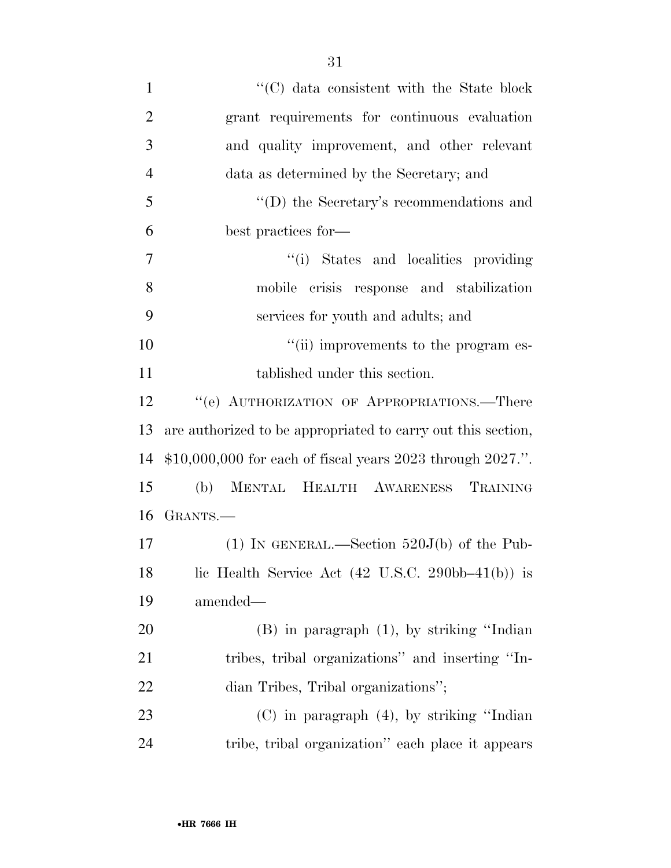| $\mathbf{1}$   | $\cdot$ (C) data consistent with the State block                           |
|----------------|----------------------------------------------------------------------------|
| $\overline{2}$ | grant requirements for continuous evaluation                               |
| 3              | and quality improvement, and other relevant                                |
| $\overline{4}$ | data as determined by the Secretary; and                                   |
| 5              | $\lq\lq$ the Secretary's recommendations and                               |
| 6              | best practices for—                                                        |
| 7              | "(i) States and localities providing                                       |
| 8              | mobile crisis response and stabilization                                   |
| 9              | services for youth and adults; and                                         |
| 10             | "(ii) improvements to the program es-                                      |
| 11             | tablished under this section.                                              |
| 12             | "(e) AUTHORIZATION OF APPROPRIATIONS.—There                                |
| 13             | are authorized to be appropriated to carry out this section,               |
| 14             | $$10,000,000$ for each of fiscal years 2023 through 2027.".                |
| 15             | MENTAL HEALTH AWARENESS TRAINING<br>(b)                                    |
| 16             | GRANTS.-                                                                   |
| 17             | (1) IN GENERAL.—Section $520J(b)$ of the Pub-                              |
| 18             | lic Health Service Act $(42 \text{ U.S.C. } 290\text{bb}-41(\text{b}))$ is |
| 19             | amended—                                                                   |
| 20             | $(B)$ in paragraph $(1)$ , by striking "Indian                             |
| 21             | tribes, tribal organizations" and inserting "In-                           |
| 22             | dian Tribes, Tribal organizations";                                        |
| 23             | $(C)$ in paragraph $(4)$ , by striking "Indian"                            |
| 24             | tribe, tribal organization" each place it appears                          |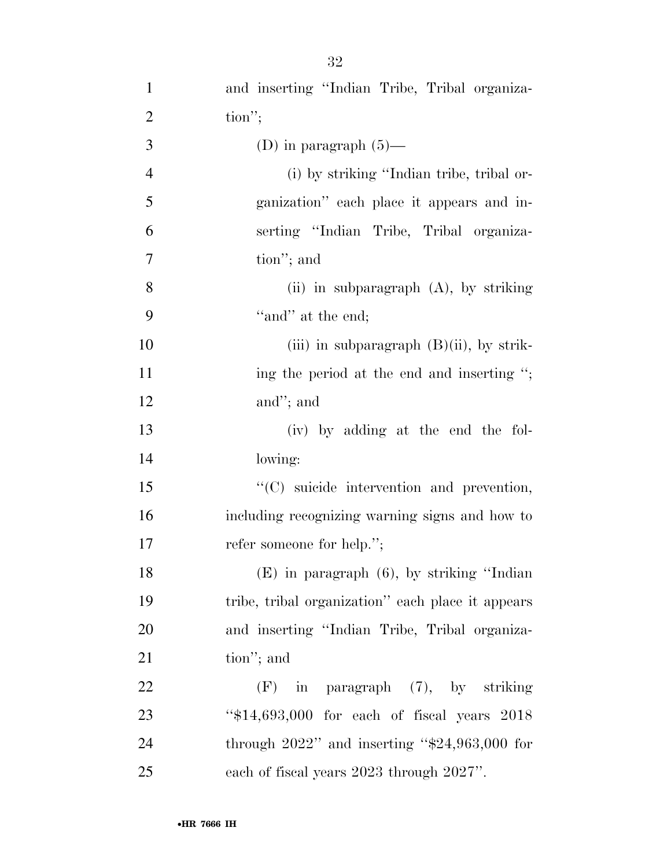| $\mathbf{1}$   | and inserting "Indian Tribe, Tribal organiza-      |
|----------------|----------------------------------------------------|
| $\overline{2}$ | $\text{tion}''$                                    |
| 3              | (D) in paragraph $(5)$ —                           |
| $\overline{4}$ | (i) by striking "Indian tribe, tribal or-          |
| 5              | ganization" each place it appears and in-          |
| 6              | serting "Indian Tribe, Tribal organiza-            |
| $\tau$         | tion"; and                                         |
| 8              | (ii) in subparagraph $(A)$ , by striking           |
| 9              | "and" at the end;                                  |
| 10             | (iii) in subparagraph $(B)(ii)$ , by strik-        |
| 11             | ing the period at the end and inserting ";         |
| 12             | and"; and                                          |
| 13             | (iv) by adding at the end the fol-                 |
| 14             | lowing:                                            |
| 15             | "(C) suicide intervention and prevention,          |
| 16             | including recognizing warning signs and how to     |
| 17             | refer someone for help.";                          |
| 18             | $(E)$ in paragraph $(6)$ , by striking "Indian     |
| 19             | tribe, tribal organization" each place it appears  |
| 20             | and inserting "Indian Tribe, Tribal organiza-      |
| 21             | tion"; and                                         |
| 22             | $(F)$ in paragraph $(7)$ , by striking             |
| 23             | " $$14,693,000$ for each of fiscal years $2018$    |
| 24             | through $2022$ " and inserting " $$24,963,000$ for |
| 25             | each of fiscal years 2023 through 2027".           |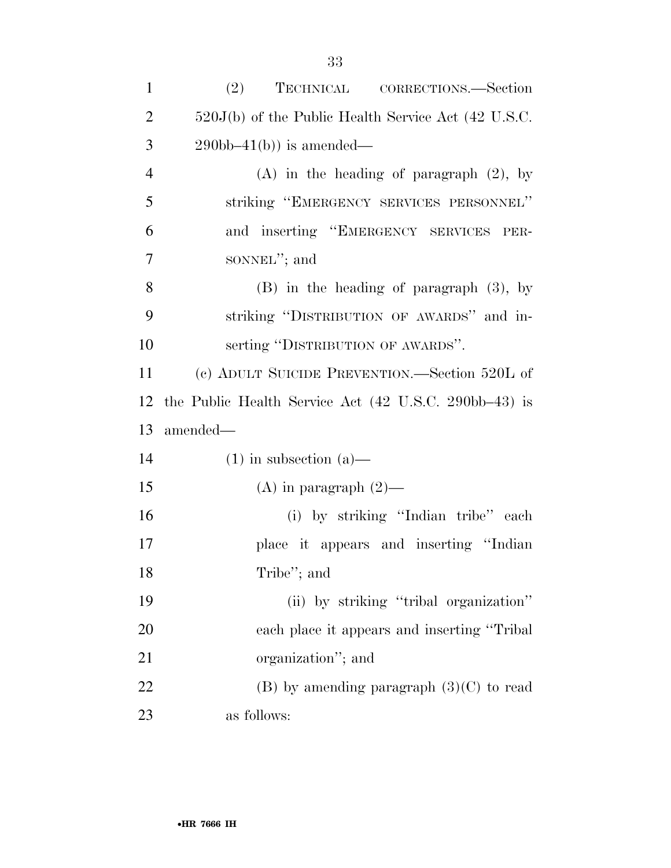| $\mathbf{1}$   | (2)<br>TECHNICAL CORRECTIONS.—Section                 |
|----------------|-------------------------------------------------------|
| $\overline{2}$ | $520J(b)$ of the Public Health Service Act (42 U.S.C. |
| 3              | $290bb-41(b)$ is amended—                             |
| $\overline{4}$ | $(A)$ in the heading of paragraph $(2)$ , by          |
| 5              | striking "EMERGENCY SERVICES PERSONNEL"               |
| 6              | and inserting "EMERGENCY SERVICES PER-                |
| $\tau$         | sonnel"; and                                          |
| 8              | $(B)$ in the heading of paragraph $(3)$ , by          |
| 9              | striking "DISTRIBUTION OF AWARDS" and in-             |
| 10             | serting "DISTRIBUTION OF AWARDS".                     |
| 11             | (c) ADULT SUICIDE PREVENTION.—Section 520L of         |
| 12             | the Public Health Service Act (42 U.S.C. 290bb–43) is |
| 13             | amended—                                              |
| 14             | $(1)$ in subsection $(a)$ —                           |
| 15             | $(A)$ in paragraph $(2)$ —                            |
| 16             | (i) by striking "Indian tribe" each                   |
| 17             | place it appears and inserting "Indian                |
| 18             | Tribe"; and                                           |
| 19             | (ii) by striking "tribal organization"                |
| 20             | each place it appears and inserting "Tribal"          |
| 21             | organization"; and                                    |
| 22             | $(B)$ by amending paragraph $(3)(C)$ to read          |
| 23             | as follows:                                           |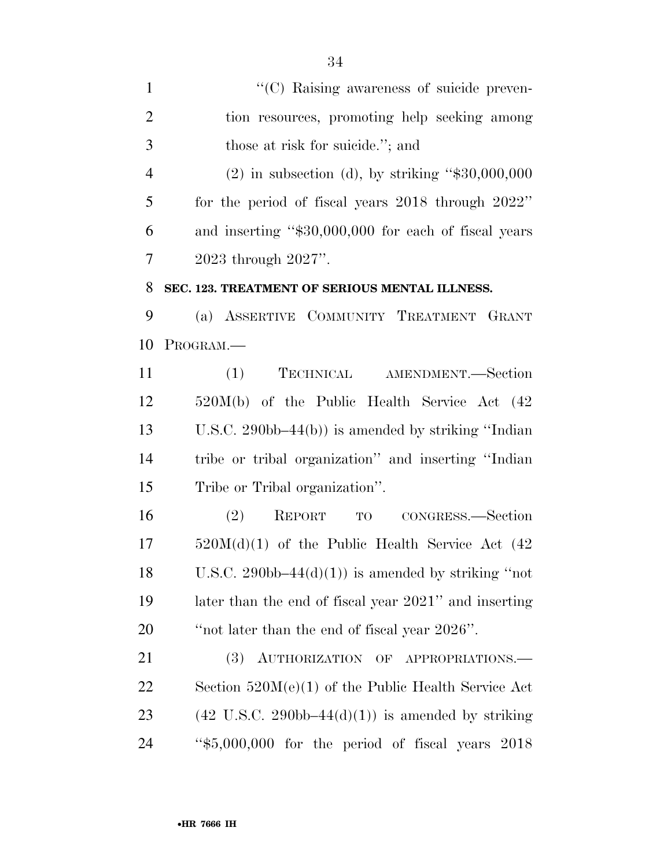$\lq(0)$  Raising awareness of suicide preven- tion resources, promoting help seeking among those at risk for suicide.''; and (2) in subsection (d), by striking ''\$30,000,000 for the period of fiscal years 2018 through 2022'' and inserting ''\$30,000,000 for each of fiscal years 2023 through 2027''. **SEC. 123. TREATMENT OF SERIOUS MENTAL ILLNESS.**  (a) ASSERTIVE COMMUNITY TREATMENT GRANT PROGRAM.— (1) TECHNICAL AMENDMENT.—Section 520M(b) of the Public Health Service Act (42 U.S.C. 290bb–44(b)) is amended by striking ''Indian tribe or tribal organization'' and inserting ''Indian Tribe or Tribal organization''. (2) REPORT TO CONGRESS.—Section 520M(d)(1) of the Public Health Service Act (42 18 U.S.C. 290bb–44 $(d)(1)$  is amended by striking "not later than the end of fiscal year 2021'' and inserting ''not later than the end of fiscal year 2026''. 21 (3) AUTHORIZATION OF APPROPRIATIONS.— Section 520M(e)(1) of the Public Health Service Act

23 (42 U.S.C. 290bb–44 $(d)(1)$ ) is amended by striking ''\$5,000,000 for the period of fiscal years 2018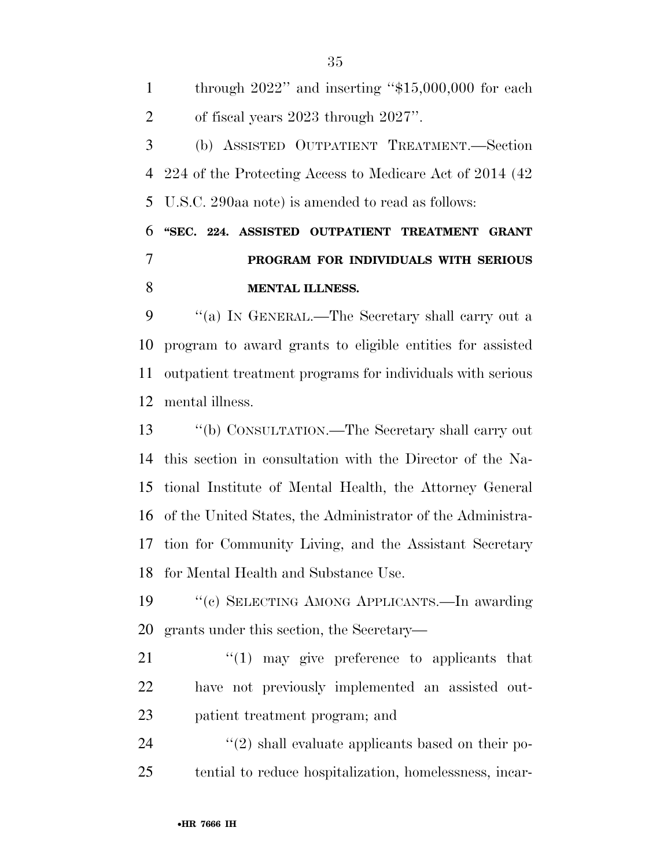through 2022'' and inserting ''\$15,000,000 for each of fiscal years 2023 through 2027''. (b) ASSISTED OUTPATIENT TREATMENT.—Section 224 of the Protecting Access to Medicare Act of 2014 (42 U.S.C. 290aa note) is amended to read as follows: **''SEC. 224. ASSISTED OUTPATIENT TREATMENT GRANT PROGRAM FOR INDIVIDUALS WITH SERIOUS MENTAL ILLNESS.** 

 ''(a) IN GENERAL.—The Secretary shall carry out a program to award grants to eligible entities for assisted outpatient treatment programs for individuals with serious mental illness.

 ''(b) CONSULTATION.—The Secretary shall carry out this section in consultation with the Director of the Na- tional Institute of Mental Health, the Attorney General of the United States, the Administrator of the Administra- tion for Community Living, and the Assistant Secretary for Mental Health and Substance Use.

 ''(c) SELECTING AMONG APPLICANTS.—In awarding grants under this section, the Secretary—

21  $\frac{1}{2}$  (1) may give preference to applicants that have not previously implemented an assisted out-patient treatment program; and

  $(2)$  shall evaluate applicants based on their po-tential to reduce hospitalization, homelessness, incar-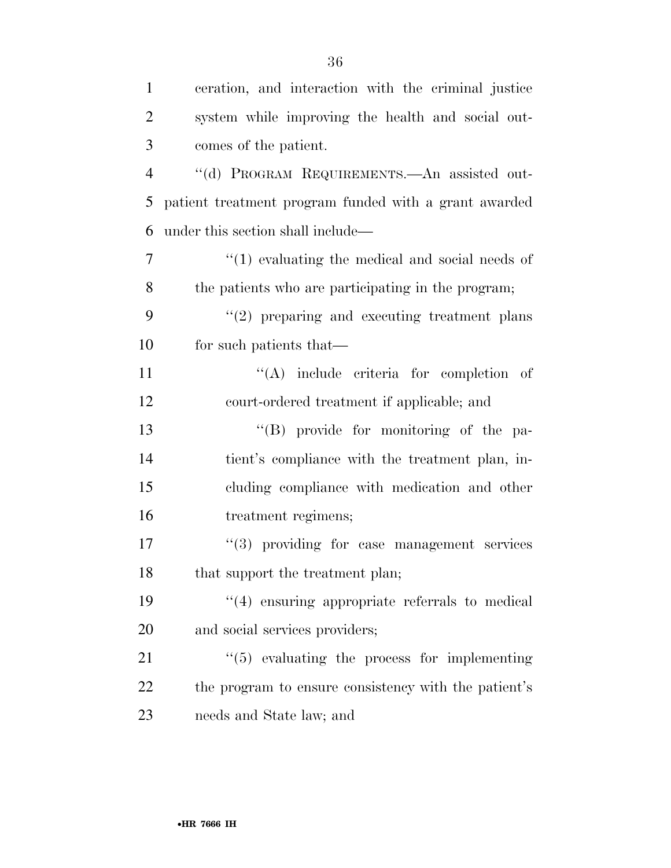| $\mathbf{1}$   | ceration, and interaction with the criminal justice   |
|----------------|-------------------------------------------------------|
| $\overline{2}$ | system while improving the health and social out-     |
| 3              | comes of the patient.                                 |
| $\overline{4}$ | "(d) PROGRAM REQUIREMENTS.—An assisted out-           |
| 5              | patient treatment program funded with a grant awarded |
| 6              | under this section shall include—                     |
| 7              | $\lq(1)$ evaluating the medical and social needs of   |
| 8              | the patients who are participating in the program;    |
| 9              | $"(2)$ preparing and executing treatment plans        |
| 10             | for such patients that—                               |
| 11             | $\lq\lq$ include criteria for completion of           |
| 12             | court-ordered treatment if applicable; and            |
| 13             | "(B) provide for monitoring of the pa-                |
| 14             | tient's compliance with the treatment plan, in-       |
| 15             | cluding compliance with medication and other          |
| 16             | treatment regimens;                                   |
| 17             | "(3) providing for case management services           |
| 18             | that support the treatment plan;                      |
| 19             | $"(4)$ ensuring appropriate referrals to medical      |
| 20             | and social services providers;                        |
| 21             | $\lq(5)$ evaluating the process for implementing      |
| 22             | the program to ensure consistency with the patient's  |
| 23             | needs and State law; and                              |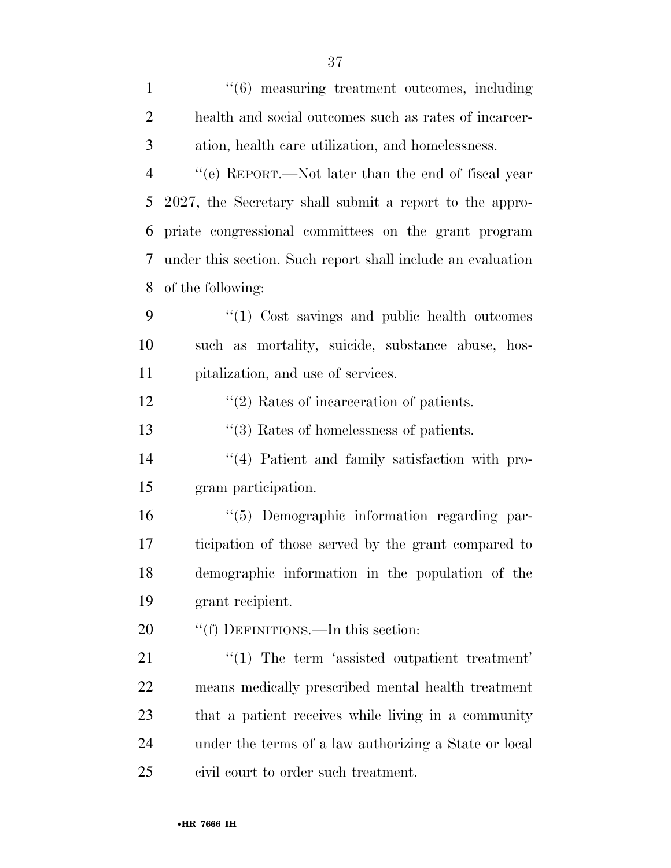| $\mathbf{1}$   | $\cdot\cdot(6)$ measuring treatment outcomes, including     |
|----------------|-------------------------------------------------------------|
| $\overline{2}$ | health and social outcomes such as rates of incarcer-       |
| 3              | ation, health care utilization, and homelessness.           |
| $\overline{4}$ | "(e) REPORT.—Not later than the end of fiscal year          |
| 5              | 2027, the Secretary shall submit a report to the appro-     |
| 6              | priate congressional committees on the grant program        |
| 7              | under this section. Such report shall include an evaluation |
| 8              | of the following:                                           |
| 9              | $\lq(1)$ Cost savings and public health outcomes            |
| 10             | such as mortality, suicide, substance abuse, hos-           |
| 11             | pitalization, and use of services.                          |
| 12             | $\cdot\cdot$ (2) Rates of incarceration of patients.        |
| 13             | $\cdot\cdot$ (3) Rates of homelessness of patients.         |
| 14             | "(4) Patient and family satisfaction with pro-              |
| 15             | gram participation.                                         |
| 16             | "(5) Demographic information regarding par-                 |
| 17             | ticipation of those served by the grant compared to         |
| 18             | demographic information in the population of the            |
| 19             | grant recipient.                                            |
| 20             | "(f) DEFINITIONS.—In this section:                          |
| 21             | $\lq(1)$ The term 'assisted outpatient treatment'           |
| 22             | means medically prescribed mental health treatment          |
| 23             | that a patient receives while living in a community         |
| 24             | under the terms of a law authorizing a State or local       |
| 25             | civil court to order such treatment.                        |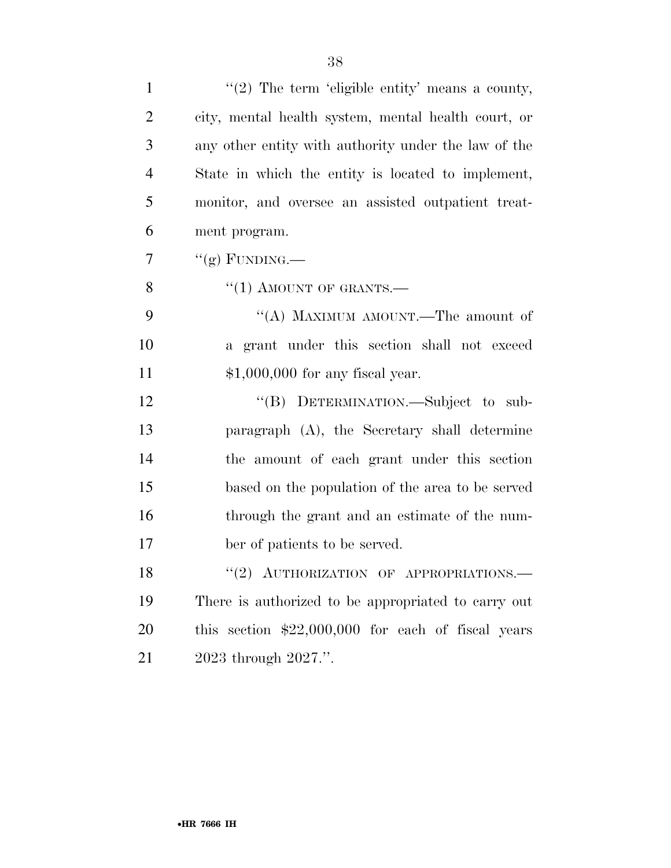| $\mathbf{1}$   | "(2) The term 'eligible entity' means a county,      |
|----------------|------------------------------------------------------|
| $\overline{2}$ | city, mental health system, mental health court, or  |
| 3              | any other entity with authority under the law of the |
| $\overline{4}$ | State in which the entity is located to implement,   |
| 5              | monitor, and oversee an assisted outpatient treat-   |
| 6              | ment program.                                        |
| 7              | "(g) FUNDING.—                                       |
| 8              | $``(1)$ AMOUNT OF GRANTS.—                           |
| 9              | "(A) MAXIMUM AMOUNT.—The amount of                   |
| 10             | a grant under this section shall not exceed          |
| 11             | $$1,000,000$ for any fiscal year.                    |
| 12             | "(B) DETERMINATION.—Subject to sub-                  |
| 13             | paragraph (A), the Secretary shall determine         |
| 14             | the amount of each grant under this section          |
| 15             | based on the population of the area to be served     |
| 16             | through the grant and an estimate of the num-        |
| 17             | ber of patients to be served.                        |
| 18             | "(2) AUTHORIZATION OF APPROPRIATIONS.-               |
| 19             | There is authorized to be appropriated to carry out  |
| 20             | this section $$22,000,000$ for each of fiscal years  |
| 21             | 2023 through 2027.".                                 |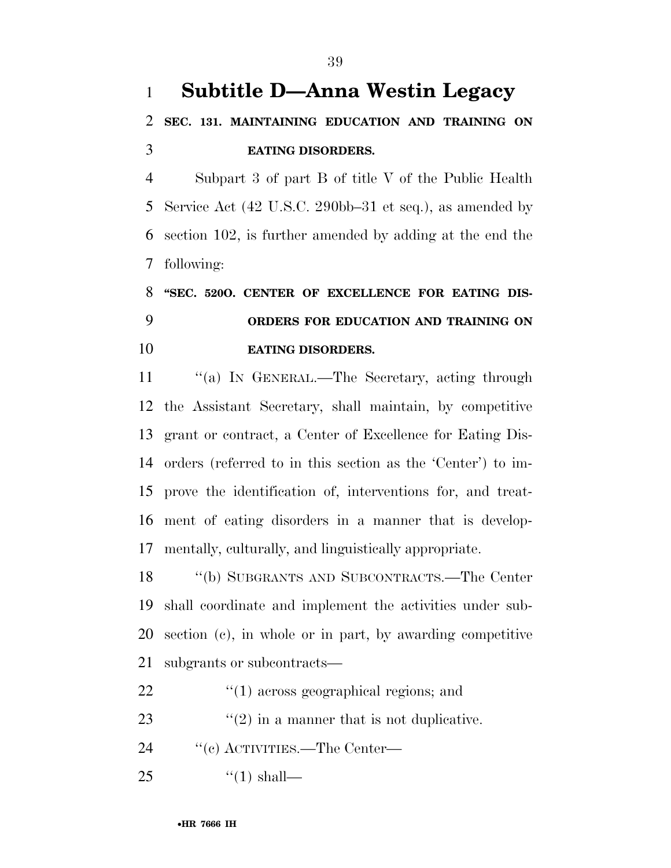Subpart 3 of part B of title V of the Public Health Service Act (42 U.S.C. 290bb–31 et seq.), as amended by section 102, is further amended by adding at the end the following:

## **''SEC. 520O. CENTER OF EXCELLENCE FOR EATING DIS- ORDERS FOR EDUCATION AND TRAINING ON EATING DISORDERS.**

11 "(a) IN GENERAL.—The Secretary, acting through the Assistant Secretary, shall maintain, by competitive grant or contract, a Center of Excellence for Eating Dis- orders (referred to in this section as the 'Center') to im- prove the identification of, interventions for, and treat- ment of eating disorders in a manner that is develop-mentally, culturally, and linguistically appropriate.

 ''(b) SUBGRANTS AND SUBCONTRACTS.—The Center shall coordinate and implement the activities under sub- section (c), in whole or in part, by awarding competitive subgrants or subcontracts—

- 22  $\frac{1}{2}$  (1) across geographical regions; and
- 23  $\frac{1}{2}$  (2) in a manner that is not duplicative.
- 24  $\text{``(c) ACTIVITIES.}$ —The Center—
- 25  $\frac{1}{2}$   $\frac{1}{2}$  shall—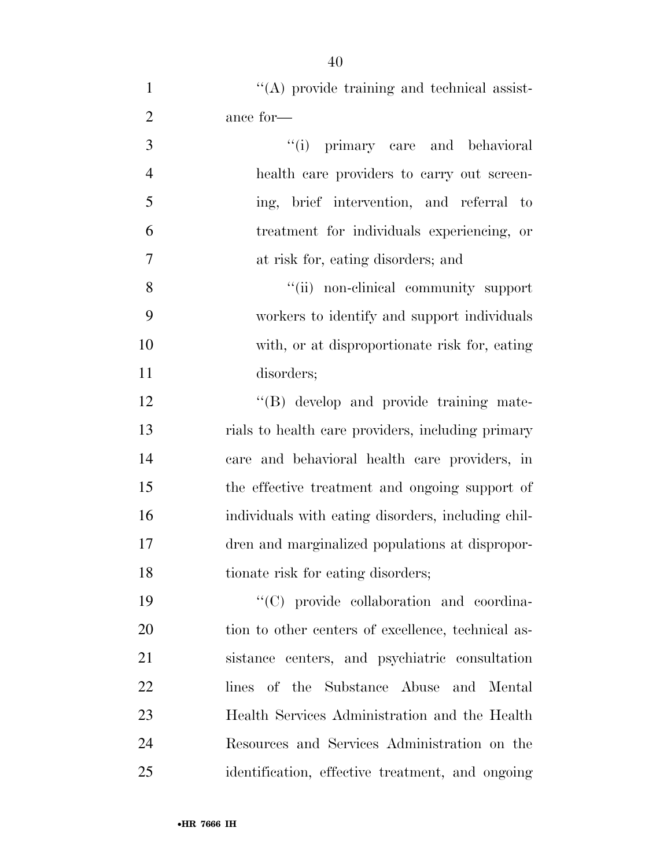| $\mathbf{1}$   | $\lq\lq$ provide training and technical assist-    |
|----------------|----------------------------------------------------|
| $\overline{2}$ | ance for-                                          |
| 3              | "(i) primary care and behavioral                   |
| $\overline{4}$ | health care providers to carry out screen-         |
| 5              | ing, brief intervention, and referral to           |
| 6              | treatment for individuals experiencing, or         |
| 7              | at risk for, eating disorders; and                 |
| 8              | "(ii) non-clinical community support               |
| 9              | workers to identify and support individuals        |
| 10             | with, or at disproportionate risk for, eating      |
| 11             | disorders;                                         |
| 12             | "(B) develop and provide training mate-            |
| 13             | rials to health care providers, including primary  |
| 14             | care and behavioral health care providers, in      |
| 15             | the effective treatment and ongoing support of     |
| 16             | individuals with eating disorders, including chil- |
| 17             | dren and marginalized populations at dispropor-    |
| 18             | tionate risk for eating disorders;                 |
| 19             | "(C) provide collaboration and coordina-           |
| 20             | tion to other centers of excellence, technical as- |
| 21             | sistance centers, and psychiatric consultation     |
| 22             | lines of the Substance Abuse and Mental            |
| 23             | Health Services Administration and the Health      |
| 24             | Resources and Services Administration on the       |

identification, effective treatment, and ongoing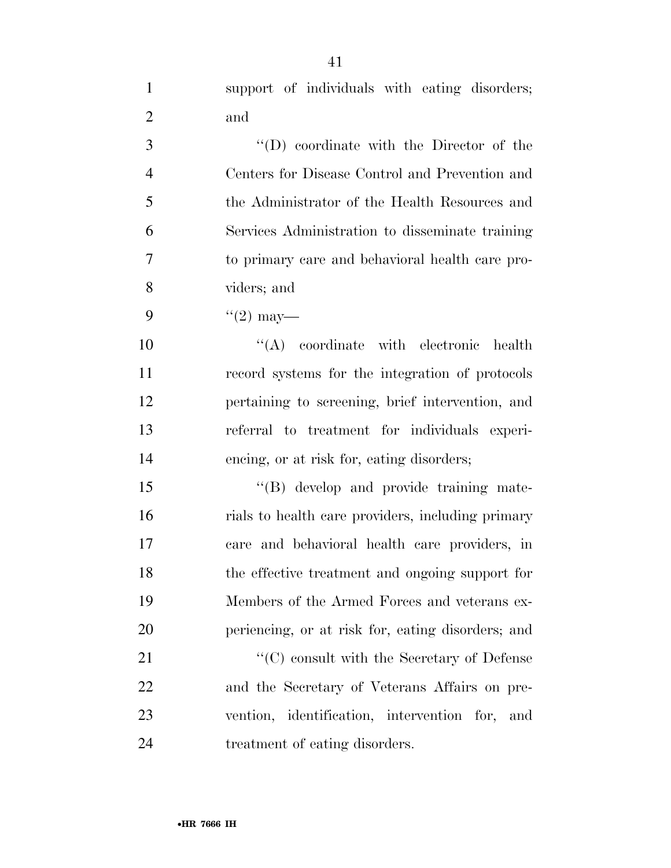support of individuals with eating disorders; and

 ''(D) coordinate with the Director of the Centers for Disease Control and Prevention and the Administrator of the Health Resources and Services Administration to disseminate training to primary care and behavioral health care pro-viders; and

9  $\frac{4}{2}$  may—

 $\langle (A)$  coordinate with electronic health record systems for the integration of protocols pertaining to screening, brief intervention, and referral to treatment for individuals experi-encing, or at risk for, eating disorders;

15 "(B) develop and provide training mate- rials to health care providers, including primary care and behavioral health care providers, in the effective treatment and ongoing support for Members of the Armed Forces and veterans ex-periencing, or at risk for, eating disorders; and

21 ''(C) consult with the Secretary of Defense and the Secretary of Veterans Affairs on pre- vention, identification, intervention for, and treatment of eating disorders.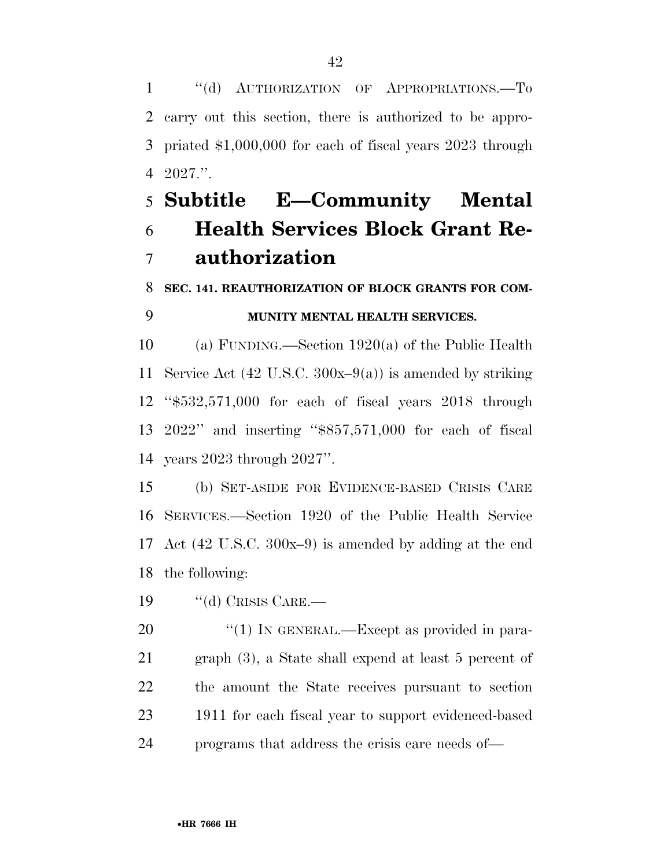1 "(d) AUTHORIZATION OF APPROPRIATIONS.—To carry out this section, there is authorized to be appro- priated \$1,000,000 for each of fiscal years 2023 through 2027.''.

## **Subtitle E—Community Mental Health Services Block Grant Re-authorization**

## **SEC. 141. REAUTHORIZATION OF BLOCK GRANTS FOR COM-MUNITY MENTAL HEALTH SERVICES.**

 (a) FUNDING.—Section 1920(a) of the Public Health Service Act (42 U.S.C. 300x–9(a)) is amended by striking ''\$532,571,000 for each of fiscal years 2018 through 2022'' and inserting ''\$857,571,000 for each of fiscal years 2023 through 2027''.

 (b) SET-ASIDE FOR EVIDENCE-BASED CRISIS CARE SERVICES.—Section 1920 of the Public Health Service Act (42 U.S.C. 300x–9) is amended by adding at the end the following:

19 "(d) CRISIS CARE.—

20 "(1) IN GENERAL.—Except as provided in para- graph (3), a State shall expend at least 5 percent of the amount the State receives pursuant to section 1911 for each fiscal year to support evidenced-based programs that address the crisis care needs of—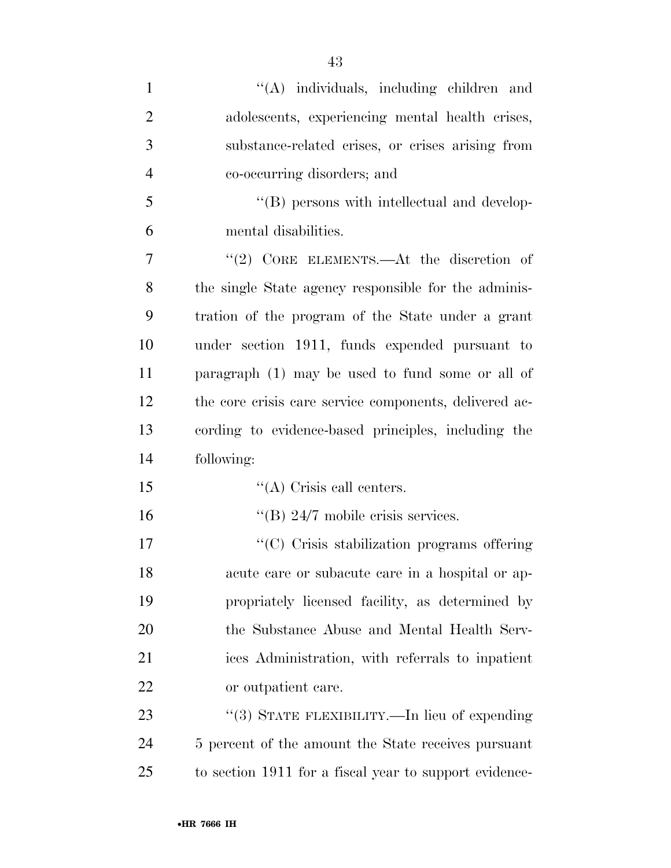| $\mathbf{1}$   | "(A) individuals, including children and               |
|----------------|--------------------------------------------------------|
| $\overline{2}$ | adolescents, experiencing mental health crises,        |
| 3              | substance-related crises, or crises arising from       |
| $\overline{4}$ | co-occurring disorders; and                            |
| 5              | "(B) persons with intellectual and develop-            |
| 6              | mental disabilities.                                   |
| 7              | "(2) CORE ELEMENTS.—At the discretion of               |
| 8              | the single State agency responsible for the adminis-   |
| 9              | tration of the program of the State under a grant      |
| 10             | under section 1911, funds expended pursuant to         |
| 11             | paragraph (1) may be used to fund some or all of       |
| 12             | the core crisis care service components, delivered ac- |
| 13             | cording to evidence-based principles, including the    |
| 14             | following:                                             |
| 15             | $\lq\lq$ Crisis call centers.                          |
| 16             | "(B) $24/7$ mobile crisis services.                    |
| 17             | "(C) Crisis stabilization programs offering            |
| 18             | acute care or subacute care in a hospital or ap-       |
| 19             | propriately licensed facility, as determined by        |
| 20             | the Substance Abuse and Mental Health Serv-            |
| 21             | ices Administration, with referrals to inpatient       |
| 22             | or outpatient care.                                    |
| 23             | "(3) STATE FLEXIBILITY.—In lieu of expending           |
| 24             | 5 percent of the amount the State receives pursuant    |
| 25             | to section 1911 for a fiscal year to support evidence- |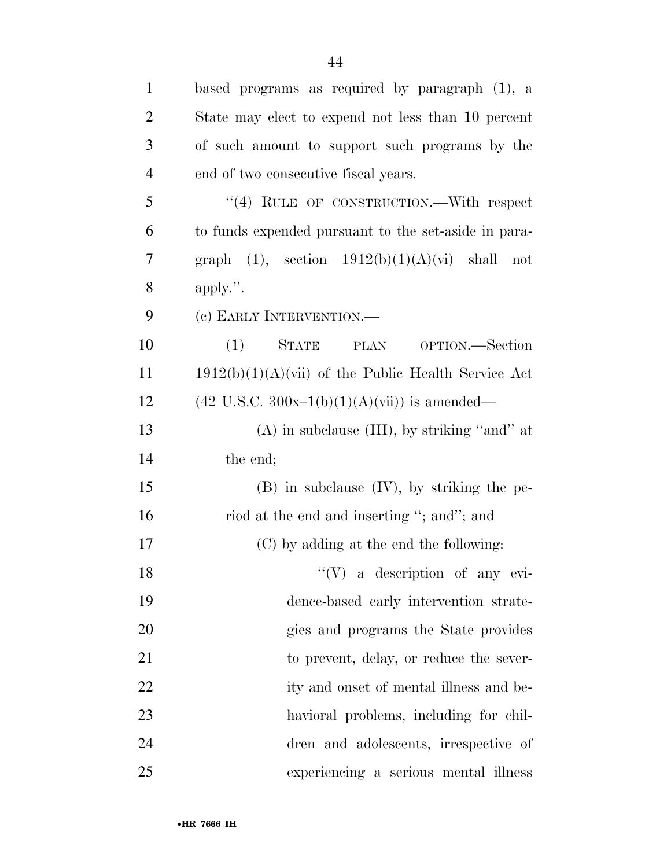| $\mathbf{1}$   | based programs as required by paragraph (1), a          |
|----------------|---------------------------------------------------------|
| $\overline{2}$ | State may elect to expend not less than 10 percent      |
| 3              | of such amount to support such programs by the          |
| $\overline{4}$ | end of two consecutive fiscal years.                    |
| 5              | "(4) RULE OF CONSTRUCTION.—With respect                 |
| 6              | to funds expended pursuant to the set-aside in para-    |
| 7              | graph $(1)$ , section $1912(b)(1)(A)(vi)$ shall not     |
| 8              | apply.".                                                |
| 9              | (c) EARLY INTERVENTION.—                                |
| 10             | STATE<br>(1)<br>PLAN OPTION.—Section                    |
| 11             | $1912(b)(1)(A)(vii)$ of the Public Health Service Act   |
| 12             | $(42 \text{ U.S.C. } 300x-1(b)(1)(A)(vii))$ is amended— |
| 13             | $(A)$ in subclause $(III)$ , by striking "and" at       |
| 14             | the end;                                                |
| 15             | $(B)$ in subclause $(IV)$ , by striking the pe-         |
| 16             | riod at the end and inserting "; and"; and              |
| 17             | (C) by adding at the end the following:                 |
| 18             | $\lq\lq (V)$ a description of any evi-                  |
| 19             | dence-based early intervention strate-                  |
| 20             | gies and programs the State provides                    |
| 21             | to prevent, delay, or reduce the sever-                 |
| 22             | ity and onset of mental illness and be-                 |
| 23             | havioral problems, including for chil-                  |
| 24             | dren and adolescents, irrespective of                   |
| 25             | experiencing a serious mental illness                   |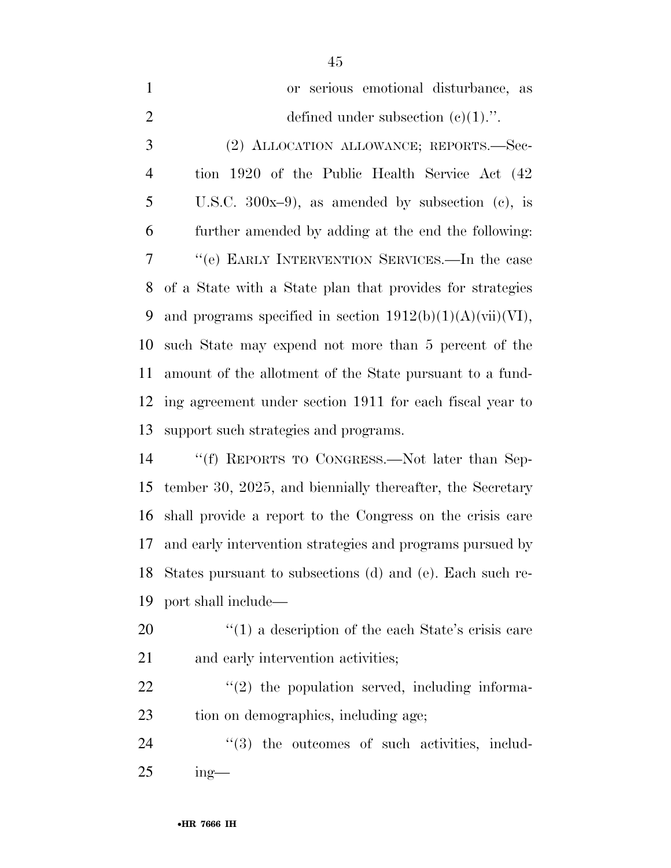| $\mathbf{1}$   | or serious emotional disturbance, as                         |
|----------------|--------------------------------------------------------------|
| 2              | defined under subsection $(e)(1)$ .".                        |
| 3              | (2) ALLOCATION ALLOWANCE; REPORTS.—Sec-                      |
| $\overline{4}$ | tion 1920 of the Public Health Service Act (42)              |
| 5              | U.S.C. $300x-9$ , as amended by subsection (c), is           |
| 6              | further amended by adding at the end the following:          |
| 7              | "(e) EARLY INTERVENTION SERVICES.—In the case                |
| 8              | of a State with a State plan that provides for strategies    |
| 9              | and programs specified in section $1912(b)(1)(A)(vii)(VI)$ , |
| 10             | such State may expend not more than 5 percent of the         |
| 11             | amount of the allotment of the State pursuant to a fund-     |
|                | 12 ing agreement under section 1911 for each fiscal year to  |
| 13             | support such strategies and programs.                        |
| 14             | "(f) REPORTS TO CONGRESS $\text{Not later than Son}$ .       |

 ''(f) REPORTS TO CONGRESS.—Not later than Sep- tember 30, 2025, and biennially thereafter, the Secretary shall provide a report to the Congress on the crisis care and early intervention strategies and programs pursued by States pursuant to subsections (d) and (e). Each such re-port shall include—

20 ''(1) a description of the each State's crisis care 21 and early intervention activities;

  $"$ (2) the population served, including informa-tion on demographics, including age;

24  $(3)$  the outcomes of such activities, includ-ing—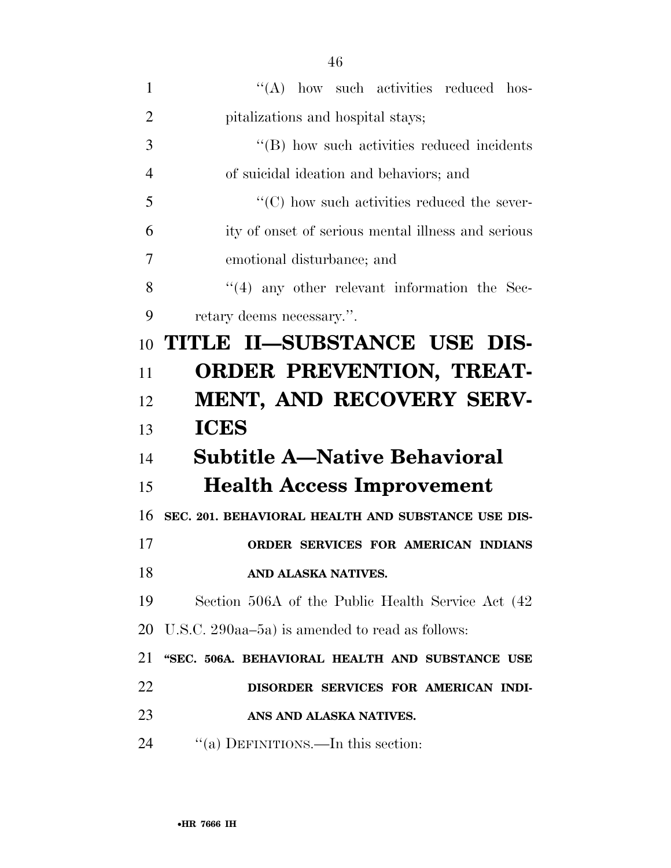| 1              | "(A) how such activities reduced hos-               |
|----------------|-----------------------------------------------------|
| $\overline{2}$ | pitalizations and hospital stays;                   |
| 3              | "(B) how such activities reduced incidents          |
| 4              | of suicidal ideation and behaviors; and             |
| 5              | $\lq\lq$ (C) how such activities reduced the sever- |
| 6              | ity of onset of serious mental illness and serious  |
| 7              | emotional disturbance; and                          |
| 8              | $\lq(4)$ any other relevant information the Sec-    |
| 9              | retary deems necessary.".                           |
| 10             | TITLE II-SUBSTANCE USE DIS-                         |
| 11             | <b>ORDER PREVENTION, TREAT-</b>                     |
| 12             | MENT, AND RECOVERY SERV-                            |
| 13             | <b>ICES</b>                                         |
| 14             | <b>Subtitle A-Native Behavioral</b>                 |
| 15             | <b>Health Access Improvement</b>                    |
| 16             | SEC. 201. BEHAVIORAL HEALTH AND SUBSTANCE USE DIS-  |
|                |                                                     |
| 17             | ORDER SERVICES FOR AMERICAN INDIANS                 |
| 18             | AND ALASKA NATIVES.                                 |
| 19             | Section 506A of the Public Health Service Act (42)  |
| 20             | U.S.C. 290aa–5a) is amended to read as follows:     |
| 21             | "SEC. 506A. BEHAVIORAL HEALTH AND SUBSTANCE USE     |
| 22             | DISORDER SERVICES FOR AMERICAN INDI-                |
| 23             | ANS AND ALASKA NATIVES.                             |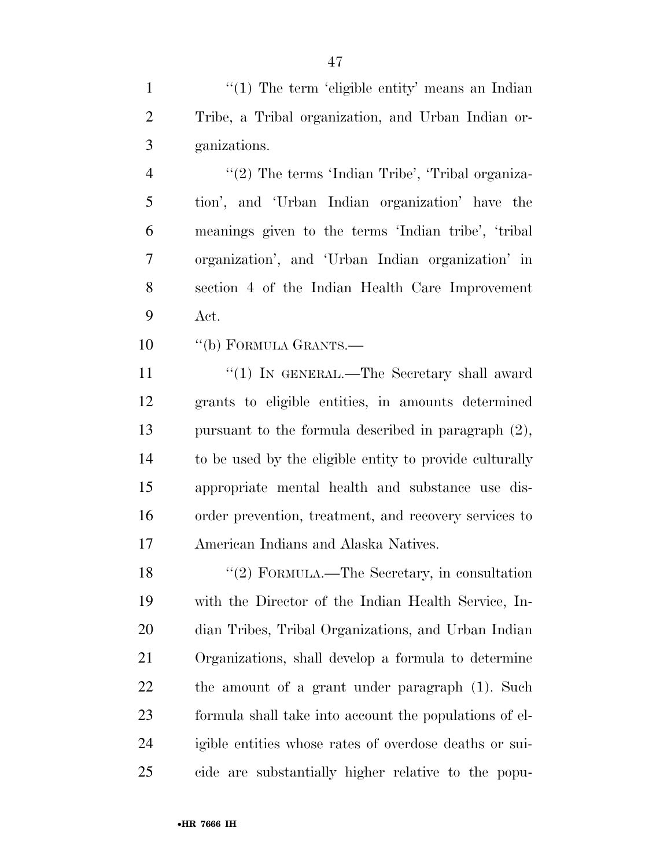1 ''(1) The term 'eligible entity' means an Indian Tribe, a Tribal organization, and Urban Indian or-ganizations.

4 "(2) The terms 'Indian Tribe', 'Tribal organiza- tion', and 'Urban Indian organization' have the meanings given to the terms 'Indian tribe', 'tribal organization', and 'Urban Indian organization' in section 4 of the Indian Health Care Improvement Act.

10 "(b) FORMULA GRANTS.—

11 ''(1) IN GENERAL.—The Secretary shall award grants to eligible entities, in amounts determined pursuant to the formula described in paragraph (2), to be used by the eligible entity to provide culturally appropriate mental health and substance use dis- order prevention, treatment, and recovery services to American Indians and Alaska Natives.

 ''(2) FORMULA.—The Secretary, in consultation with the Director of the Indian Health Service, In- dian Tribes, Tribal Organizations, and Urban Indian Organizations, shall develop a formula to determine the amount of a grant under paragraph (1). Such formula shall take into account the populations of el- igible entities whose rates of overdose deaths or sui-cide are substantially higher relative to the popu-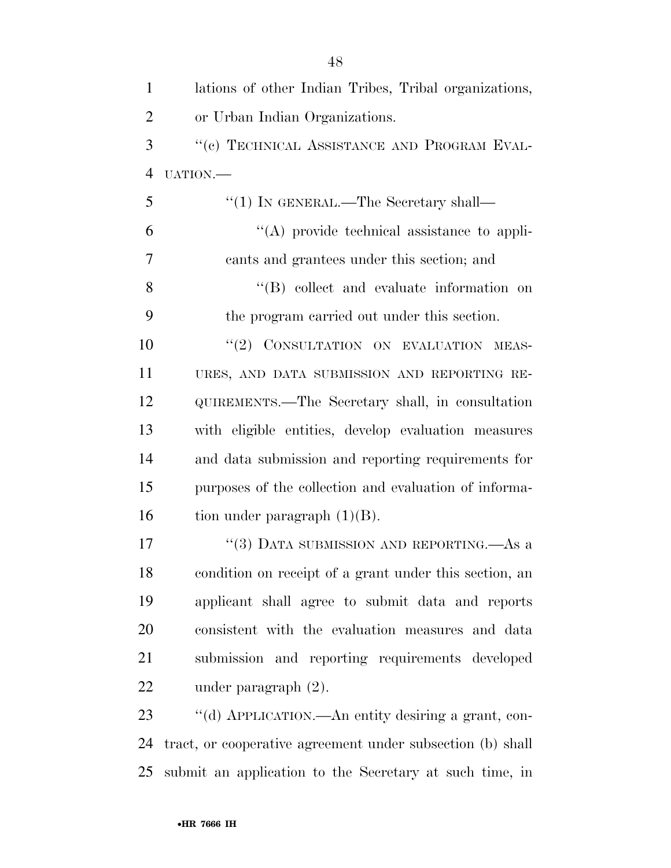| $\mathbf{1}$   | lations of other Indian Tribes, Tribal organizations,      |
|----------------|------------------------------------------------------------|
| $\overline{2}$ | or Urban Indian Organizations.                             |
| 3              | "(c) TECHNICAL ASSISTANCE AND PROGRAM EVAL-                |
| $\overline{4}$ | UATION.-                                                   |
| 5              | $\lq(1)$ In GENERAL.—The Secretary shall—                  |
| 6              | $\lq\lq$ provide technical assistance to appli-            |
| 7              | cants and grantees under this section; and                 |
| 8              | "(B) collect and evaluate information on                   |
| 9              | the program carried out under this section.                |
| 10             | "(2) CONSULTATION ON EVALUATION MEAS-                      |
| 11             | URES, AND DATA SUBMISSION AND REPORTING RE-                |
| 12             | QUIREMENTS.—The Secretary shall, in consultation           |
| 13             | with eligible entities, develop evaluation measures        |
| 14             | and data submission and reporting requirements for         |
| 15             | purposes of the collection and evaluation of informa-      |
| 16             | tion under paragraph $(1)(B)$ .                            |
| 17             | "(3) DATA SUBMISSION AND REPORTING.—As a                   |
| 18             | condition on receipt of a grant under this section, an     |
| 19             | applicant shall agree to submit data and reports           |
| 20             | consistent with the evaluation measures and data           |
| 21             | submission and reporting requirements developed            |
| 22             | under paragraph $(2)$ .                                    |
| 23             | "(d) APPLICATION.—An entity desiring a grant, con-         |
| 24             | tract, or cooperative agreement under subsection (b) shall |
| 25             | submit an application to the Secretary at such time, in    |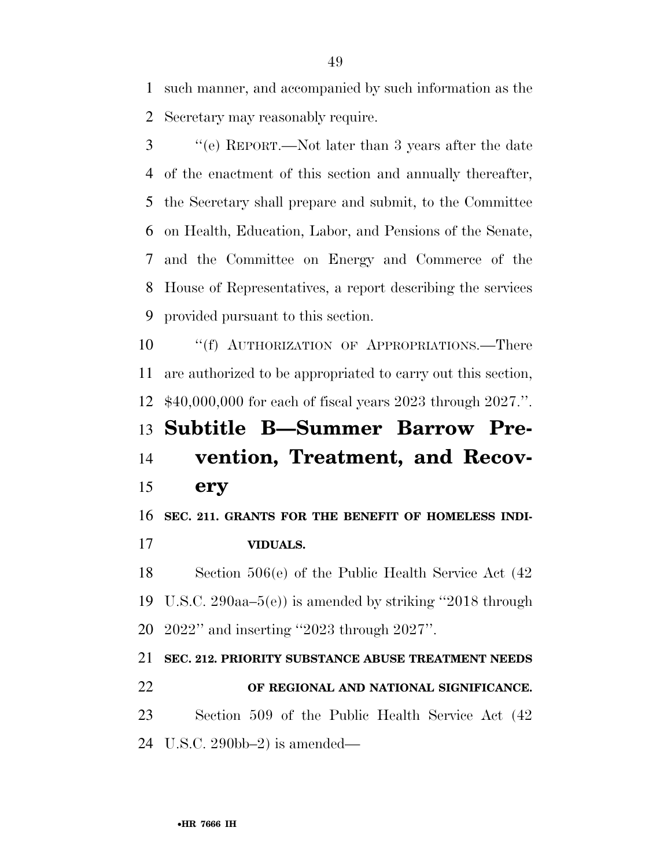such manner, and accompanied by such information as the Secretary may reasonably require.

 ''(e) REPORT.—Not later than 3 years after the date of the enactment of this section and annually thereafter, the Secretary shall prepare and submit, to the Committee on Health, Education, Labor, and Pensions of the Senate, and the Committee on Energy and Commerce of the House of Representatives, a report describing the services provided pursuant to this section.

10 "(f) AUTHORIZATION OF APPROPRIATIONS.—There are authorized to be appropriated to carry out this section, \$40,000,000 for each of fiscal years 2023 through 2027.''.

## **Subtitle B—Summer Barrow Pre- vention, Treatment, and Recov-ery**

**SEC. 211. GRANTS FOR THE BENEFIT OF HOMELESS INDI-**

**VIDUALS.** 

 Section 506(e) of the Public Health Service Act (42 U.S.C. 290aa–5(e)) is amended by striking ''2018 through 2022'' and inserting ''2023 through 2027''.

 **SEC. 212. PRIORITY SUBSTANCE ABUSE TREATMENT NEEDS OF REGIONAL AND NATIONAL SIGNIFICANCE.**  Section 509 of the Public Health Service Act (42 U.S.C. 290bb–2) is amended—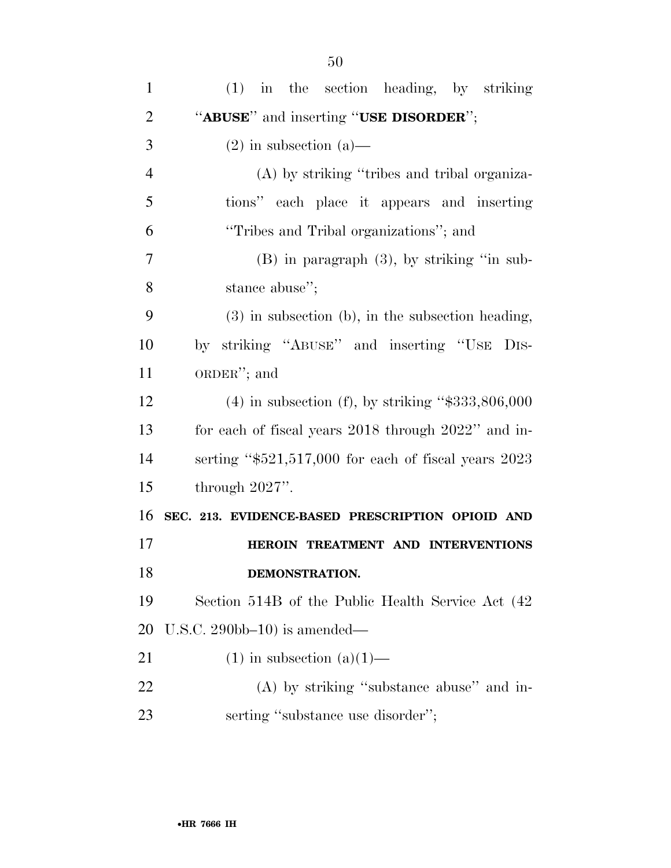| $\mathbf{1}$   | (1) in the section heading, by striking                |
|----------------|--------------------------------------------------------|
| $\overline{2}$ | "ABUSE" and inserting "USE DISORDER";                  |
| 3              | $(2)$ in subsection $(a)$ —                            |
| $\overline{4}$ | (A) by striking "tribes and tribal organiza-           |
| 5              | tions" each place it appears and inserting             |
| 6              | "Tribes and Tribal organizations"; and                 |
| 7              | $(B)$ in paragraph $(3)$ , by striking "in sub-        |
| 8              | stance abuse";                                         |
| 9              | $(3)$ in subsection (b), in the subsection heading,    |
| 10             | by striking "ABUSE" and inserting "USE DIS-            |
| 11             | ORDER"; and                                            |
| 12             | $(4)$ in subsection (f), by striking "\$333,806,000    |
| 13             | for each of fiscal years 2018 through 2022" and in-    |
| 14             | serting " $$521,517,000$ for each of fiscal years 2023 |
| 15             | through $2027$ ".                                      |
| 16             | SEC. 213. EVIDENCE-BASED PRESCRIPTION OPIOID AND       |
| 17             | HEROIN TREATMENT AND INTERVENTIONS                     |
| 18             | DEMONSTRATION.                                         |
| 19             | Section 514B of the Public Health Service Act (42)     |
| 20             | U.S.C. $290bb-10$ is amended—                          |
| 21             | $(1)$ in subsection $(a)(1)$ —                         |
| 22             | $(A)$ by striking "substance abuse" and in-            |
| 23             | serting "substance use disorder";                      |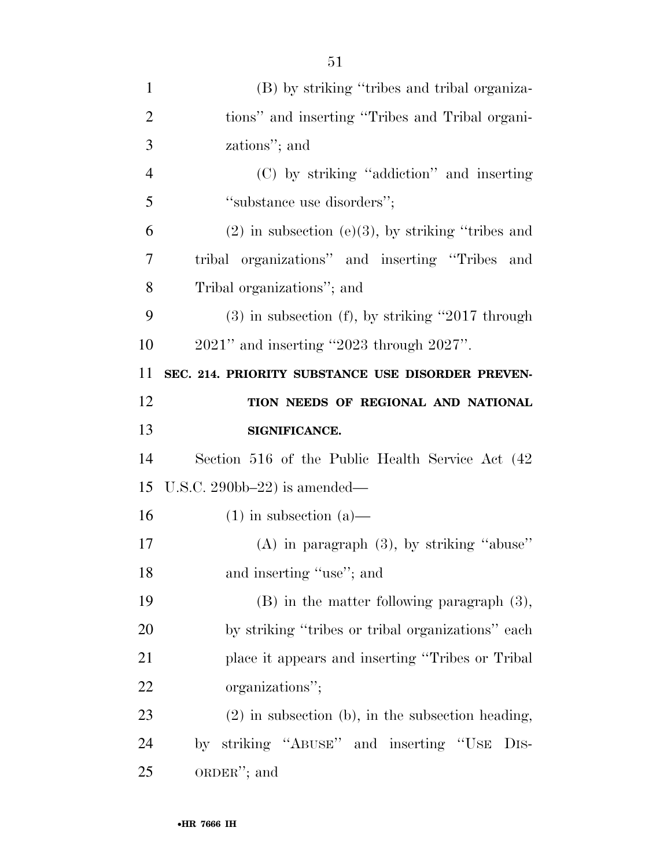| $\mathbf{1}$   | (B) by striking "tribes and tribal organiza-           |
|----------------|--------------------------------------------------------|
| $\overline{2}$ | tions" and inserting "Tribes and Tribal organi-        |
| 3              | zations"; and                                          |
| $\overline{4}$ | (C) by striking "addiction" and inserting              |
| 5              | "substance use disorders";                             |
| 6              | $(2)$ in subsection $(e)(3)$ , by striking "tribes and |
| $\overline{7}$ | tribal organizations" and inserting "Tribes and        |
| 8              | Tribal organizations"; and                             |
| 9              | $(3)$ in subsection $(f)$ , by striking "2017 through  |
| 10             | $2021$ " and inserting "2023 through $2027$ ".         |
| 11             | SEC. 214. PRIORITY SUBSTANCE USE DISORDER PREVEN-      |
| 12             | TION NEEDS OF REGIONAL AND NATIONAL                    |
| 13             | SIGNIFICANCE.                                          |
| 14             | Section 516 of the Public Health Service Act (42)      |
| 15             | U.S.C. 290bb-22) is amended—                           |
| 16             | $(1)$ in subsection $(a)$ —                            |
| 17             | $(A)$ in paragraph $(3)$ , by striking "abuse"         |
| 18             | and inserting "use"; and                               |
| 19             | $(B)$ in the matter following paragraph $(3)$ ,        |
| 20             | by striking "tribes or tribal organizations" each      |
| 21             | place it appears and inserting "Tribes or Tribal"      |
| 22             | organizations";                                        |
| 23             | $(2)$ in subsection (b), in the subsection heading,    |
| 24             | striking "ABUSE" and inserting "USE DIS-<br>by         |
| 25             | $ORDER''$ ; and                                        |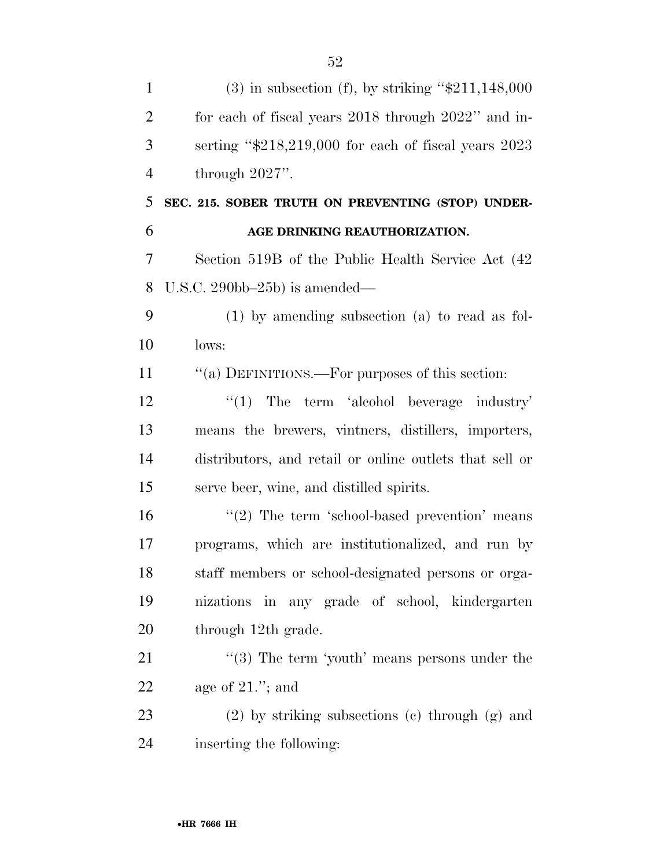| $\mathbf{1}$   | $(3)$ in subsection (f), by striking "\$211,148,000      |
|----------------|----------------------------------------------------------|
| $\overline{2}$ | for each of fiscal years 2018 through 2022" and in-      |
| 3              | serting " $$218,219,000$ for each of fiscal years $2023$ |
| $\overline{4}$ | through $2027$ ".                                        |
| 5              | SEC. 215. SOBER TRUTH ON PREVENTING (STOP) UNDER-        |
| 6              | AGE DRINKING REAUTHORIZATION.                            |
| $\overline{7}$ | Section 519B of the Public Health Service Act (42)       |
| 8              | U.S.C. $290bb-25b$ ) is amended—                         |
| 9              | $(1)$ by amending subsection $(a)$ to read as fol-       |
| 10             | lows:                                                    |
| 11             | "(a) DEFINITIONS.—For purposes of this section:          |
| 12             | $\lq(1)$ The term 'alcohol beverage industry'            |
| 13             | means the brewers, vintners, distillers, importers,      |
| 14             | distributors, and retail or online outlets that sell or  |
| 15             | serve beer, wine, and distilled spirits.                 |
| 16             | $"(2)$ The term 'school-based prevention' means          |
| 17             | programs, which are institutionalized, and run by        |
| 18             | staff members or school-designated persons or orga-      |
| 19             | nizations in any grade of school, kindergarten           |
| 20             | through 12th grade.                                      |
| 21             | "(3) The term 'youth' means persons under the            |
| 22             | age of $21$ ."; and                                      |
| 23             | $(2)$ by striking subsections $(e)$ through $(g)$ and    |
| 24             | inserting the following:                                 |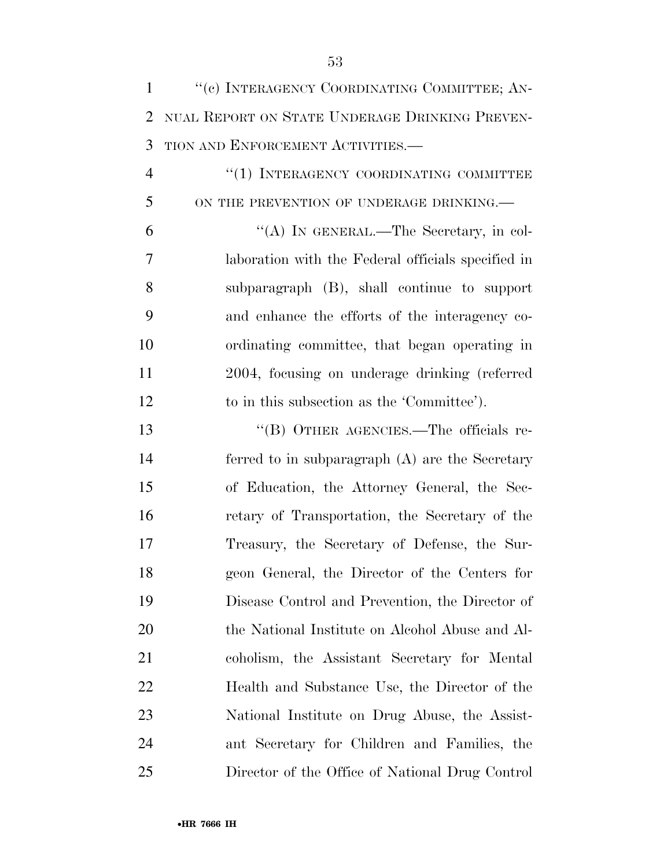| $\mathbf{1}$   | "(c) INTERAGENCY COORDINATING COMMITTEE; AN-       |
|----------------|----------------------------------------------------|
| 2              | NUAL REPORT ON STATE UNDERAGE DRINKING PREVEN-     |
| 3              | TION AND ENFORCEMENT ACTIVITIES.-                  |
| $\overline{4}$ | "(1) INTERAGENCY COORDINATING COMMITTEE            |
| 5              | ON THE PREVENTION OF UNDERAGE DRINKING.            |
| 6              | "(A) IN GENERAL.—The Secretary, in col-            |
| 7              | laboration with the Federal officials specified in |
| 8              | subparagraph (B), shall continue to support        |
| 9              | and enhance the efforts of the interagency co-     |
| 10             | ordinating committee, that began operating in      |
| 11             | 2004, focusing on underage drinking (referred      |
| 12             | to in this subsection as the 'Committee').         |
| 13             | "(B) OTHER AGENCIES.—The officials re-             |
| 14             | ferred to in subparagraph $(A)$ are the Secretary  |
| 15             | of Education, the Attorney General, the Sec-       |
| 16             | retary of Transportation, the Secretary of the     |
| 17             | Treasury, the Secretary of Defense, the Sur-       |
| 18             | geon General, the Director of the Centers for      |
| 19             | Disease Control and Prevention, the Director of    |
| 20             | the National Institute on Alcohol Abuse and Al-    |
| 21             | coholism, the Assistant Secretary for Mental       |
| 22             | Health and Substance Use, the Director of the      |
| 23             | National Institute on Drug Abuse, the Assist-      |
| 24             | ant Secretary for Children and Families, the       |
| 25             | Director of the Office of National Drug Control    |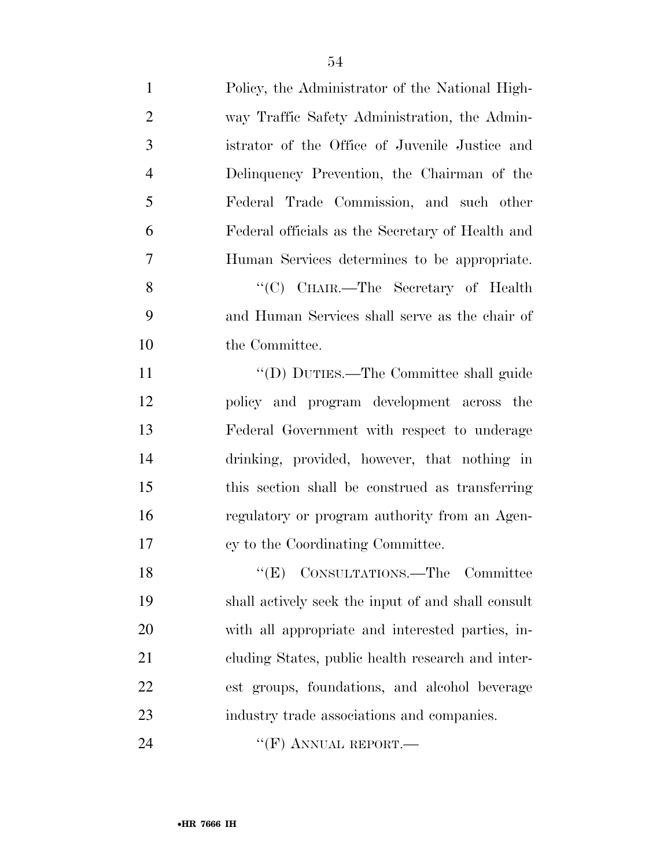| $\mathbf{1}$   | Policy, the Administrator of the National High-    |
|----------------|----------------------------------------------------|
| $\overline{2}$ | way Traffic Safety Administration, the Admin-      |
| 3              | istrator of the Office of Juvenile Justice and     |
| $\overline{4}$ | Delinquency Prevention, the Chairman of the        |
| 5              | Federal Trade Commission, and such other           |
| 6              | Federal officials as the Secretary of Health and   |
| 7              | Human Services determines to be appropriate.       |
| 8              | "(C) CHAIR.—The Secretary of Health                |
| 9              | and Human Services shall serve as the chair of     |
| 10             | the Committee.                                     |
| 11             | "(D) DUTIES.—The Committee shall guide             |
| 12             | policy and program development across the          |
| 13             | Federal Government with respect to underage        |
| 14             | drinking, provided, however, that nothing in       |
| 15             | this section shall be construed as transferring    |
| 16             | regulatory or program authority from an Agen-      |
| 17             | cy to the Coordinating Committee.                  |
| 18             | "(E) CONSULTATIONS.—The Committee                  |
| 19             | shall actively seek the input of and shall consult |
| 20             | with all appropriate and interested parties, in-   |
| 21             | cluding States, public health research and inter-  |
| 22             | est groups, foundations, and alcohol beverage      |
| 23             | industry trade associations and companies.         |
| 24             | "(F) ANNUAL REPORT.—                               |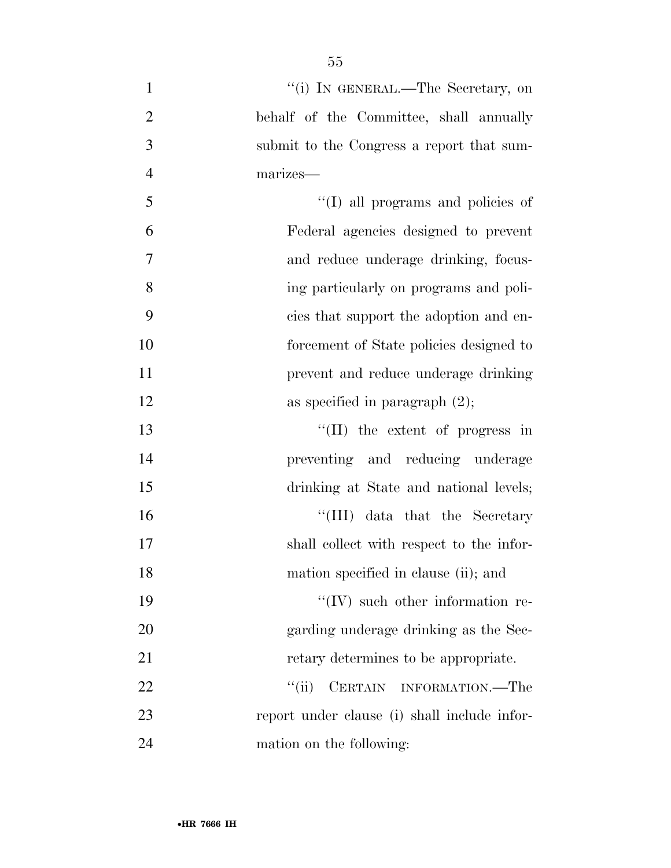| $\mathbf{1}$   | "(i) IN GENERAL.—The Secretary, on           |
|----------------|----------------------------------------------|
| $\mathbf{2}$   | behalf of the Committee, shall annually      |
| 3              | submit to the Congress a report that sum-    |
| $\overline{4}$ | marizes-                                     |
| 5              | "(I) all programs and policies of            |
| 6              | Federal agencies designed to prevent         |
| 7              | and reduce underage drinking, focus-         |
| 8              | ing particularly on programs and poli-       |
| 9              | cies that support the adoption and en-       |
| 10             | forcement of State policies designed to      |
| 11             | prevent and reduce underage drinking         |
| 12             | as specified in paragraph $(2)$ ;            |
| 13             | $\lq\lq$ (II) the extent of progress in      |
| 14             | preventing and reducing underage             |
| 15             | drinking at State and national levels;       |
| 16             | "(III) data that the Secretary               |
| 17             | shall collect with respect to the infor-     |
| 18             | mation specified in clause (ii); and         |
| 19             | "(IV) such other information re-             |
| 20             | garding underage drinking as the Sec-        |
| 21             | retary determines to be appropriate.         |
| 22             | ``(ii)<br>CERTAIN INFORMATION.—The           |
| 23             | report under clause (i) shall include infor- |
| 24             | mation on the following:                     |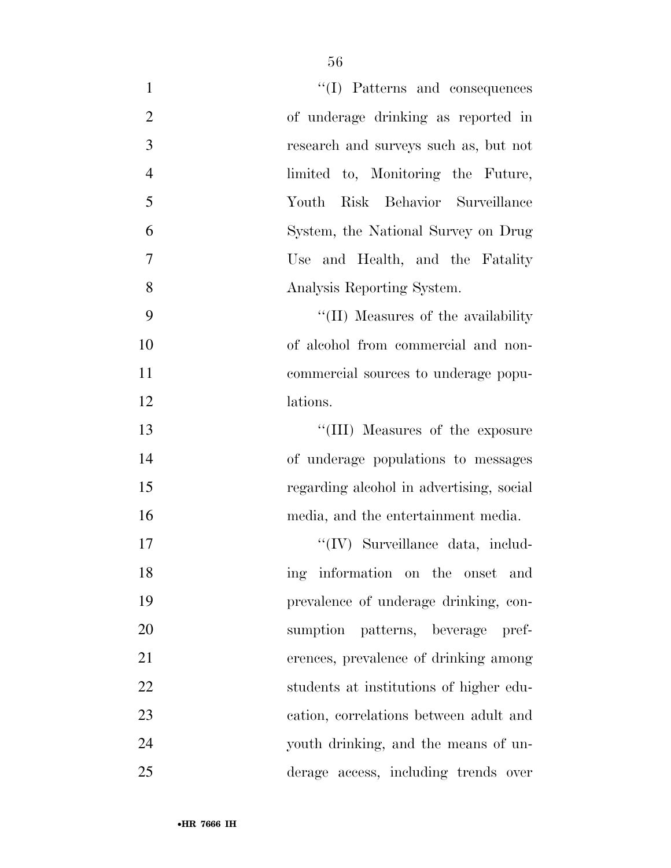| $\mathbf{1}$   | "(I) Patterns and consequences           |
|----------------|------------------------------------------|
| $\overline{2}$ | of underage drinking as reported in      |
| 3              | research and surveys such as, but not    |
| $\overline{4}$ | limited to, Monitoring the Future,       |
| 5              | Risk Behavior Surveillance<br>Youth      |
| 6              | System, the National Survey on Drug      |
| $\tau$         | Use and Health, and the Fatality         |
| 8              | Analysis Reporting System.               |
| 9              | "(II) Measures of the availability"      |
| 10             | of alcohol from commercial and non-      |
| 11             | commercial sources to underage popu-     |
| 12             | lations.                                 |
| 13             | "(III) Measures of the exposure          |
| 14             | of underage populations to messages      |
| 15             | regarding alcohol in advertising, social |
| 16             | media, and the entertainment media.      |
| 17             | $\lq\lq$ (IV) Surveillance data, includ- |
| 18             | ing information on the onset and         |
| 19             | prevalence of underage drinking, con-    |
| 20             | sumption patterns, beverage pref-        |
| 21             | erences, prevalence of drinking among    |
| 22             | students at institutions of higher edu-  |
| 23             | cation, correlations between adult and   |
| 24             | youth drinking, and the means of un-     |
| 25             | derage access, including trends over     |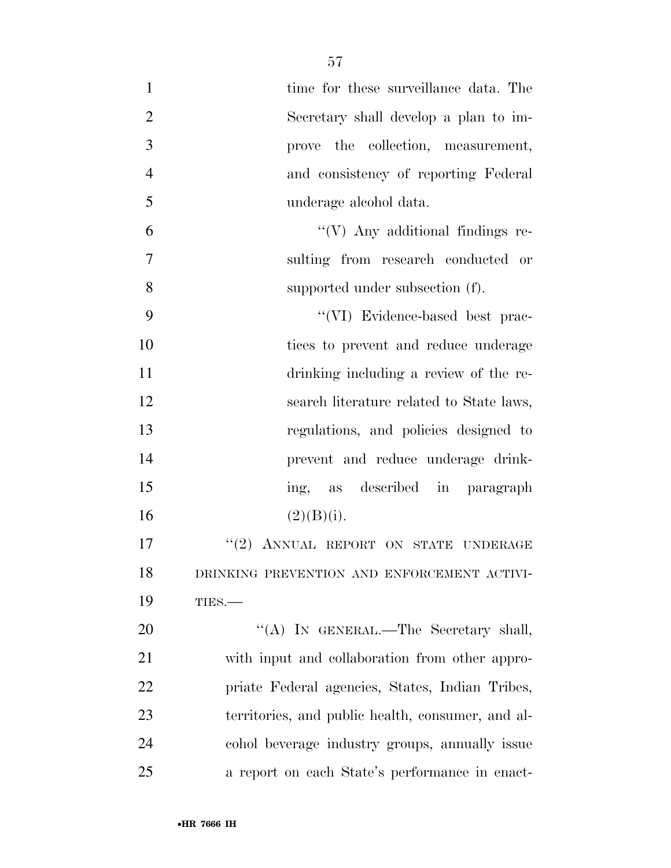| $\mathbf{1}$   | time for these surveillance data. The             |
|----------------|---------------------------------------------------|
| $\overline{2}$ | Secretary shall develop a plan to im-             |
| 3              | prove the collection, measurement,                |
| $\overline{4}$ | and consistency of reporting Federal              |
| 5              | underage alcohol data.                            |
| 6              | $\lq\lq(V)$ Any additional findings re-           |
| $\overline{7}$ | sulting from research conducted or                |
| 8              | supported under subsection (f).                   |
| 9              | "(VI) Evidence-based best prac-                   |
| 10             | tices to prevent and reduce underage              |
| 11             | drinking including a review of the re-            |
| 12             | search literature related to State laws,          |
| 13             | regulations, and policies designed to             |
| 14             | prevent and reduce underage drink-                |
| 15             | as described in paragraph<br>ing,                 |
| 16             | (2)(B)(i).                                        |
| 17             | "(2) ANNUAL REPORT ON STATE UNDERAGE              |
| 18             | DRINKING PREVENTION AND ENFORCEMENT ACTIVI-       |
| 19             | TIES.-                                            |
| 20             | "(A) IN GENERAL.—The Secretary shall,             |
| 21             | with input and collaboration from other appro-    |
| 22             | priate Federal agencies, States, Indian Tribes,   |
| 23             | territories, and public health, consumer, and al- |
| 24             | cohol beverage industry groups, annually issue    |
| 25             | a report on each State's performance in enact-    |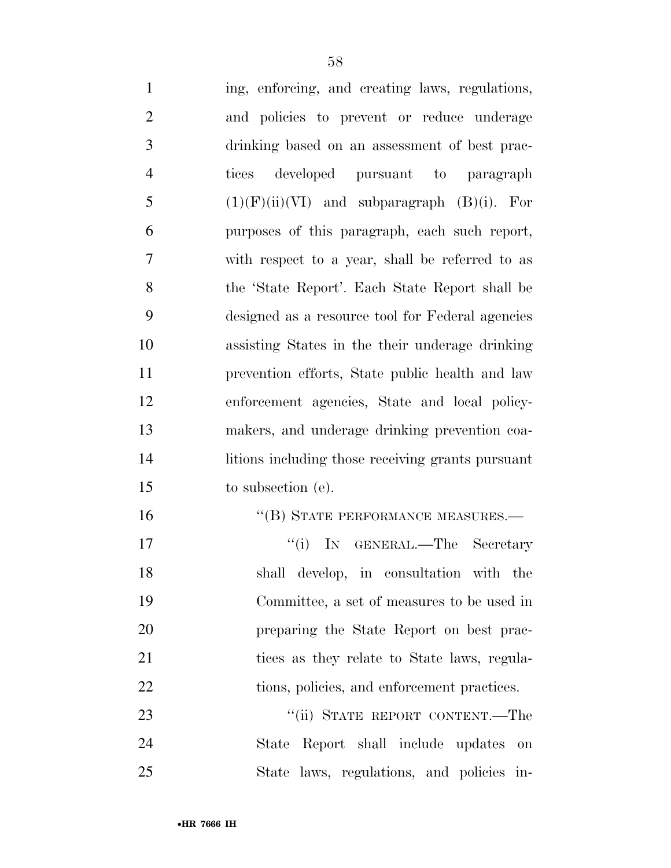| $\mathbf{1}$   | ing, enforcing, and creating laws, regulations,   |
|----------------|---------------------------------------------------|
| $\overline{2}$ | and policies to prevent or reduce underage        |
| $\mathfrak{Z}$ | drinking based on an assessment of best prac-     |
| $\overline{4}$ | developed pursuant to paragraph<br>tices          |
| 5              | $(1)(F)(ii)(VI)$ and subparagraph $(B)(i)$ . For  |
| 6              | purposes of this paragraph, each such report,     |
| $\overline{7}$ | with respect to a year, shall be referred to as   |
| 8              | the 'State Report'. Each State Report shall be    |
| 9              | designed as a resource tool for Federal agencies  |
| 10             | assisting States in the their underage drinking   |
| 11             | prevention efforts, State public health and law   |
| 12             | enforcement agencies, State and local policy-     |
| 13             | makers, and underage drinking prevention coa-     |
| 14             | litions including those receiving grants pursuant |
| 15             | to subsection (e).                                |
| 16             | "(B) STATE PERFORMANCE MEASURES.-                 |
| 17             | "(i) IN GENERAL.—The Secretary                    |
| 18             | shall develop, in consultation with the           |
| 19             | Committee, a set of measures to be used in        |
| 20             | preparing the State Report on best prac-          |
| 21             | tices as they relate to State laws, regula-       |
| 22             | tions, policies, and enforcement practices.       |
| 23             | "(ii) STATE REPORT CONTENT.—The                   |
| 24             | State Report shall include updates<br><b>on</b>   |
| 25             | State laws, regulations, and policies in-         |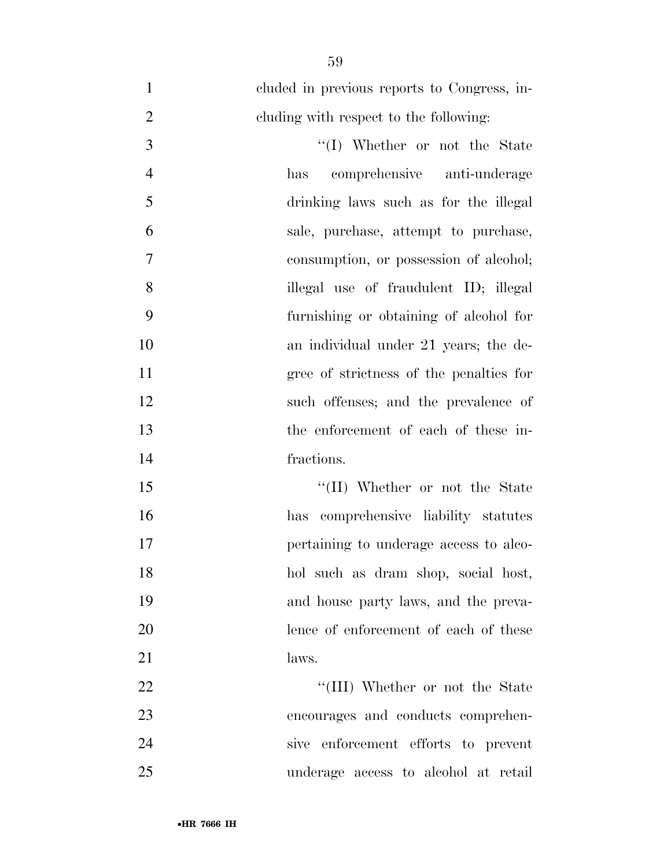cluded in previous reports to Congress, in- cluding with respect to the following: 3 ''(I) Whether or not the State has comprehensive anti-underage drinking laws such as for the illegal sale, purchase, attempt to purchase, consumption, or possession of alcohol; illegal use of fraudulent ID; illegal furnishing or obtaining of alcohol for an individual under 21 years; the de- gree of strictness of the penalties for such offenses; and the prevalence of the enforcement of each of these in- fractions. ''(II) Whether or not the State

 has comprehensive liability statutes pertaining to underage access to alco- hol such as dram shop, social host, and house party laws, and the preva- lence of enforcement of each of these 21 laws.

22 ''(III) Whether or not the State encourages and conducts comprehen- sive enforcement efforts to prevent underage access to alcohol at retail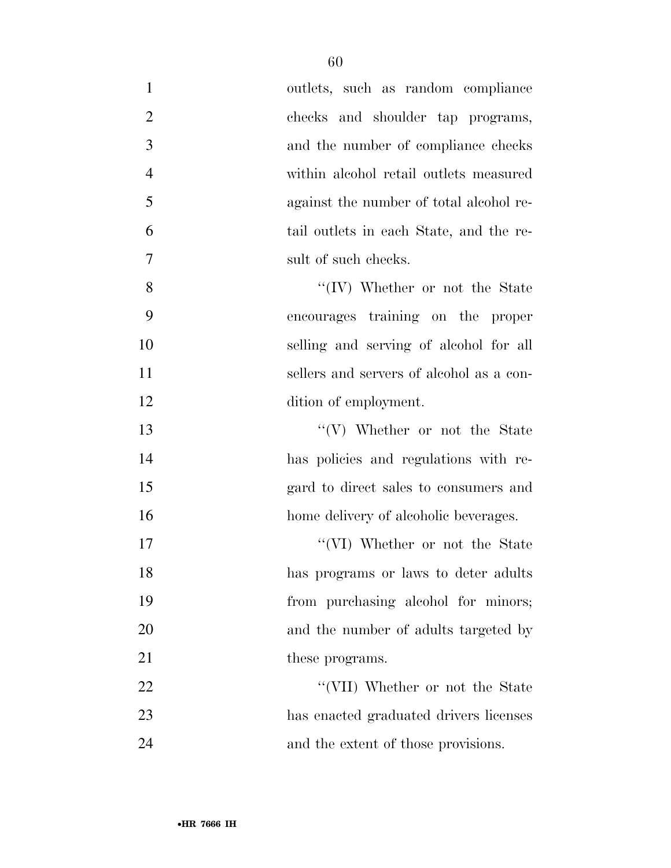| $\mathbf{1}$   | outlets, such as random compliance       |
|----------------|------------------------------------------|
| $\overline{2}$ | checks and shoulder tap programs,        |
| 3              | and the number of compliance checks      |
| $\overline{4}$ | within alcohol retail outlets measured   |
| 5              | against the number of total alcohol re-  |
| 6              | tail outlets in each State, and the re-  |
| 7              | sult of such checks.                     |
| 8              | "(IV) Whether or not the State           |
| 9              | encourages training on the proper        |
| 10             | selling and serving of alcohol for all   |
| 11             | sellers and servers of alcohol as a con- |
| 12             | dition of employment.                    |
| 13             | $\lq\lq (V)$ Whether or not the State    |
| 14             | has policies and regulations with re-    |
| 15             | gard to direct sales to consumers and    |
| 16             | home delivery of alcoholic beverages.    |
| 17             | "(VI) Whether or not the State           |
| 18             | has programs or laws to deter adults     |
| 19             | from purchasing alcohol for minors;      |
| 20             | and the number of adults targeted by     |
| 21             | these programs.                          |
| 22             | "(VII) Whether or not the State          |
| 23             | has enacted graduated drivers licenses   |
| 24             | and the extent of those provisions.      |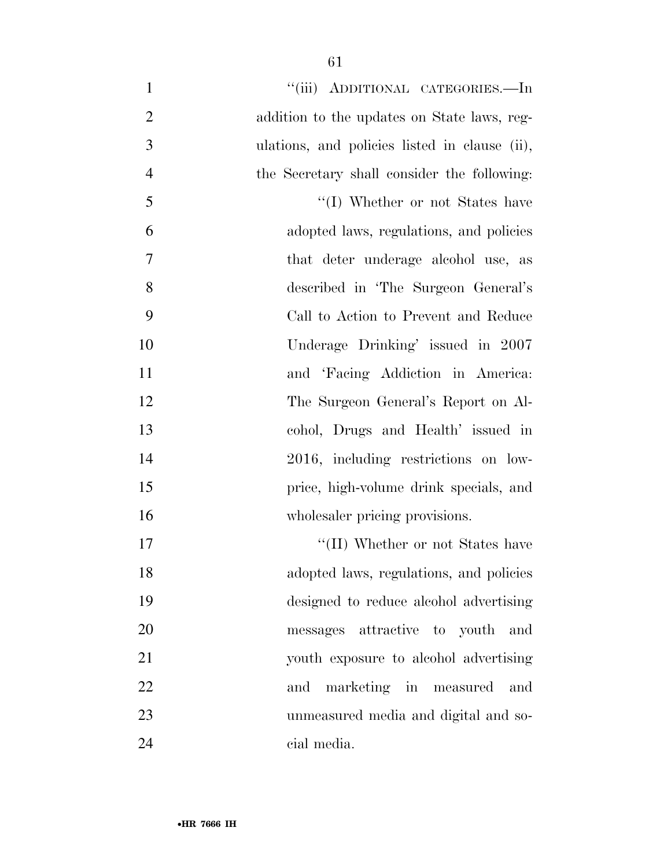| $\mathbf{1}$   | "(iii) ADDITIONAL CATEGORIES.—In              |
|----------------|-----------------------------------------------|
| $\overline{2}$ | addition to the updates on State laws, reg-   |
| 3              | ulations, and policies listed in clause (ii), |
| $\overline{4}$ | the Secretary shall consider the following:   |
| 5              | "(I) Whether or not States have               |
| 6              | adopted laws, regulations, and policies       |
| 7              | that deter underage alcohol use, as           |
| 8              | described in 'The Surgeon General's           |
| 9              | Call to Action to Prevent and Reduce          |
| 10             | Underage Drinking' issued in 2007             |
| 11             | and 'Facing Addiction in America:             |
| 12             | The Surgeon General's Report on Al-           |
| 13             | cohol, Drugs and Health' issued in            |
| 14             | 2016, including restrictions on low-          |
| 15             | price, high-volume drink specials, and        |
| 16             | wholesaler pricing provisions.                |
| 17             | "(II) Whether or not States have              |
| 18             | adopted laws, regulations, and policies       |
| 19             | designed to reduce alcohol advertising        |
| 20             | messages attractive to youth and              |
| 21             | youth exposure to alcohol advertising         |
| 22             | marketing in measured<br>and<br>and           |
| 23             | unmeasured media and digital and so-          |
| 24             | cial media.                                   |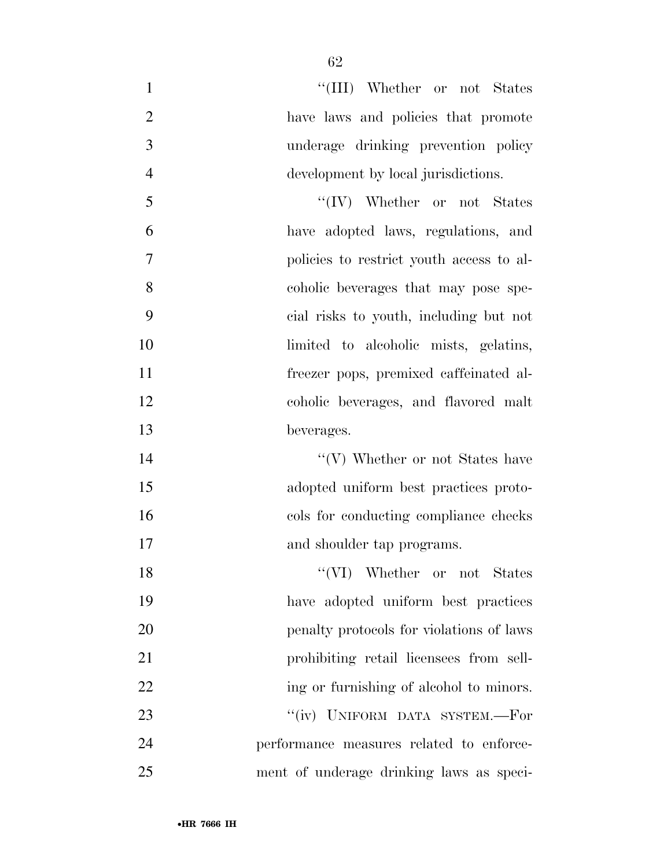| $\mathbf{1}$   | "(III) Whether or not States             |
|----------------|------------------------------------------|
| $\overline{2}$ | have laws and policies that promote      |
| 3              | underage drinking prevention policy      |
| $\overline{4}$ | development by local jurisdictions.      |
| 5              | $\lq\lq (IV)$ Whether or not States      |
| 6              | have adopted laws, regulations, and      |
| $\overline{7}$ | policies to restrict youth access to al- |
| 8              | coholic beverages that may pose spe-     |
| 9              | cial risks to youth, including but not   |
| 10             | limited to alcoholic mists, gelatins,    |
| 11             | freezer pops, premixed caffeinated al-   |
| 12             | coholic beverages, and flavored malt     |
| 13             | beverages.                               |
| 14             | "(V) Whether or not States have          |
| 15             | adopted uniform best practices proto-    |
| 16             | cols for conducting compliance checks    |
| 17             | and shoulder tap programs.               |
| 18             | "(VI) Whether or not States              |
| 19             | have adopted uniform best practices      |
| 20             | penalty protocols for violations of laws |
| 21             | prohibiting retail licensees from sell-  |
| 22             | ing or furnishing of alcohol to minors.  |
| 23             | "(iv) UNIFORM DATA SYSTEM.-For           |
| 24             | performance measures related to enforce- |
| 25             | ment of underage drinking laws as speci- |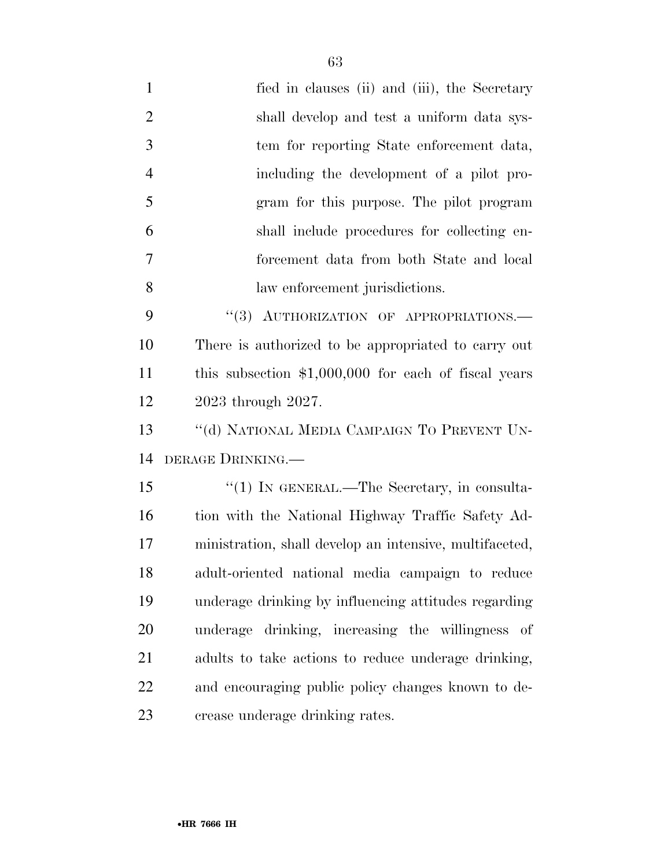- 1 fied in clauses (ii) and (iii), the Secretary shall develop and test a uniform data sys- tem for reporting State enforcement data, including the development of a pilot pro- gram for this purpose. The pilot program shall include procedures for collecting en- forcement data from both State and local law enforcement jurisdictions. 9 "(3) AUTHORIZATION OF APPROPRIATIONS. There is authorized to be appropriated to carry out this subsection \$1,000,000 for each of fiscal years 2023 through 2027. 13 "(d) NATIONAL MEDIA CAMPAIGN TO PREVENT UN- DERAGE DRINKING.— 15 "(1) IN GENERAL.—The Secretary, in consulta-16 tion with the National Highway Traffic Safety Ad- ministration, shall develop an intensive, multifaceted, adult-oriented national media campaign to reduce underage drinking by influencing attitudes regarding underage drinking, increasing the willingness of adults to take actions to reduce underage drinking, and encouraging public policy changes known to de-
- crease underage drinking rates.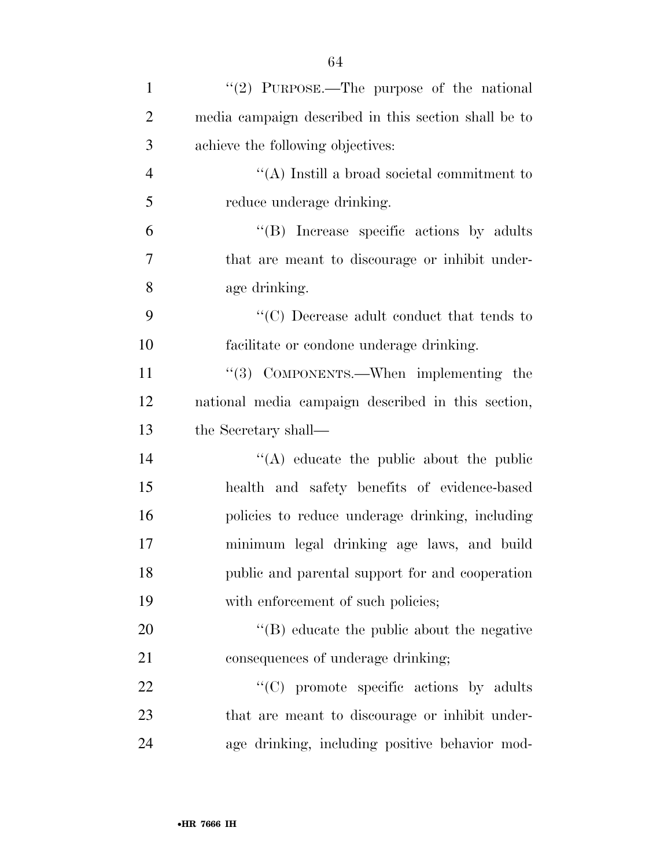| $\mathbf{1}$   | "(2) PURPOSE.—The purpose of the national            |
|----------------|------------------------------------------------------|
| $\overline{2}$ | media campaign described in this section shall be to |
| 3              | achieve the following objectives:                    |
| $\overline{4}$ | $\lq\lq$ (A) Instill a broad societal commitment to  |
| 5              | reduce underage drinking.                            |
| 6              | $\lq\lq(B)$ Increase specific actions by adults      |
| 7              | that are meant to discourage or inhibit under-       |
| 8              | age drinking.                                        |
| 9              | $\lq\lq C)$ Decrease adult conduct that tends to     |
| 10             | facilitate or condone underage drinking.             |
| 11             | $\lq(3)$ COMPONENTS.—When implementing the           |
| 12             | national media campaign described in this section,   |
| 13             | the Secretary shall—                                 |
| 14             | $\lq\lq$ educate the public about the public         |
| 15             | health and safety benefits of evidence-based         |
| 16             | policies to reduce underage drinking, including      |
| 17             | minimum legal drinking age laws, and build           |
| 18             | public and parental support for and cooperation      |
| 19             | with enforcement of such policies;                   |
| 20             | $\lq\lq$ educate the public about the negative       |
| 21             | consequences of underage drinking;                   |
| 22             | $"$ (C) promote specific actions by adults           |
| 23             | that are meant to discourage or inhibit under-       |
| 24             | age drinking, including positive behavior mod-       |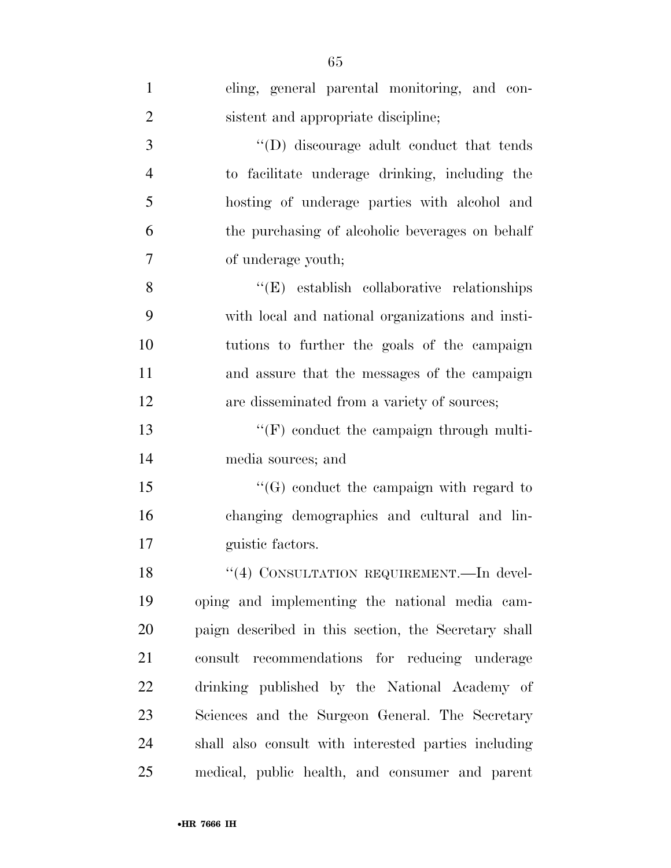| $\mathbf{1}$   | eling, general parental monitoring, and con-         |
|----------------|------------------------------------------------------|
| $\overline{2}$ | sistent and appropriate discipline;                  |
| 3              | $\lq\lq$ . (D) discourage adult conduct that tends   |
| $\overline{4}$ | to facilitate underage drinking, including the       |
| 5              | hosting of underage parties with alcohol and         |
| 6              | the purchasing of alcoholic beverages on behalf      |
| $\overline{7}$ | of underage youth;                                   |
| 8              | $\lq\lq$ (E) establish collaborative relationships   |
| 9              | with local and national organizations and insti-     |
| 10             | tutions to further the goals of the campaign         |
| 11             | and assure that the messages of the campaign         |
| 12             | are disseminated from a variety of sources;          |
| 13             | $\lq\lq(F)$ conduct the campaign through multi-      |
| 14             | media sources; and                                   |
| 15             | $\lq\lq(G)$ conduct the campaign with regard to      |
| 16             | changing demographics and cultural and lin-          |
| 17             | guistic factors.                                     |
| 18             | "(4) CONSULTATION REQUIREMENT. - In devel-           |
| 19             | oping and implementing the national media cam-       |
| 20             | paign described in this section, the Secretary shall |
| 21             | consult recommendations for reducing underage        |
| 22             | drinking published by the National Academy of        |
| 23             | Sciences and the Surgeon General. The Secretary      |
| 24             | shall also consult with interested parties including |
| 25             | medical, public health, and consumer and parent      |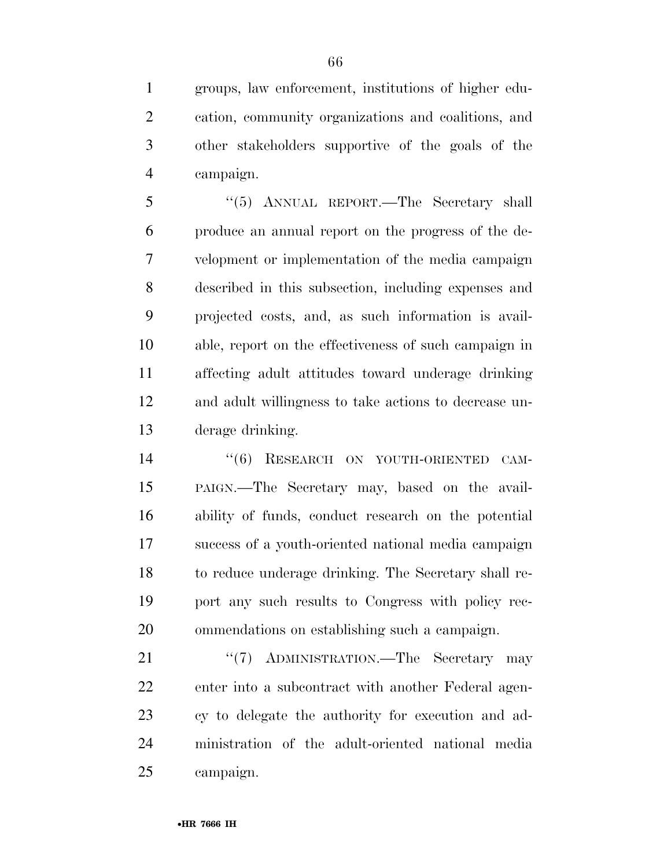groups, law enforcement, institutions of higher edu- cation, community organizations and coalitions, and other stakeholders supportive of the goals of the campaign.

 ''(5) ANNUAL REPORT.—The Secretary shall produce an annual report on the progress of the de- velopment or implementation of the media campaign described in this subsection, including expenses and projected costs, and, as such information is avail- able, report on the effectiveness of such campaign in affecting adult attitudes toward underage drinking and adult willingness to take actions to decrease un-derage drinking.

14 "(6) RESEARCH ON YOUTH-ORIENTED CAM- PAIGN.—The Secretary may, based on the avail- ability of funds, conduct research on the potential success of a youth-oriented national media campaign to reduce underage drinking. The Secretary shall re- port any such results to Congress with policy rec-ommendations on establishing such a campaign.

21 "'(7) ADMINISTRATION.—The Secretary may enter into a subcontract with another Federal agen- cy to delegate the authority for execution and ad- ministration of the adult-oriented national media campaign.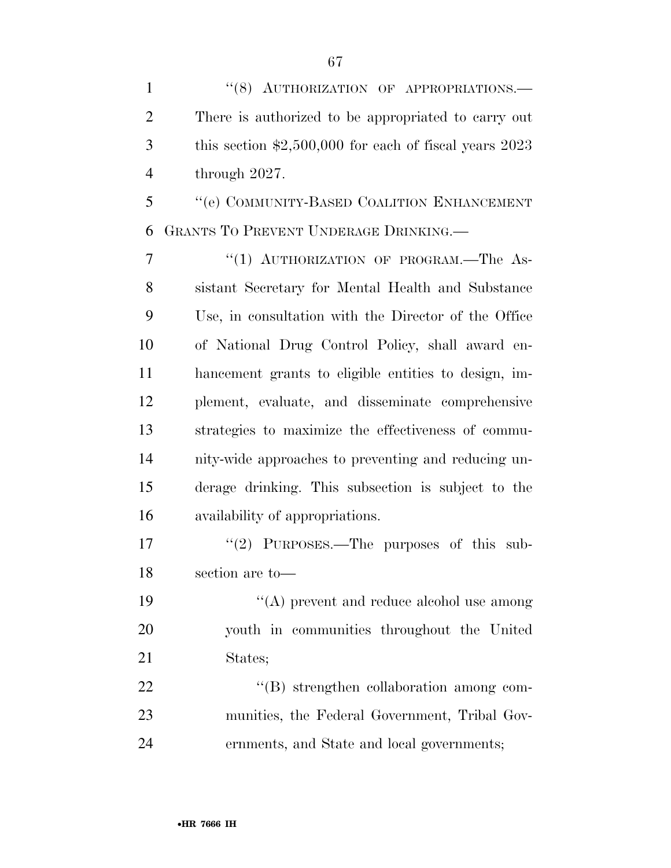1 "(8) AUTHORIZATION OF APPROPRIATIONS.— There is authorized to be appropriated to carry out this section \$2,500,000 for each of fiscal years 2023 through 2027.

 ''(e) COMMUNITY-BASED COALITION ENHANCEMENT GRANTS TO PREVENT UNDERAGE DRINKING.—

7 "(1) AUTHORIZATION OF PROGRAM.—The As- sistant Secretary for Mental Health and Substance Use, in consultation with the Director of the Office of National Drug Control Policy, shall award en- hancement grants to eligible entities to design, im- plement, evaluate, and disseminate comprehensive strategies to maximize the effectiveness of commu- nity-wide approaches to preventing and reducing un- derage drinking. This subsection is subject to the availability of appropriations.

17 "(2) PURPOSES.—The purposes of this sub-section are to—

19 ''(A) prevent and reduce alcohol use among youth in communities throughout the United States;

22  $\text{``(B) strengthen collaboration among com-}$  munities, the Federal Government, Tribal Gov-ernments, and State and local governments;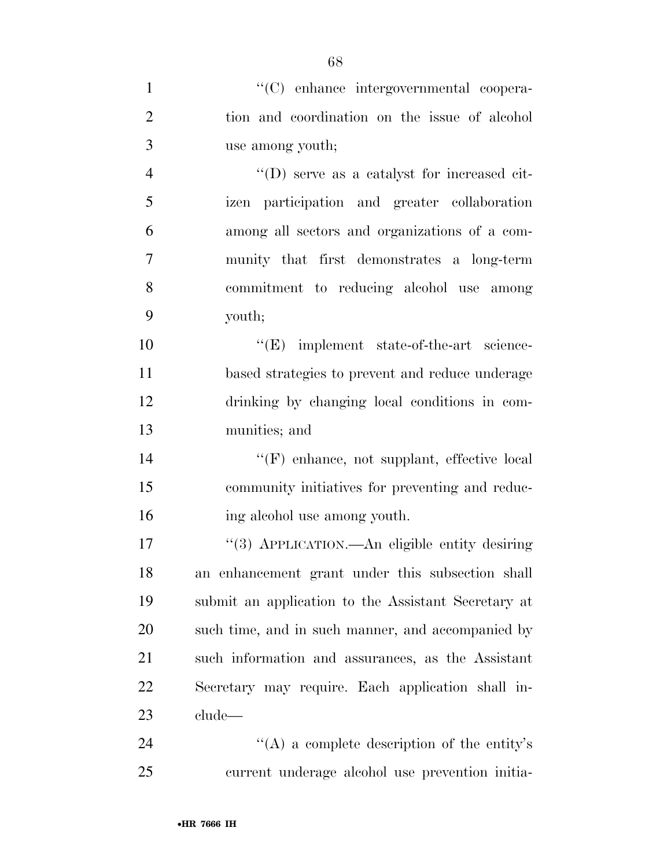| $\mathbf{1}$   | "(C) enhance intergovernmental coopera-             |
|----------------|-----------------------------------------------------|
| $\mathfrak{2}$ | tion and coordination on the issue of alcohol       |
| 3              | use among youth;                                    |
| $\overline{4}$ | $\lq\lq$ (D) serve as a catalyst for increased cit- |
| 5              | izen participation and greater collaboration        |
| 6              | among all sectors and organizations of a com-       |
| $\overline{7}$ | munity that first demonstrates a long-term          |
| 8              | commitment to reducing alcohol use among            |
| 9              | youth;                                              |
| 10             | $\lq\lq(E)$ implement state-of-the-art science-     |
| 11             | based strategies to prevent and reduce underage     |
| 12             | drinking by changing local conditions in com-       |
| 13             | munities; and                                       |
| 14             | "(F) enhance, not supplant, effective local         |
| 15             | community initiatives for preventing and reduc-     |
| 16             | ing alcohol use among youth.                        |
| 17             | "(3) APPLICATION.—An eligible entity desiring       |
| 18             | an enhancement grant under this subsection shall    |
| 19             | submit an application to the Assistant Secretary at |
| 20             | such time, and in such manner, and accompanied by   |
| 21             | such information and assurances, as the Assistant   |
| 22             | Secretary may require. Each application shall in-   |
| 23             | clude—                                              |
| 24             | "(A) a complete description of the entity's         |
| 25             | current underage alcohol use prevention initia-     |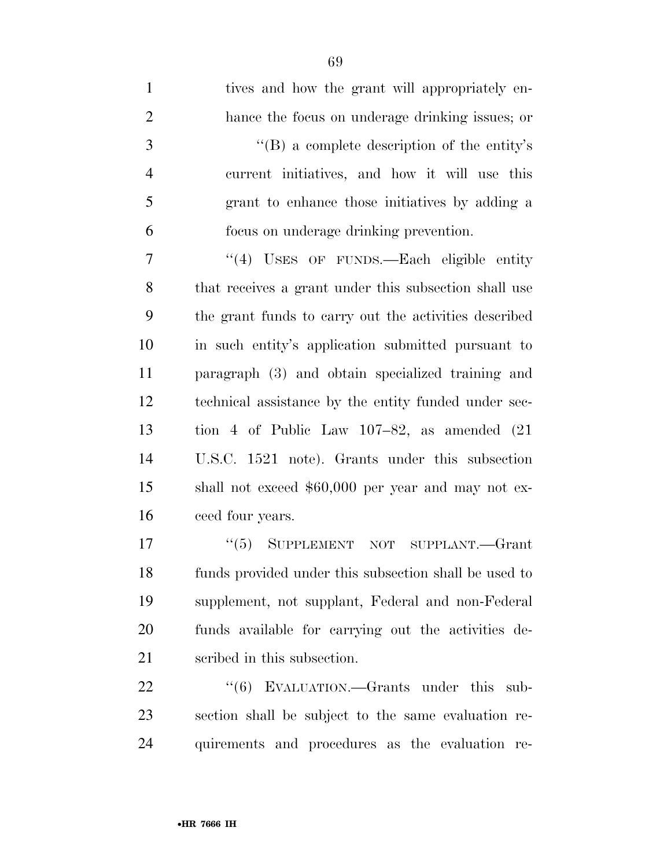| $\mathbf{1}$   | tives and how the grant will appropriately en-        |
|----------------|-------------------------------------------------------|
| $\mathfrak{2}$ | hance the focus on underage drinking issues; or       |
| 3              | $\lq\lq (B)$ a complete description of the entity's   |
| $\overline{4}$ | current initiatives, and how it will use this         |
| 5              | grant to enhance those initiatives by adding a        |
| 6              | focus on underage drinking prevention.                |
| $\tau$         | $\cdot$ (4) USES OF FUNDS.—Each eligible entity       |
| 8              | that receives a grant under this subsection shall use |
| 9              | the grant funds to carry out the activities described |
| 10             | in such entity's application submitted pursuant to    |
| 11             | paragraph (3) and obtain specialized training and     |
| 12             | technical assistance by the entity funded under sec-  |
| 13             | tion 4 of Public Law $107-82$ , as amended $(21)$     |
| 14             | U.S.C. 1521 note). Grants under this subsection       |
| 15             | shall not exceed \$60,000 per year and may not ex-    |
| 16             | ceed four years.                                      |
| 17             | $(5)$ SUPPLEMENT NOT SUPPLANT. Grant                  |
| 18             | funds provided under this subsection shall be used to |
| 19             | supplement, not supplant, Federal and non-Federal     |
| 20             | funds available for carrying out the activities de-   |
| 21             | scribed in this subsection.                           |
| 22             | "(6) EVALUATION.—Grants under this sub-               |
| $\sim$         |                                                       |

 section shall be subject to the same evaluation re-quirements and procedures as the evaluation re-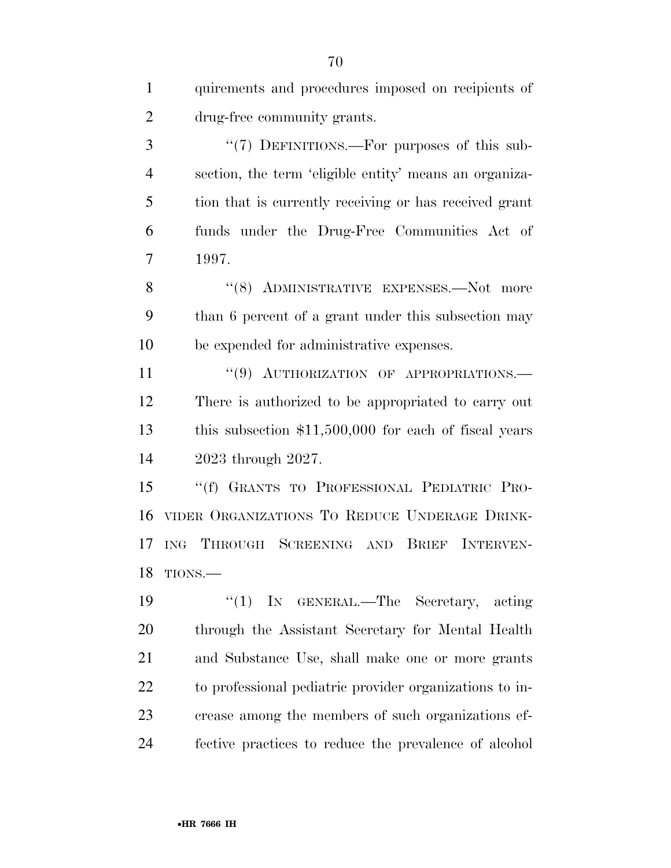| $\mathbf{1}$   | quirements and procedures imposed on recipients of      |
|----------------|---------------------------------------------------------|
| $\overline{2}$ | drug-free community grants.                             |
| 3              | "(7) DEFINITIONS.—For purposes of this sub-             |
| $\overline{4}$ | section, the term 'eligible entity' means an organiza-  |
| 5              | tion that is currently receiving or has received grant  |
| 6              | funds under the Drug-Free Communities Act of            |
| $\overline{7}$ | 1997.                                                   |
| 8              | "(8) ADMINISTRATIVE EXPENSES.—Not more                  |
| 9              | than 6 percent of a grant under this subsection may     |
| 10             | be expended for administrative expenses.                |
| 11             | "(9) AUTHORIZATION OF APPROPRIATIONS.                   |
| 12             | There is authorized to be appropriated to carry out     |
| 13             | this subsection $$11,500,000$ for each of fiscal years  |
| 14             | 2023 through 2027.                                      |
| 15             | "(f) GRANTS TO PROFESSIONAL PEDIATRIC PRO-              |
| 16             | VIDER ORGANIZATIONS TO REDUCE UNDERAGE DRINK-           |
| 17             | THROUGH SCREENING AND BRIEF INTERVEN-<br><b>ING</b>     |
| 18             | TIONS.                                                  |
| 19             | "(1) IN GENERAL.—The Secretary,<br>acting               |
| 20             | through the Assistant Secretary for Mental Health       |
| 21             | and Substance Use, shall make one or more grants        |
| 22             | to professional pediatric provider organizations to in- |
| 23             | crease among the members of such organizations ef-      |
| 24             | fective practices to reduce the prevalence of alcohol   |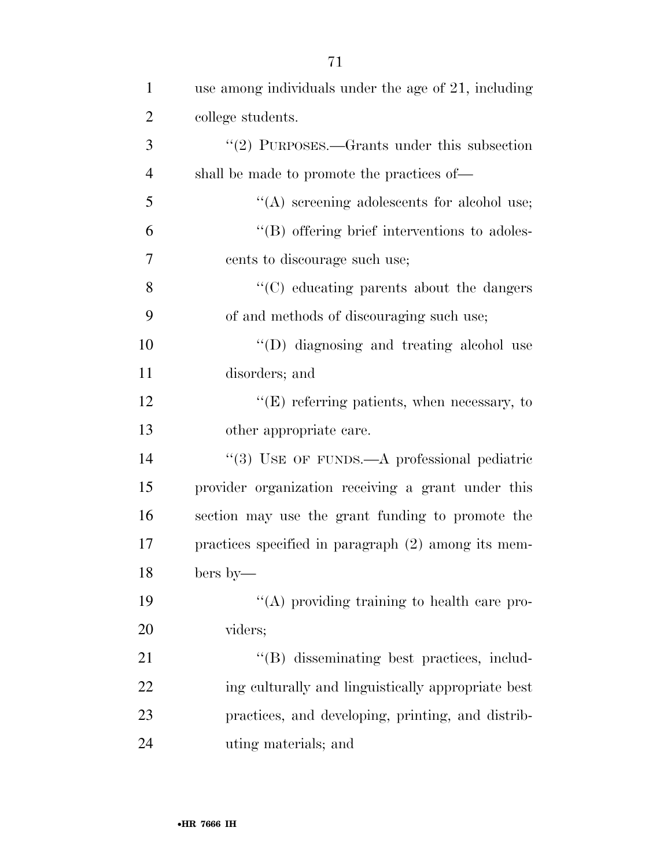| $\mathbf{1}$   | use among individuals under the age of 21, including |
|----------------|------------------------------------------------------|
| $\overline{2}$ | college students.                                    |
| 3              | "(2) PURPOSES.—Grants under this subsection          |
| $\overline{4}$ | shall be made to promote the practices of—           |
| 5              | "(A) screening adolescents for alcohol use;          |
| 6              | "(B) offering brief interventions to adoles-         |
| 7              | cents to discourage such use;                        |
| 8              | "(C) educating parents about the dangers             |
| 9              | of and methods of discouraging such use;             |
| 10             | "(D) diagnosing and treating alcohol use             |
| 11             | disorders; and                                       |
| 12             | $\lq\lq(E)$ referring patients, when necessary, to   |
| 13             | other appropriate care.                              |
| 14             | "(3) USE OF FUNDS.—A professional pediatric          |
| 15             | provider organization receiving a grant under this   |
| 16             | section may use the grant funding to promote the     |
| 17             | practices specified in paragraph (2) among its mem-  |
| 18             | bers by—                                             |
| 19             | "(A) providing training to health care pro-          |
| 20             | viders;                                              |
| 21             | "(B) disseminating best practices, includ-           |
| 22             | ing culturally and linguistically appropriate best   |
| 23             | practices, and developing, printing, and distrib-    |
| 24             | uting materials; and                                 |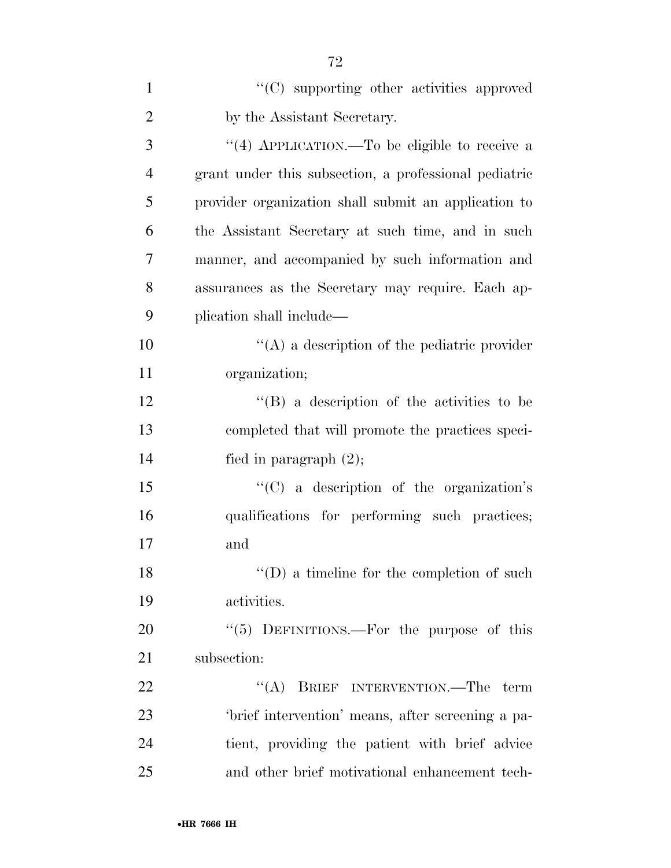| $\mathbf{1}$   | "(C) supporting other activities approved             |
|----------------|-------------------------------------------------------|
| $\overline{2}$ | by the Assistant Secretary.                           |
| 3              | "(4) APPLICATION.—To be eligible to receive a         |
| $\overline{4}$ | grant under this subsection, a professional pediatric |
| 5              | provider organization shall submit an application to  |
| 6              | the Assistant Secretary at such time, and in such     |
| 7              | manner, and accompanied by such information and       |
| 8              | assurances as the Secretary may require. Each ap-     |
| 9              | plication shall include—                              |
| 10             | $\lq\lq$ a description of the pediatric provider      |
| 11             | organization;                                         |
| 12             | "(B) a description of the activities to be            |
| 13             | completed that will promote the practices speci-      |
| 14             | fied in paragraph $(2)$ ;                             |
| 15             | "(C) a description of the organization's              |
| 16             | qualifications for performing such practices;         |
| 17             | and                                                   |
| 18             | $\lq\lq$ (D) a timeline for the completion of such    |
| 19             | activities.                                           |
| 20             | " $(5)$ DEFINITIONS.—For the purpose of this          |
| 21             | subsection:                                           |
| 22             | "(A) BRIEF INTERVENTION.—The term                     |
| 23             | 'brief intervention' means, after screening a pa-     |
| 24             | tient, providing the patient with brief advice        |
| 25             | and other brief motivational enhancement tech-        |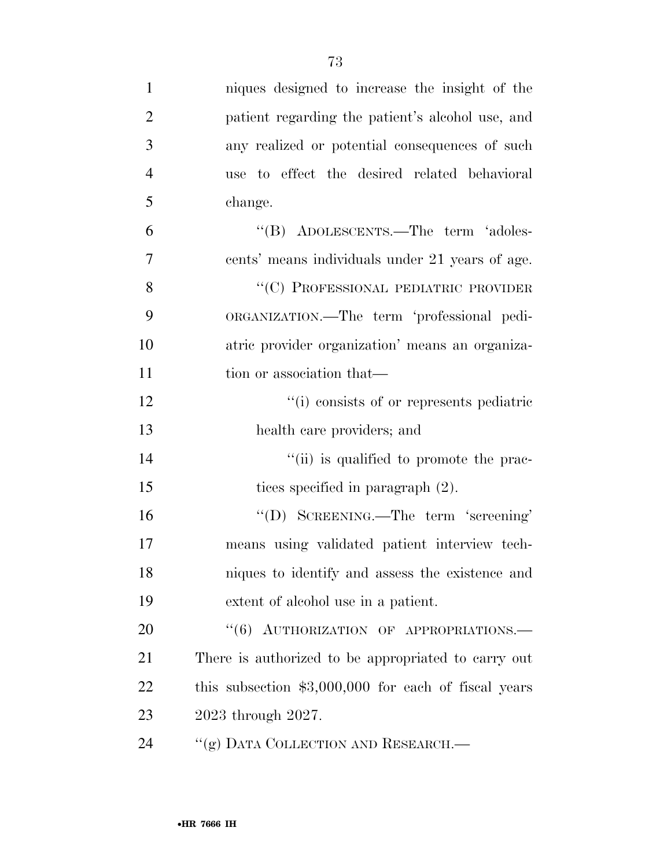| $\mathbf{1}$   | niques designed to increase the insight of the        |
|----------------|-------------------------------------------------------|
| $\overline{2}$ | patient regarding the patient's alcohol use, and      |
| 3              | any realized or potential consequences of such        |
| $\overline{4}$ | use to effect the desired related behavioral          |
| 5              | change.                                               |
| 6              | "(B) ADOLESCENTS.—The term 'adoles-                   |
| $\overline{7}$ | cents' means individuals under 21 years of age.       |
| 8              | "(C) PROFESSIONAL PEDIATRIC PROVIDER                  |
| 9              | ORGANIZATION.—The term 'professional pedi-            |
| 10             | atric provider organization' means an organiza-       |
| 11             | tion or association that—                             |
| 12             | "(i) consists of or represents pediatric              |
| 13             | health care providers; and                            |
| 14             | "(ii) is qualified to promote the prac-               |
| 15             | tices specified in paragraph (2).                     |
| 16             | "(D) SCREENING.—The term 'screening'                  |
| 17             | means using validated patient interview tech-         |
| 18             | niques to identify and assess the existence and       |
| 19             | extent of alcohol use in a patient.                   |
| 20             | "(6) AUTHORIZATION OF APPROPRIATIONS.-                |
| 21             | There is authorized to be appropriated to carry out   |
| 22             | this subsection $$3,000,000$ for each of fiscal years |
| 23             | 2023 through 2027.                                    |
| 24             | "(g) DATA COLLECTION AND RESEARCH.—                   |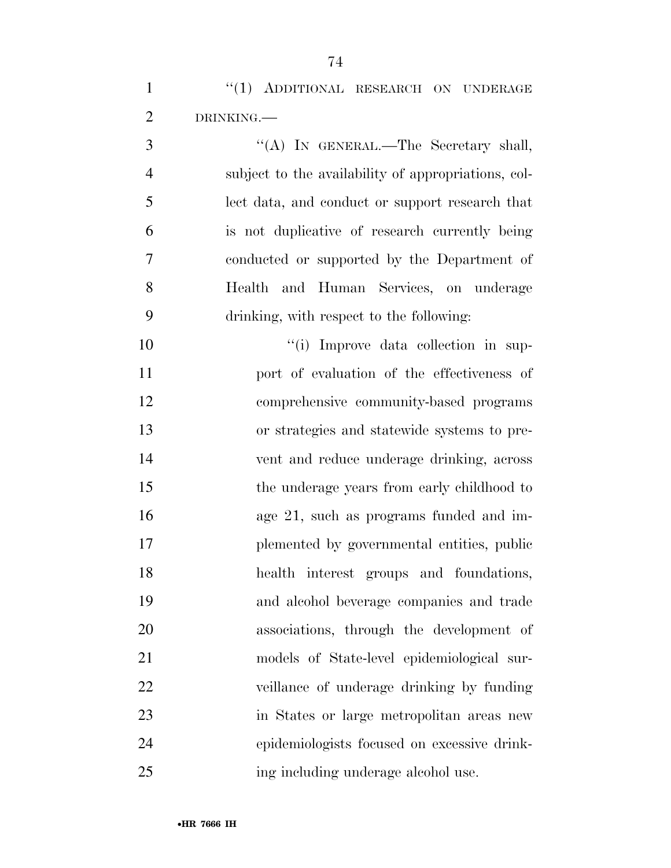1 "(1) ADDITIONAL RESEARCH ON UNDERAGE DRINKING.—

 ''(A) IN GENERAL.—The Secretary shall, subject to the availability of appropriations, col- lect data, and conduct or support research that is not duplicative of research currently being conducted or supported by the Department of Health and Human Services, on underage drinking, with respect to the following:

 $\frac{10}{10}$  Improve data collection in sup- port of evaluation of the effectiveness of comprehensive community-based programs or strategies and statewide systems to pre- vent and reduce underage drinking, across 15 the underage years from early childhood to age 21, such as programs funded and im- plemented by governmental entities, public health interest groups and foundations, and alcohol beverage companies and trade associations, through the development of models of State-level epidemiological sur- veillance of underage drinking by funding in States or large metropolitan areas new epidemiologists focused on excessive drink-ing including underage alcohol use.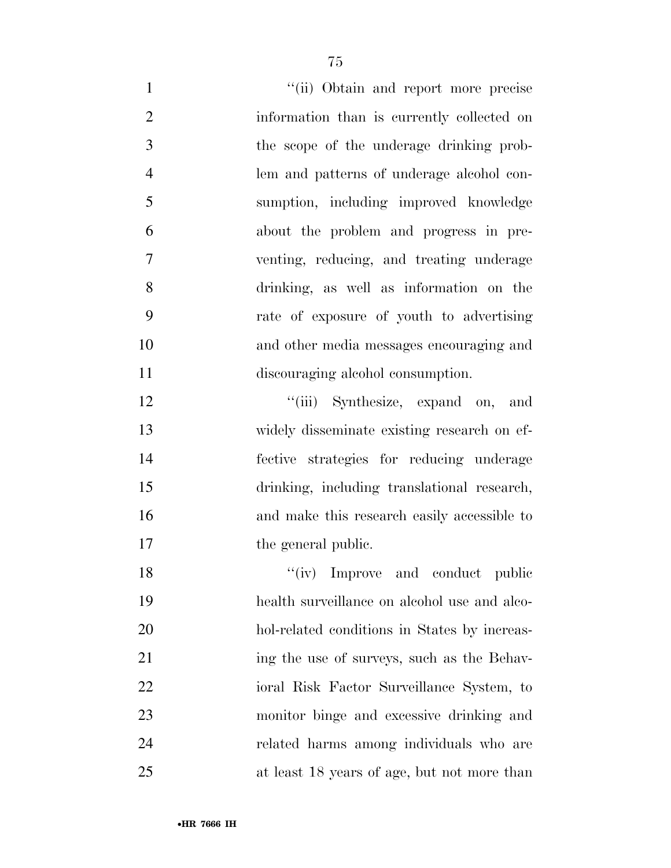| $\mathbf{1}$   | "(ii) Obtain and report more precise         |
|----------------|----------------------------------------------|
| $\overline{2}$ | information than is currently collected on   |
| 3              | the scope of the underage drinking prob-     |
| $\overline{4}$ | lem and patterns of underage alcohol con-    |
| 5              | sumption, including improved knowledge       |
| 6              | about the problem and progress in pre-       |
| 7              | venting, reducing, and treating underage     |
| 8              | drinking, as well as information on the      |
| 9              | rate of exposure of youth to advertising     |
| 10             | and other media messages encouraging and     |
| 11             | discouraging alcohol consumption.            |
| 12             | "(iii) Synthesize, expand on, and            |
| 13             | widely disseminate existing research on ef-  |
| 14             | fective strategies for reducing underage     |
| 15             | drinking, including translational research,  |
| 16             | and make this research easily accessible to  |
| 17             | the general public.                          |
| 18             | "(iv) Improve and conduct public             |
| 19             | health surveillance on alcohol use and alco- |
| 20             | hol-related conditions in States by increas- |
| 21             | ing the use of surveys, such as the Behav-   |
| 22             | ioral Risk Factor Surveillance System, to    |
| 23             | monitor binge and excessive drinking and     |
| 24             | related harms among individuals who are      |
| 25             | at least 18 years of age, but not more than  |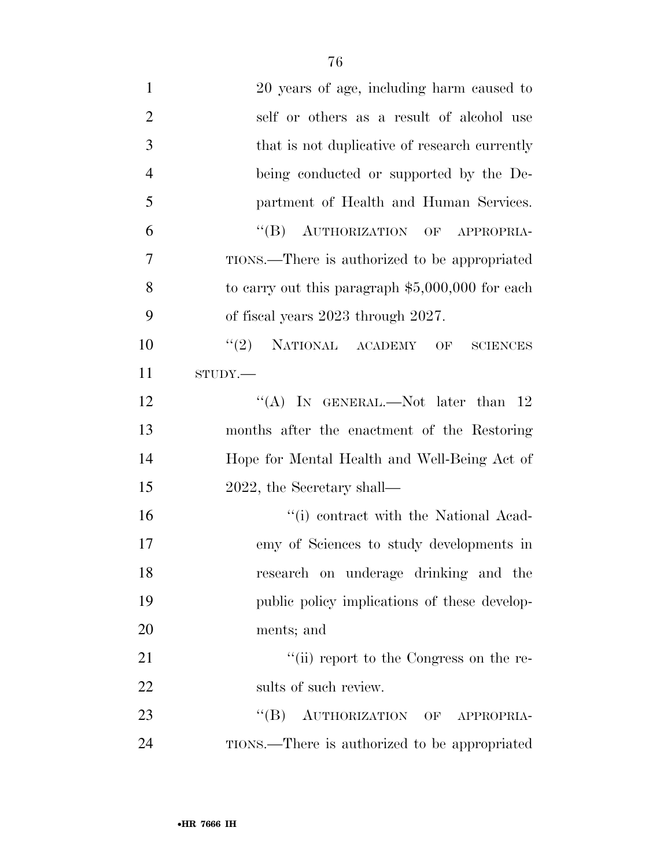| $\mathbf{1}$   | 20 years of age, including harm caused to         |
|----------------|---------------------------------------------------|
| $\overline{2}$ | self or others as a result of alcohol use         |
| 3              | that is not duplicative of research currently     |
| $\overline{4}$ | being conducted or supported by the De-           |
| 5              | partment of Health and Human Services.            |
| 6              | "(B) AUTHORIZATION OF APPROPRIA-                  |
| 7              | TIONS.—There is authorized to be appropriated     |
| 8              | to carry out this paragraph $$5,000,000$ for each |
| 9              | of fiscal years 2023 through 2027.                |
| 10             | $``(2)$ NATIONAL ACADEMY OF<br><b>SCIENCES</b>    |
| 11             | STUDY.                                            |
| 12             | "(A) IN GENERAL.—Not later than $12$              |
| 13             | months after the enactment of the Restoring       |
| 14             | Hope for Mental Health and Well-Being Act of      |
| 15             | 2022, the Secretary shall—                        |
| 16             | "(i) contract with the National Acad-             |
| 17             | emy of Sciences to study developments in          |
| 18             | research on underage drinking and the             |
| 19             | public policy implications of these develop-      |
| 20             | ments; and                                        |
| 21             | "(ii) report to the Congress on the re-           |
| 22             | sults of such review.                             |
| 23             | "(B) AUTHORIZATION OF<br>APPROPRIA-               |
| 24             | TIONS.—There is authorized to be appropriated     |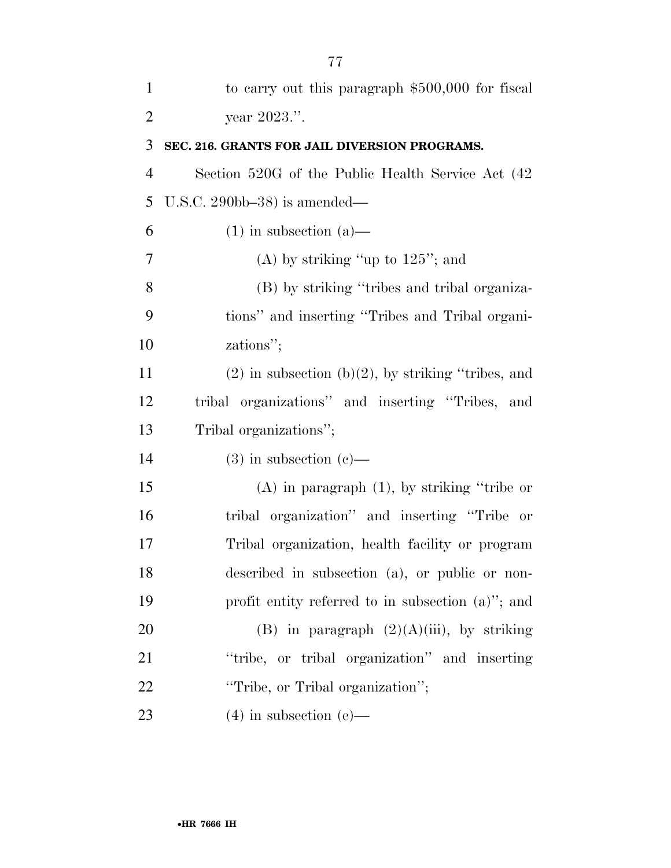| $\mathbf{1}$   | to carry out this paragraph \$500,000 for fiscal        |
|----------------|---------------------------------------------------------|
| $\overline{2}$ | year 2023.".                                            |
| 3              | SEC. 216. GRANTS FOR JAIL DIVERSION PROGRAMS.           |
| $\overline{4}$ | Section 520G of the Public Health Service Act (42)      |
| 5              | U.S.C. 290bb-38) is amended—                            |
| 6              | $(1)$ in subsection $(a)$ —                             |
| 7              | (A) by striking "up to $125$ "; and                     |
| 8              | (B) by striking "tribes and tribal organiza-            |
| 9              | tions" and inserting "Tribes and Tribal organi-         |
| 10             | zations";                                               |
| 11             | $(2)$ in subsection $(b)(2)$ , by striking "tribes, and |
| 12             | tribal organizations" and inserting "Tribes, and        |
| 13             | Tribal organizations";                                  |
| 14             | $(3)$ in subsection $(e)$ —                             |
| 15             | $(A)$ in paragraph $(1)$ , by striking "tribe or        |
| 16             | tribal organization" and inserting "Tribe or            |
| 17             | Tribal organization, health facility or program         |
| 18             | described in subsection (a), or public or non-          |
| 19             | profit entity referred to in subsection $(a)$ "; and    |
| 20             | (B) in paragraph $(2)(A)(iii)$ , by striking            |
| 21             | "tribe, or tribal organization" and inserting           |
| 22             | "Tribe, or Tribal organization";                        |
| 23             | $(4)$ in subsection $(e)$ —                             |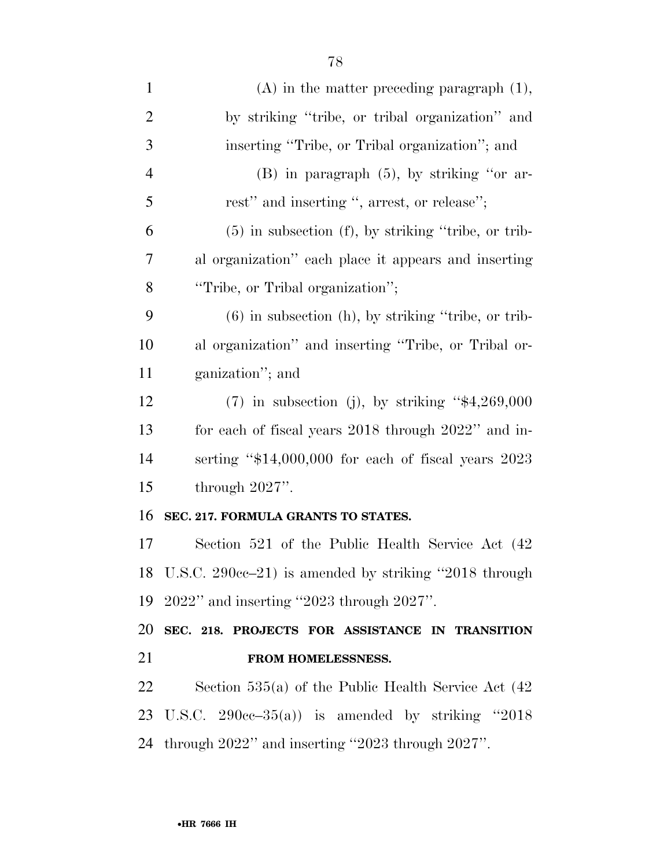| $\mathbf{1}$   | $(A)$ in the matter preceding paragraph $(1)$ ,          |
|----------------|----------------------------------------------------------|
| $\overline{2}$ | by striking "tribe, or tribal organization" and          |
| 3              | inserting "Tribe, or Tribal organization"; and           |
| $\overline{4}$ | $(B)$ in paragraph $(5)$ , by striking "or ar-           |
| 5              | rest" and inserting ", arrest, or release";              |
| 6              | $(5)$ in subsection $(f)$ , by striking "tribe, or trib- |
| 7              | al organization" each place it appears and inserting     |
| 8              | "Tribe, or Tribal organization";                         |
| 9              | $(6)$ in subsection $(h)$ , by striking "tribe, or trib- |
| 10             | al organization" and inserting "Tribe, or Tribal or-     |
| 11             | ganization"; and                                         |
| 12             | $(7)$ in subsection (j), by striking "\$4,269,000        |
| 13             | for each of fiscal years 2018 through 2022" and in-      |
| 14             | serting " $$14,000,000$ for each of fiscal years 2023    |
| 15             | through $2027$ ".                                        |
| 16             | SEC. 217. FORMULA GRANTS TO STATES.                      |
| 17             | Section 521 of the Public Health Service Act (42)        |
|                | 18 U.S.C. 290cc-21) is amended by striking "2018 through |
| 19             | $2022$ " and inserting "2023 through 2027".              |
| 20             | SEC. 218. PROJECTS FOR ASSISTANCE IN TRANSITION          |
| 21             | FROM HOMELESSNESS.                                       |
| 22             | Section $535(a)$ of the Public Health Service Act $(42)$ |
|                | 23 U.S.C. $290cc-35(a)$ is amended by striking "2018"    |
| 24             | through 2022" and inserting "2023 through 2027".         |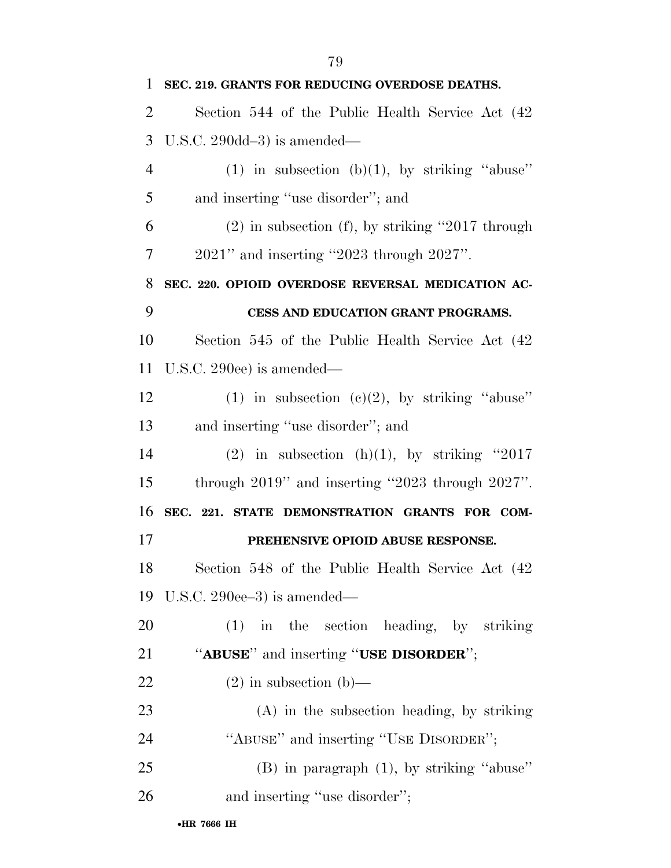| $\mathbf{1}$   | SEC. 219. GRANTS FOR REDUCING OVERDOSE DEATHS.         |
|----------------|--------------------------------------------------------|
| $\overline{2}$ | Section 544 of the Public Health Service Act (42)      |
| 3              | U.S.C. $290dd-3$ is amended—                           |
| $\overline{4}$ | $(1)$ in subsection $(b)(1)$ , by striking "abuse"     |
| 5              | and inserting "use disorder"; and                      |
| 6              | $(2)$ in subsection (f), by striking "2017 through     |
| $\overline{7}$ | $2021$ " and inserting "2023 through $2027$ ".         |
| 8              | SEC. 220. OPIOID OVERDOSE REVERSAL MEDICATION AC-      |
| 9              | CESS AND EDUCATION GRANT PROGRAMS.                     |
| 10             | Section 545 of the Public Health Service Act (42)      |
| 11             | U.S.C. 290ee) is amended—                              |
| 12             | (1) in subsection (c)(2), by striking "abuse"          |
| 13             | and inserting "use disorder"; and                      |
| 14             | (2) in subsection (h)(1), by striking "2017            |
| 15             | through $2019$ " and inserting "2023 through $2027$ ". |
| 16             | SEC. 221. STATE DEMONSTRATION GRANTS FOR COM-          |
| 17             | PREHENSIVE OPIOID ABUSE RESPONSE.                      |
| 18             | Section 548 of the Public Health Service Act (42)      |
| 19             | U.S.C. 290ee-3) is amended—                            |
| 20             | $(1)$ in the section heading, by striking              |
| 21             | "ABUSE" and inserting "USE DISORDER";                  |
| 22             | $(2)$ in subsection $(b)$ —                            |
| 23             | $(A)$ in the subsection heading, by striking           |
| 24             | "ABUSE" and inserting "USE DISORDER";                  |
| 25             | $(B)$ in paragraph $(1)$ , by striking "abuse"         |
| 26             | and inserting "use disorder";                          |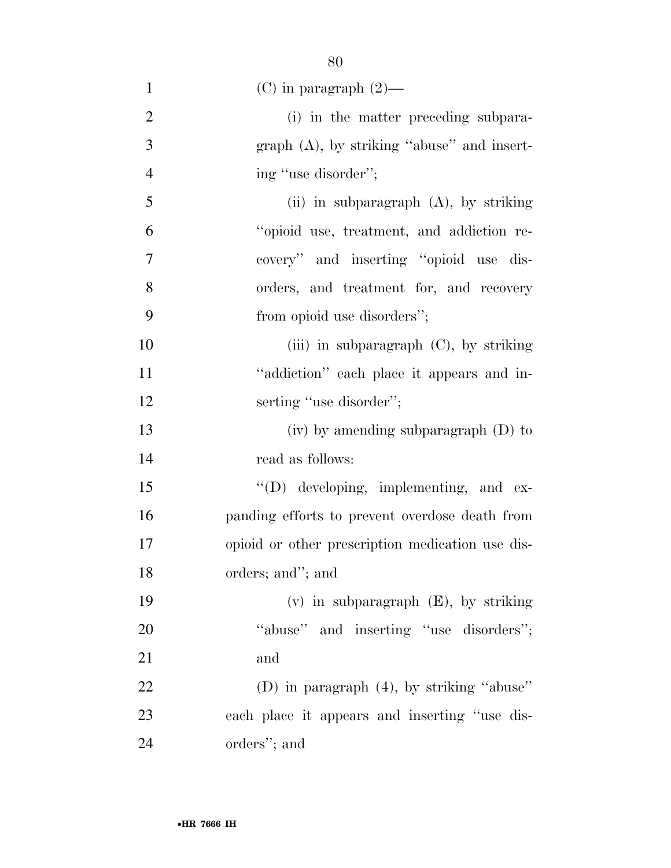| $\mathbf{1}$   | $(C)$ in paragraph $(2)$ —                       |
|----------------|--------------------------------------------------|
| $\overline{2}$ | (i) in the matter preceding subpara-             |
| 3              | $graph(A)$ , by striking "abuse" and insert-     |
| $\overline{4}$ | ing "use disorder";                              |
| 5              | (ii) in subparagraph (A), by striking            |
| 6              | "opioid use, treatment, and addiction re-        |
| $\overline{7}$ | covery" and inserting "opioid use dis-           |
| 8              | orders, and treatment for, and recovery          |
| 9              | from opioid use disorders";                      |
| 10             | (iii) in subparagraph $(C)$ , by striking        |
| 11             | "addiction" each place it appears and in-        |
| 12             | serting "use disorder";                          |
| 13             | $(iv)$ by amending subparagraph $(D)$ to         |
| 14             | read as follows:                                 |
| 15             | $\lq\lq$ developing, implementing, and ex-       |
| 16             | panding efforts to prevent overdose death from   |
| 17             | opioid or other prescription medication use dis- |
| 18             | orders; and"; and                                |
| 19             | $(v)$ in subparagraph $(E)$ , by striking        |
| 20             | "abuse" and inserting "use disorders";           |
| 21             | and                                              |
| 22             | (D) in paragraph $(4)$ , by striking "abuse"     |
| 23             | each place it appears and inserting "use dis-    |
| 24             | orders"; and                                     |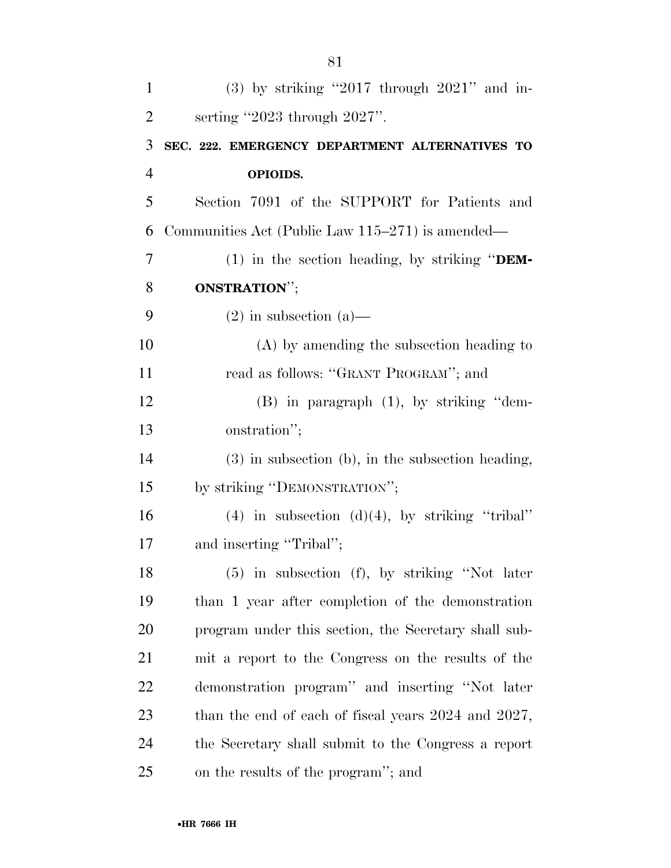| $\mathbf{1}$   | $(3)$ by striking "2017 through 2021" and in-            |
|----------------|----------------------------------------------------------|
| $\overline{2}$ | serting "2023 through $2027$ ".                          |
| 3              | SEC. 222. EMERGENCY DEPARTMENT ALTERNATIVES TO           |
| $\overline{4}$ | OPIOIDS.                                                 |
| 5              | Section 7091 of the SUPPORT for Patients and             |
| 6              | Communities Act (Public Law 115–271) is amended—         |
| $\tau$         | (1) in the section heading, by striking " $DEM$ -        |
| 8              | <b>ONSTRATION"</b> ;                                     |
| 9              | $(2)$ in subsection $(a)$ —                              |
| 10             | $(A)$ by amending the subsection heading to              |
| 11             | read as follows: "GRANT PROGRAM"; and                    |
| 12             | $(B)$ in paragraph $(1)$ , by striking "dem-             |
| 13             | onstration";                                             |
| 14             | $(3)$ in subsection (b), in the subsection heading,      |
| 15             | by striking "DEMONSTRATION";                             |
| 16             | $(4)$ in subsection $(d)(4)$ , by striking "tribal"      |
| 17             | and inserting "Tribal";                                  |
| 18             | $(5)$ in subsection $(f)$ , by striking "Not later       |
| 19             | than 1 year after completion of the demonstration        |
| <b>20</b>      | program under this section, the Secretary shall sub-     |
| 21             | mit a report to the Congress on the results of the       |
| 22             | demonstration program" and inserting "Not later          |
| 23             | than the end of each of fiscal years $2024$ and $2027$ , |
| 24             | the Secretary shall submit to the Congress a report      |
| 25             | on the results of the program"; and                      |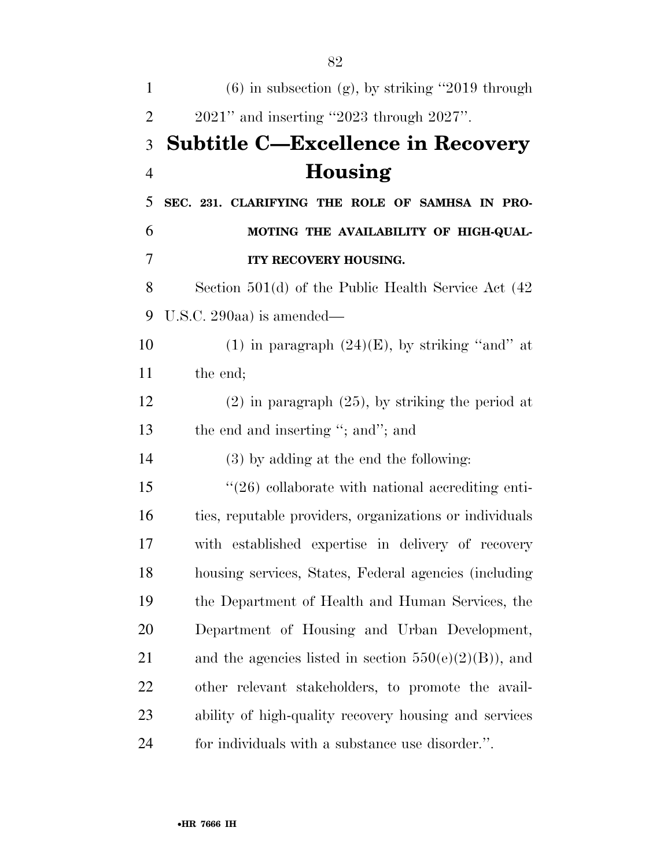| $\mathbf{1}$   | $(6)$ in subsection $(g)$ , by striking "2019 through    |
|----------------|----------------------------------------------------------|
| $\overline{2}$ | $2021$ " and inserting "2023 through $2027$ ".           |
| 3              | <b>Subtitle C—Excellence in Recovery</b>                 |
| $\overline{4}$ | Housing                                                  |
| 5              | SEC. 231. CLARIFYING THE ROLE OF SAMHSA IN PRO-          |
| 6              | MOTING THE AVAILABILITY OF HIGH-QUAL-                    |
| 7              | ITY RECOVERY HOUSING.                                    |
| 8              | Section $501(d)$ of the Public Health Service Act $(42)$ |
| 9              | U.S.C. 290aa) is amended—                                |
| 10             | (1) in paragraph $(24)(E)$ , by striking "and" at        |
| 11             | the end;                                                 |
| 12             | $(2)$ in paragraph $(25)$ , by striking the period at    |
| 13             | the end and inserting "; and"; and                       |
| 14             | (3) by adding at the end the following:                  |
| 15             | $\lq(26)$ collaborate with national accrediting enti-    |
| 16             | ties, reputable providers, organizations or individuals  |
| 17             | with established expertise in delivery of recovery       |
| 18             | housing services, States, Federal agencies (including    |
| 19             | the Department of Health and Human Services, the         |
| 20             | Department of Housing and Urban Development,             |
| 21             | and the agencies listed in section $550(e)(2)(B)$ , and  |
| 22             | other relevant stakeholders, to promote the avail-       |
| 23             | ability of high-quality recovery housing and services    |
| 24             | for individuals with a substance use disorder.".         |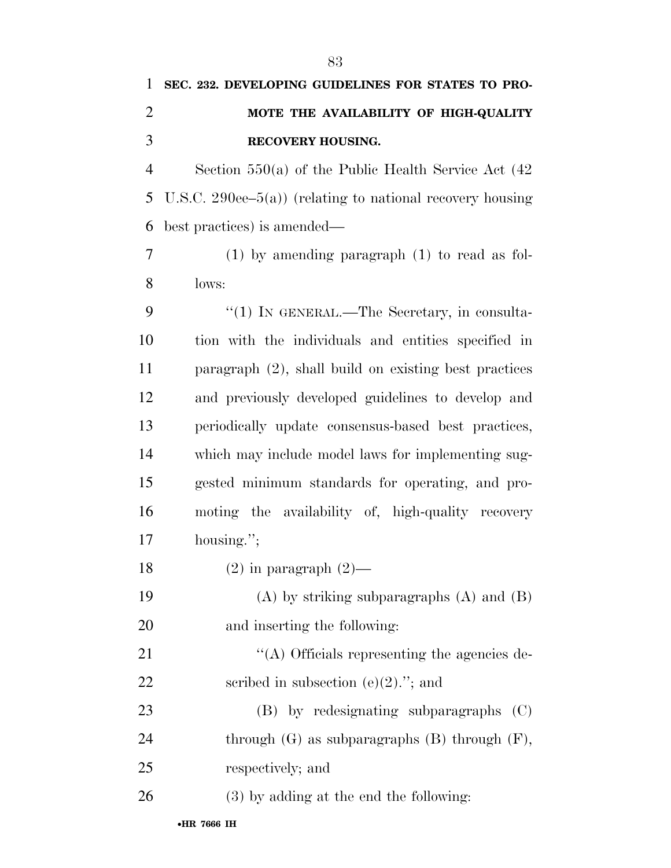# **SEC. 232. DEVELOPING GUIDELINES FOR STATES TO PRO- MOTE THE AVAILABILITY OF HIGH-QUALITY RECOVERY HOUSING.**

 Section 550(a) of the Public Health Service Act (42 U.S.C. 290ee–5(a)) (relating to national recovery housing best practices) is amended—

 (1) by amending paragraph (1) to read as fol-lows:

9 "(1) IN GENERAL.—The Secretary, in consulta- tion with the individuals and entities specified in paragraph (2), shall build on existing best practices and previously developed guidelines to develop and periodically update consensus-based best practices, which may include model laws for implementing sug- gested minimum standards for operating, and pro- moting the availability of, high-quality recovery housing.'';

18  $(2)$  in paragraph  $(2)$ —

 (A) by striking subparagraphs (A) and (B) and inserting the following:

21  $\langle (A)$  Officials representing the agencies de-22 seribed in subsection  $(e)(2)$ ."; and

 (B) by redesignating subparagraphs (C) 24 through  $(G)$  as subparagraphs  $(B)$  through  $(F)$ , respectively; and

(3) by adding at the end the following: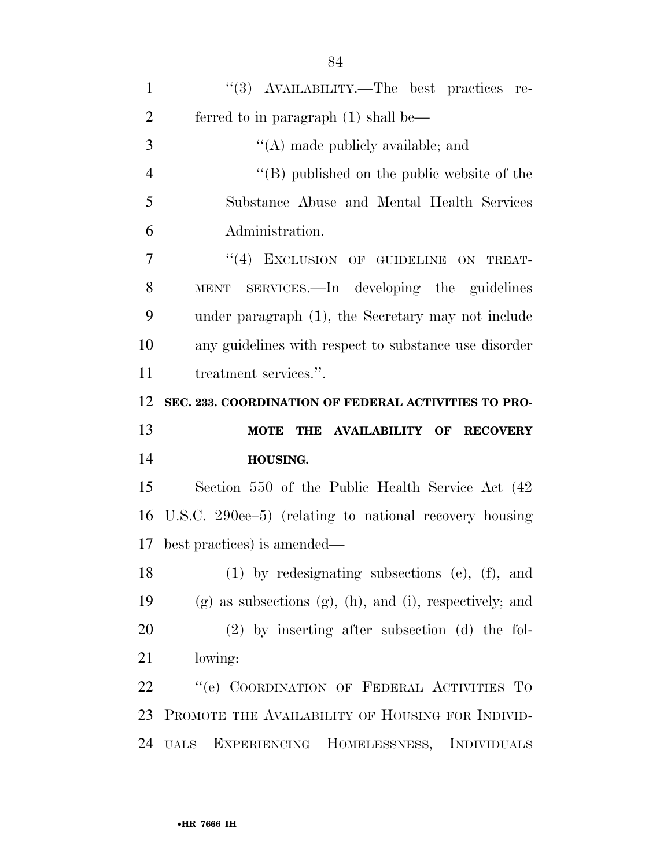| $\mathbf{1}$   | "(3) AVAILABILITY.—The best practices re-                          |
|----------------|--------------------------------------------------------------------|
| $\overline{2}$ | ferred to in paragraph $(1)$ shall be—                             |
| 3              | $\lq\lq$ (A) made publicly available; and                          |
| $\overline{4}$ | $\lq\lq$ (B) published on the public website of the                |
| 5              | Substance Abuse and Mental Health Services                         |
| 6              | Administration.                                                    |
| 7              | "(4) EXCLUSION OF GUIDELINE ON TREAT-                              |
| 8              | MENT SERVICES.—In developing the guidelines                        |
| 9              | under paragraph (1), the Secretary may not include                 |
| 10             | any guidelines with respect to substance use disorder              |
| 11             | treatment services.".                                              |
| 12             | SEC. 233. COORDINATION OF FEDERAL ACTIVITIES TO PRO-               |
|                |                                                                    |
|                | THE AVAILABILITY OF RECOVERY<br><b>MOTE</b>                        |
|                | HOUSING.                                                           |
| 13<br>14<br>15 | Section 550 of the Public Health Service Act (42)                  |
| 16             | U.S.C. 290ee–5) (relating to national recovery housing             |
|                | best practices) is amended—                                        |
|                | $(1)$ by redesignating subsections (e), $(f)$ , and                |
| 17<br>18<br>19 | $(g)$ as subsections $(g)$ , $(h)$ , and $(i)$ , respectively; and |
| 20             | $(2)$ by inserting after subsection $(d)$ the fol-                 |
| 21             | lowing:                                                            |
| 22             | "(e) COORDINATION OF FEDERAL ACTIVITIES TO                         |
| 23             | PROMOTE THE AVAILABILITY OF HOUSING FOR INDIVID-                   |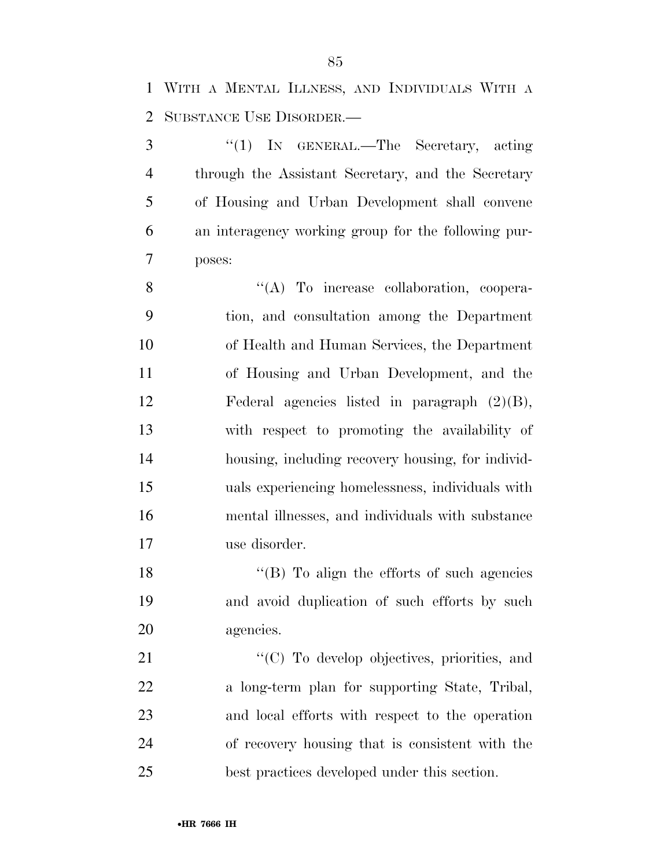WITH A MENTAL ILLNESS, AND INDIVIDUALS WITH A SUBSTANCE USE DISORDER.—

 ''(1) IN GENERAL.—The Secretary, acting through the Assistant Secretary, and the Secretary of Housing and Urban Development shall convene an interagency working group for the following pur-poses:

 $\langle (A)$  To increase collaboration, coopera- tion, and consultation among the Department of Health and Human Services, the Department of Housing and Urban Development, and the Federal agencies listed in paragraph (2)(B), with respect to promoting the availability of housing, including recovery housing, for individ- uals experiencing homelessness, individuals with mental illnesses, and individuals with substance use disorder.

18 "(B) To align the efforts of such agencies and avoid duplication of such efforts by such agencies.

 $\cdot$  (C) To develop objectives, priorities, and a long-term plan for supporting State, Tribal, and local efforts with respect to the operation of recovery housing that is consistent with the best practices developed under this section.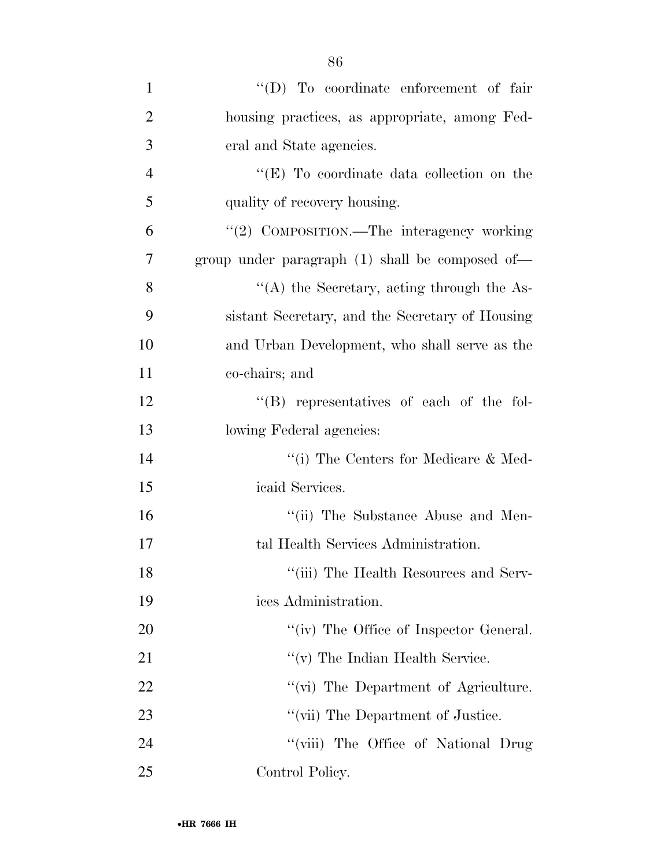| $\mathbf{1}$   | "(D) To coordinate enforcement of fair            |
|----------------|---------------------------------------------------|
| $\overline{2}$ | housing practices, as appropriate, among Fed-     |
| 3              | eral and State agencies.                          |
| $\overline{4}$ | " $(E)$ To coordinate data collection on the      |
| 5              | quality of recovery housing.                      |
| 6              | "(2) COMPOSITION.—The interagency working         |
| 7              | group under paragraph $(1)$ shall be composed of- |
| 8              | $\lq\lq$ the Secretary, acting through the As-    |
| 9              | sistant Secretary, and the Secretary of Housing   |
| 10             | and Urban Development, who shall serve as the     |
| 11             | co-chairs; and                                    |
| 12             | $\lq\lq$ representatives of each of the fol-      |
| 13             | lowing Federal agencies:                          |
| 14             | "(i) The Centers for Medicare $\&$ Med-           |
| 15             | icaid Services.                                   |
| 16             | "(ii) The Substance Abuse and Men-                |
| 17             | tal Health Services Administration.               |
| 18             | "(iii) The Health Resources and Serv-             |
| 19             | ices Administration.                              |
| 20             | "(iv) The Office of Inspector General.            |
| 21             | $\lq\lq$ (v) The Indian Health Service.           |
| 22             | "(vi) The Department of Agriculture.              |
| 23             | "(vii) The Department of Justice.                 |
| 24             | "(viii) The Office of National Drug               |
| 25             | Control Policy.                                   |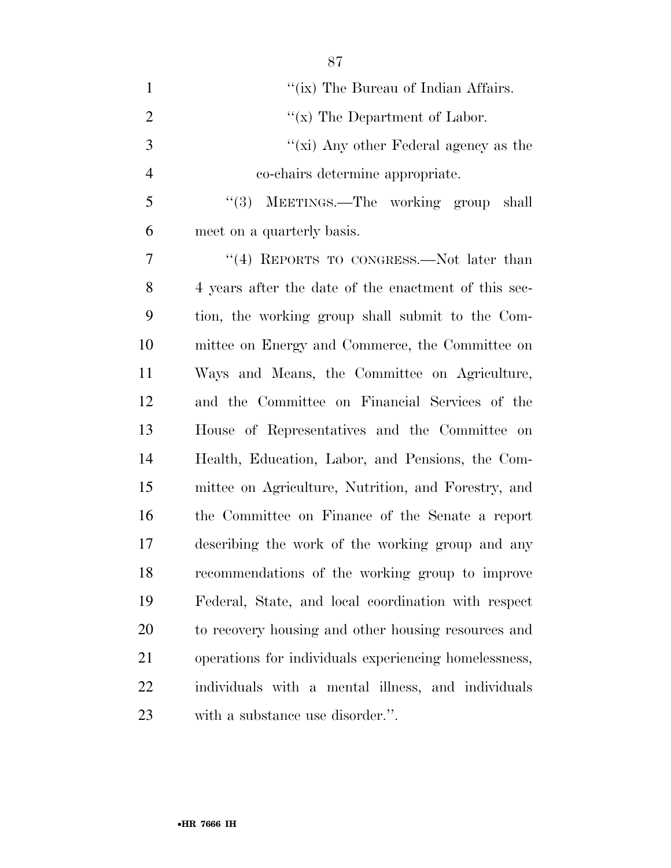| $\mathbf{1}$   | "(ix) The Bureau of Indian Affairs.                   |
|----------------|-------------------------------------------------------|
| $\overline{2}$ | " $(x)$ The Department of Labor.                      |
| 3              | " $(xi)$ Any other Federal agency as the              |
| $\overline{4}$ | co-chairs determine appropriate.                      |
| 5              | (3)<br>MEETINGS.—The working group<br>shall           |
| 6              | meet on a quarterly basis.                            |
| 7              | "(4) REPORTS TO CONGRESS.—Not later than              |
| 8              | 4 years after the date of the enactment of this sec-  |
| 9              | tion, the working group shall submit to the Com-      |
| 10             | mittee on Energy and Commerce, the Committee on       |
| 11             | Ways and Means, the Committee on Agriculture,         |
| 12             | and the Committee on Financial Services of the        |
| 13             | House of Representatives and the Committee on         |
| 14             | Health, Education, Labor, and Pensions, the Com-      |
| 15             | mittee on Agriculture, Nutrition, and Forestry, and   |
| 16             | the Committee on Finance of the Senate a report       |
| 17             | describing the work of the working group and any      |
| 18             | recommendations of the working group to improve       |
| 19             | Federal, State, and local coordination with respect   |
| 20             | to recovery housing and other housing resources and   |
| 21             | operations for individuals experiencing homelessness, |
| 22             | individuals with a mental illness, and individuals    |
| 23             | with a substance use disorder.".                      |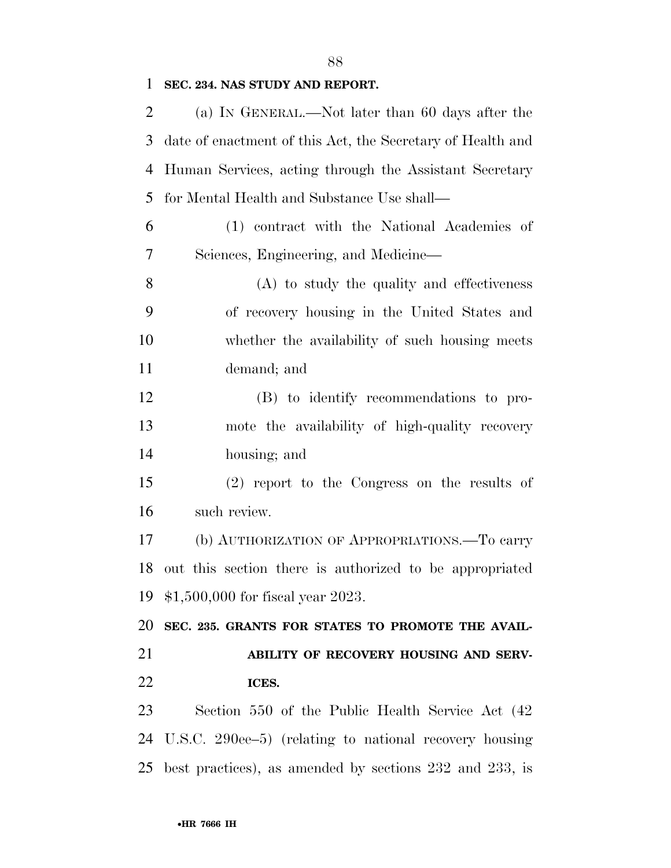### **SEC. 234. NAS STUDY AND REPORT.**

| $\overline{2}$ | (a) IN GENERAL.—Not later than 60 days after the             |
|----------------|--------------------------------------------------------------|
| 3              | date of enactment of this Act, the Secretary of Health and   |
| 4              | Human Services, acting through the Assistant Secretary       |
| 5              | for Mental Health and Substance Use shall—                   |
| 6              | (1) contract with the National Academies of                  |
| 7              | Sciences, Engineering, and Medicine—                         |
| 8              | (A) to study the quality and effectiveness                   |
| 9              | of recovery housing in the United States and                 |
| 10             | whether the availability of such housing meets               |
| 11             | demand; and                                                  |
| 12             | (B) to identify recommendations to pro-                      |
| 13             | mote the availability of high-quality recovery               |
| 14             | housing; and                                                 |
| 15             | (2) report to the Congress on the results of                 |
| 16             | such review.                                                 |
| 17             | (b) AUTHORIZATION OF APPROPRIATIONS.—To carry                |
| 18             | out this section there is authorized to be appropriated      |
|                | 19 \$1,500,000 for fiscal year 2023.                         |
| 20             | SEC. 235. GRANTS FOR STATES TO PROMOTE THE AVAIL-            |
| 21             | ABILITY OF RECOVERY HOUSING AND SERV-                        |
| 22             | ICES.                                                        |
| 23             | Section 550 of the Public Health Service Act (42)            |
| 24             | U.S.C. 290ee–5) (relating to national recovery housing       |
| 25             | best practices), as amended by sections $232$ and $233$ , is |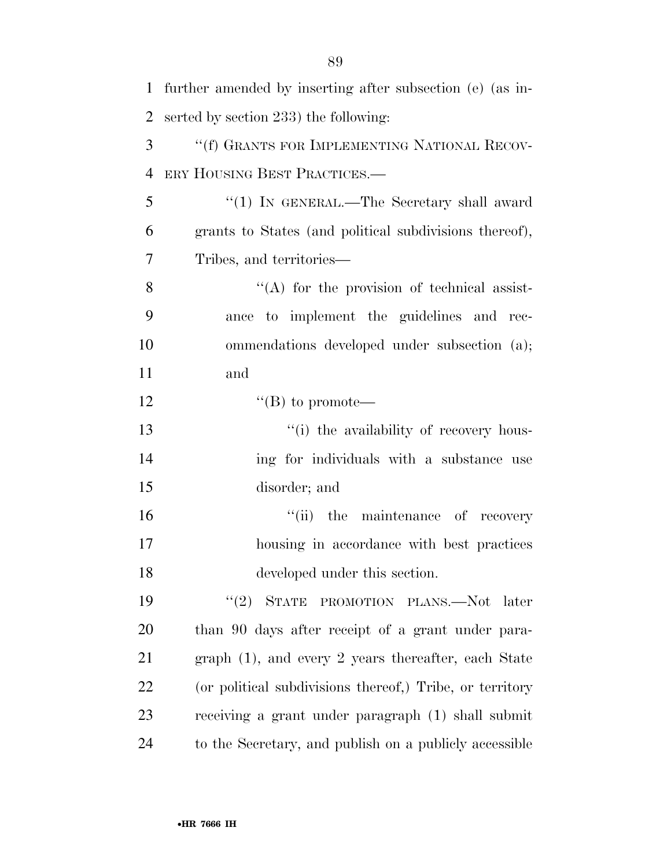| $\mathbf{1}$   | further amended by inserting after subsection (e) (as in- |
|----------------|-----------------------------------------------------------|
| $\overline{2}$ | serted by section 233) the following:                     |
| 3              | "(f) GRANTS FOR IMPLEMENTING NATIONAL RECOV-              |
| $\overline{4}$ | ERY HOUSING BEST PRACTICES.                               |
| 5              | "(1) IN GENERAL.—The Secretary shall award                |
| 6              | grants to States (and political subdivisions thereof),    |
| 7              | Tribes, and territories—                                  |
| 8              | $\lq\lq$ for the provision of technical assist-           |
| 9              | ance to implement the guidelines and rec-                 |
| 10             | ommendations developed under subsection (a);              |
| 11             | and                                                       |
| 12             | $\lq\lq (B)$ to promote—                                  |
| 13             | "(i) the availability of recovery hous-                   |
| 14             | ing for individuals with a substance use                  |
| 15             | disorder; and                                             |
| 16             | "(ii) the maintenance of recovery                         |
| 17             | housing in accordance with best practices                 |
| 18             | developed under this section.                             |
| 19             | $(2)$ STATE<br>PROMOTION PLANS.—Not later                 |
| 20             | than 90 days after receipt of a grant under para-         |
| 21             | graph $(1)$ , and every 2 years thereafter, each State    |
| 22             | (or political subdivisions thereof,) Tribe, or territory  |
| 23             | receiving a grant under paragraph (1) shall submit        |
| 24             | to the Secretary, and publish on a publicly accessible    |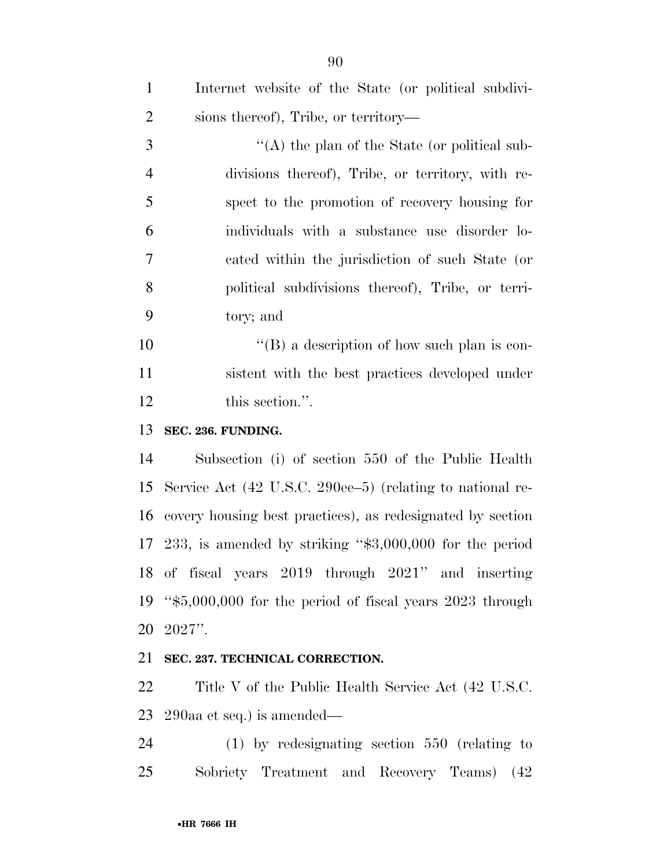| $\mathbf{1}$   | Internet website of the State (or political subdivi-       |
|----------------|------------------------------------------------------------|
| $\overline{2}$ | sions thereof), Tribe, or territory—                       |
| 3              | $\lq\lq$ the plan of the State (or political sub-          |
| $\overline{4}$ | divisions thereof), Tribe, or territory, with re-          |
| 5              | spect to the promotion of recovery housing for             |
| 6              | individuals with a substance use disorder lo-              |
| $\tau$         | cated within the jurisdiction of such State (or            |
| 8              | political subdivisions thereof), Tribe, or terri-          |
| 9              | tory; and                                                  |
| 10             | "(B) a description of how such plan is con-                |
| 11             | sistent with the best practices developed under            |
| 12             | this section.".                                            |
| 13             | SEC. 236. FUNDING.                                         |
| 14             | Subsection (i) of section 550 of the Public Health         |
| 15             | Service Act (42 U.S.C. 290ee–5) (relating to national re-  |
| 16             | covery housing best practices), as redesignated by section |
| 17             | 233, is amended by striking " $$3,000,000$ for the period  |
|                | 18 of fiscal years 2019 through 2021" and inserting        |
| 19             | " $$5,000,000$ for the period of fiscal years 2023 through |
| 20             | $2027$ ".                                                  |
| 21             | SEC. 237. TECHNICAL CORRECTION.                            |
| 22             | Title V of the Public Health Service Act (42 U.S.C.        |

 290aa et seq.) is amended— (1) by redesignating section 550 (relating to

Sobriety Treatment and Recovery Teams) (42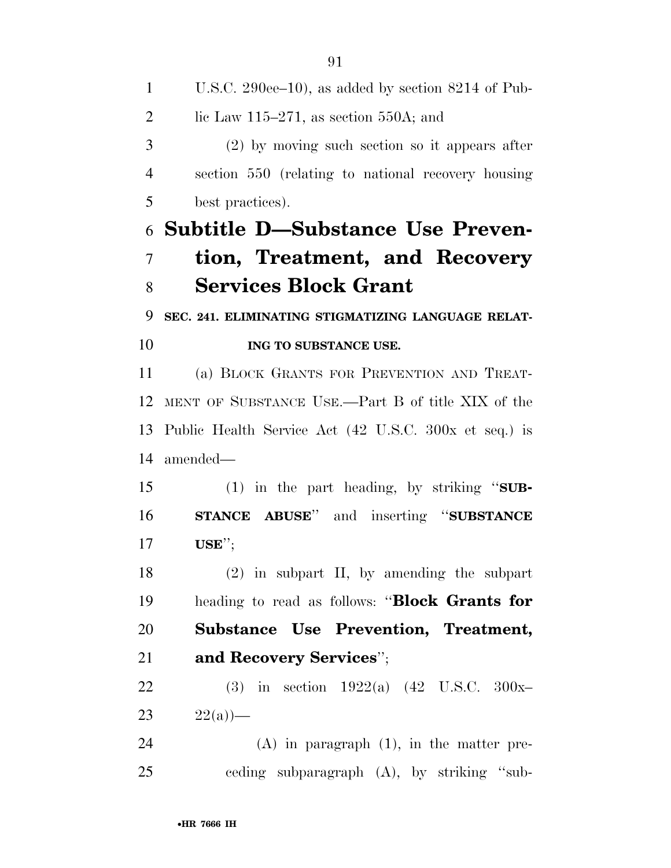U.S.C. 290ee–10), as added by section 8214 of Pub-2 lic Law 115–271, as section 550A; and (2) by moving such section so it appears after section 550 (relating to national recovery housing best practices). **Subtitle D—Substance Use Preven- tion, Treatment, and Recovery Services Block Grant SEC. 241. ELIMINATING STIGMATIZING LANGUAGE RELAT- ING TO SUBSTANCE USE.**  (a) BLOCK GRANTS FOR PREVENTION AND TREAT- MENT OF SUBSTANCE USE.—Part B of title XIX of the Public Health Service Act (42 U.S.C. 300x et seq.) is amended— (1) in the part heading, by striking ''**SUB- STANCE ABUSE**'' and inserting ''**SUBSTANCE USE**''; (2) in subpart II, by amending the subpart heading to read as follows: ''**Block Grants for Substance Use Prevention, Treatment, and Recovery Services**''; (3) in section 1922(a) (42 U.S.C. 300x– 23  $22(a)$  (A) in paragraph (1), in the matter pre-ceding subparagraph (A), by striking ''sub-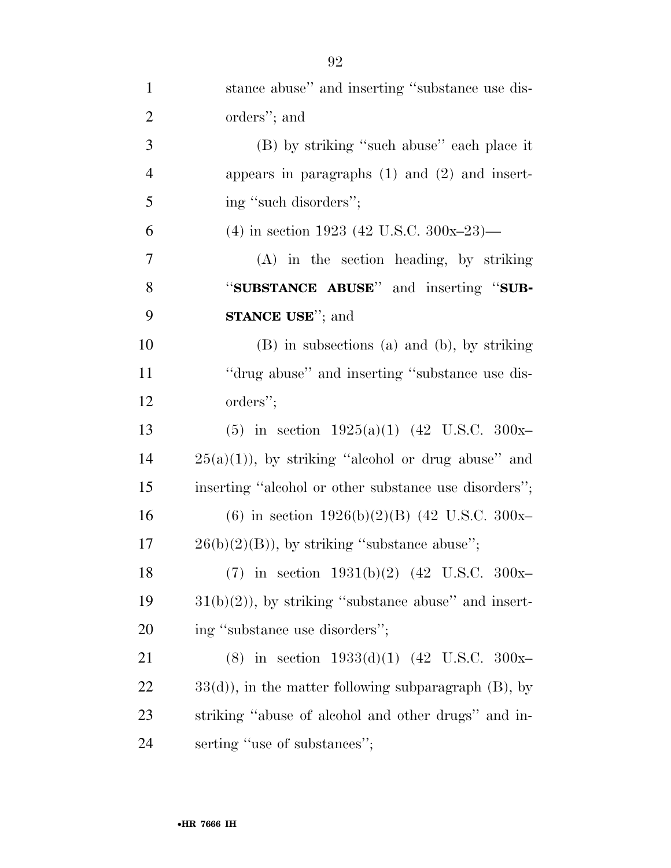| $\mathbf{1}$   | stance abuse" and inserting "substance use dis-           |
|----------------|-----------------------------------------------------------|
| $\overline{2}$ | orders"; and                                              |
| 3              | (B) by striking "such abuse" each place it                |
| $\overline{4}$ | appears in paragraphs $(1)$ and $(2)$ and insert-         |
| 5              | ing "such disorders";                                     |
| 6              | (4) in section 1923 (42 U.S.C. 300x-23)—                  |
| 7              | $(A)$ in the section heading, by striking                 |
| 8              | "SUBSTANCE ABUSE" and inserting "SUB-                     |
| 9              | <b>STANCE USE</b> "; and                                  |
| 10             | (B) in subsections (a) and (b), by striking               |
| 11             | "drug abuse" and inserting "substance use dis-            |
| 12             | orders";                                                  |
| 13             | (5) in section $1925(a)(1)$ (42 U.S.C. 300x-              |
| 14             | $25(a)(1)$ , by striking "alcohol or drug abuse" and      |
| 15             | inserting "alcohol or other substance use disorders";     |
| 16             | (6) in section $1926(b)(2)(B)$ (42 U.S.C. 300x-           |
| 17             | $26(b)(2)(B)$ , by striking "substance abuse";            |
| 18             | (7) in section $1931(b)(2)$ (42 U.S.C. 300x-              |
| 19             | $31(b)(2)$ , by striking "substance abuse" and insert-    |
| 20             | ing "substance use disorders";                            |
| 21             | (8) in section $1933(d)(1)$ (42 U.S.C. 300x-              |
| 22             | $33(d)$ , in the matter following subparagraph $(B)$ , by |
| 23             | striking "abuse of alcohol and other drugs" and in-       |
| 24             | serting "use of substances";                              |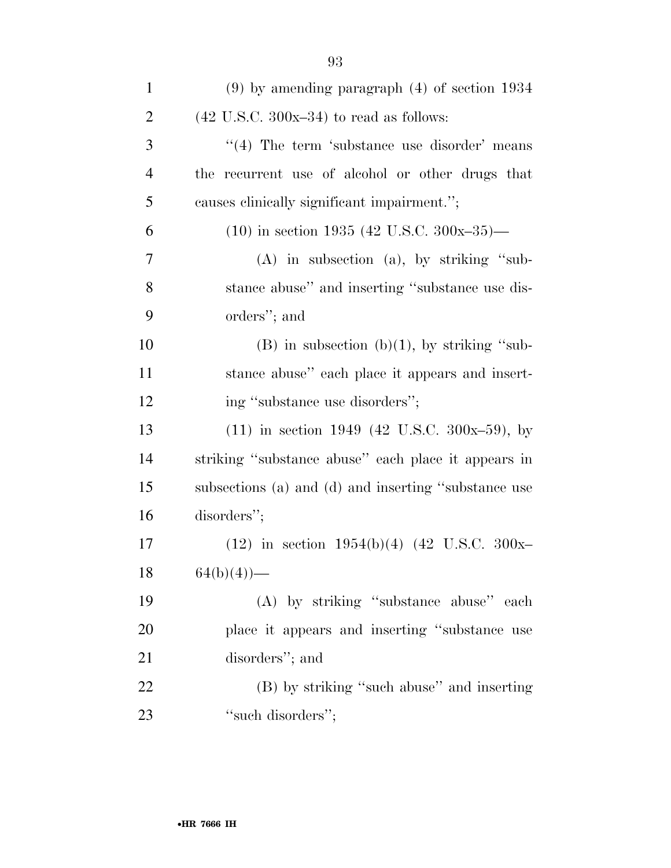| $\mathbf{1}$   | $(9)$ by amending paragraph $(4)$ of section 1934    |
|----------------|------------------------------------------------------|
| $\overline{2}$ | $(42 \text{ U.S.C. } 300x-34)$ to read as follows:   |
| 3              | $\cdot$ (4) The term 'substance use disorder' means  |
| $\overline{4}$ | the recurrent use of alcohol or other drugs that     |
| 5              | causes clinically significant impairment.";          |
| 6              | $(10)$ in section 1935 (42 U.S.C. 300x-35)—          |
| 7              | $(A)$ in subsection $(a)$ , by striking "sub-        |
| 8              | stance abuse" and inserting "substance use dis-      |
| 9              | orders"; and                                         |
| 10             | $(B)$ in subsection $(b)(1)$ , by striking "sub-     |
| 11             | stance abuse" each place it appears and insert-      |
| 12             | ing "substance use disorders";                       |
| 13             | $(11)$ in section 1949 (42 U.S.C. 300x-59), by       |
| 14             | striking "substance abuse" each place it appears in  |
| 15             | subsections (a) and (d) and inserting "substance use |
| 16             | disorders";                                          |
| 17             | $(12)$ in section 1954(b)(4) (42 U.S.C. 300x-        |
| 18             | $64(b)(4)$ —                                         |
| 19             | (A) by striking "substance abuse" each               |
| 20             | place it appears and inserting "substance use        |
| 21             | disorders"; and                                      |
| 22             | (B) by striking "such abuse" and inserting           |
| 23             | "such disorders";                                    |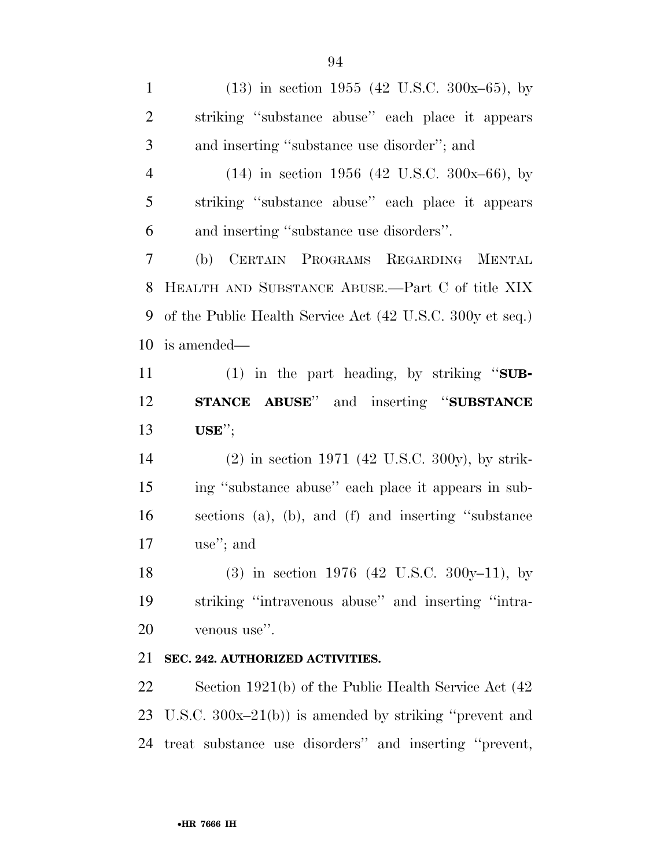(13) in section 1955 (42 U.S.C. 300x–65), by striking ''substance abuse'' each place it appears and inserting ''substance use disorder''; and (14) in section 1956 (42 U.S.C. 300x–66), by striking ''substance abuse'' each place it appears and inserting ''substance use disorders''. (b) CERTAIN PROGRAMS REGARDING MENTAL HEALTH AND SUBSTANCE ABUSE.—Part C of title XIX of the Public Health Service Act (42 U.S.C. 300y et seq.) is amended— (1) in the part heading, by striking ''**SUB- STANCE ABUSE**'' and inserting ''**SUBSTANCE USE**''; (2) in section 1971 (42 U.S.C. 300y), by strik- ing ''substance abuse'' each place it appears in sub- sections (a), (b), and (f) and inserting ''substance use''; and (3) in section 1976 (42 U.S.C. 300y–11), by striking ''intravenous abuse'' and inserting ''intra-

venous use''.

#### **SEC. 242. AUTHORIZED ACTIVITIES.**

 Section 1921(b) of the Public Health Service Act (42 U.S.C. 300x–21(b)) is amended by striking ''prevent and treat substance use disorders'' and inserting ''prevent,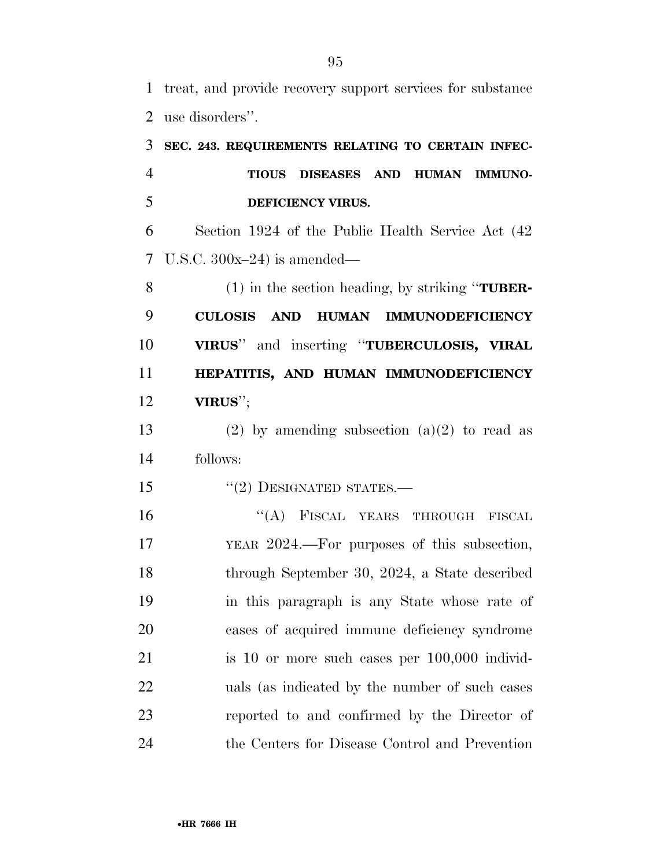treat, and provide recovery support services for substance use disorders''.

| 3              | SEC. 243. REQUIREMENTS RELATING TO CERTAIN INFEC-  |
|----------------|----------------------------------------------------|
| $\overline{4}$ | DISEASES AND HUMAN IMMUNO-<br><b>TIOUS</b>         |
| 5              | DEFICIENCY VIRUS.                                  |
| 6              | Section 1924 of the Public Health Service Act (42) |
| 7              | U.S.C. $300x-24$ is amended—                       |
| 8              | $(1)$ in the section heading, by striking "TUBER-  |
| 9              | HUMAN IMMUNODEFICIENCY<br><b>CULOSIS AND</b>       |
| 10             | VIRUS" and inserting "TUBERCULOSIS, VIRAL          |
| 11             | HEPATITIS, AND HUMAN IMMUNODEFICIENCY              |
| 12             | $VIRUS''$ ;                                        |
| 13             | (2) by amending subsection $(a)(2)$ to read as     |
| 14             | follows:                                           |
| 15             | $"(2)$ DESIGNATED STATES.—                         |
| 16             | "(A) FISCAL YEARS THROUGH FISCAL                   |
| 17             | YEAR 2024.—For purposes of this subsection,        |
| 18             | through September 30, 2024, a State described      |
| 19             | in this paragraph is any State whose rate of       |
| 20             | cases of acquired immune deficiency syndrome       |
| 21             | is 10 or more such cases per 100,000 individ-      |
| 22             | uals (as indicated by the number of such cases     |
| 23             | reported to and confirmed by the Director of       |
| 24             | the Centers for Disease Control and Prevention     |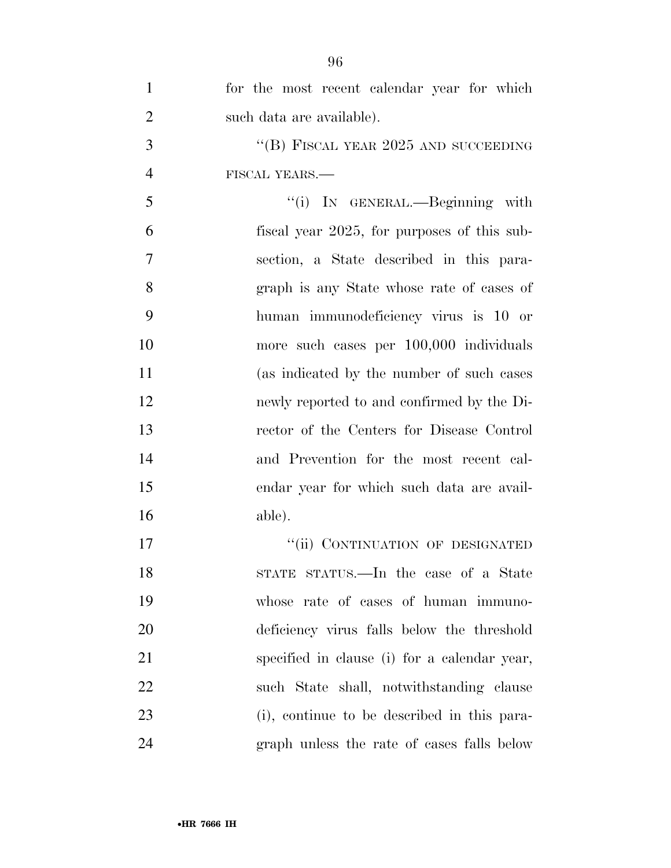| $\mathbf{1}$   | for the most recent calendar year for which  |
|----------------|----------------------------------------------|
| $\overline{2}$ | such data are available).                    |
| 3              | "(B) FISCAL YEAR $2025$ AND SUCCEEDING       |
| $\overline{4}$ | FISCAL YEARS.                                |
| 5              | "(i) IN GENERAL.—Beginning with              |
| 6              | fiscal year 2025, for purposes of this sub-  |
| 7              | section, a State described in this para-     |
| 8              | graph is any State whose rate of cases of    |
| 9              | human immunodeficiency virus is 10 or        |
| 10             | more such cases per 100,000 individuals      |
| 11             | (as indicated by the number of such cases)   |
| 12             | newly reported to and confirmed by the Di-   |
| 13             | rector of the Centers for Disease Control    |
| 14             | and Prevention for the most recent cal-      |
| 15             | endar year for which such data are avail-    |
| 16             | able).                                       |
| 17             | "(ii) CONTINUATION OF DESIGNATED             |
| 18             | STATE STATUS.—In the case of a State         |
| 19             | whose rate of cases of human immuno-         |
| 20             | deficiency virus falls below the threshold   |
| 21             | specified in clause (i) for a calendar year, |
| 22             | such State shall, notwithstanding clause     |
| 23             | (i), continue to be described in this para-  |
| 24             | graph unless the rate of cases falls below   |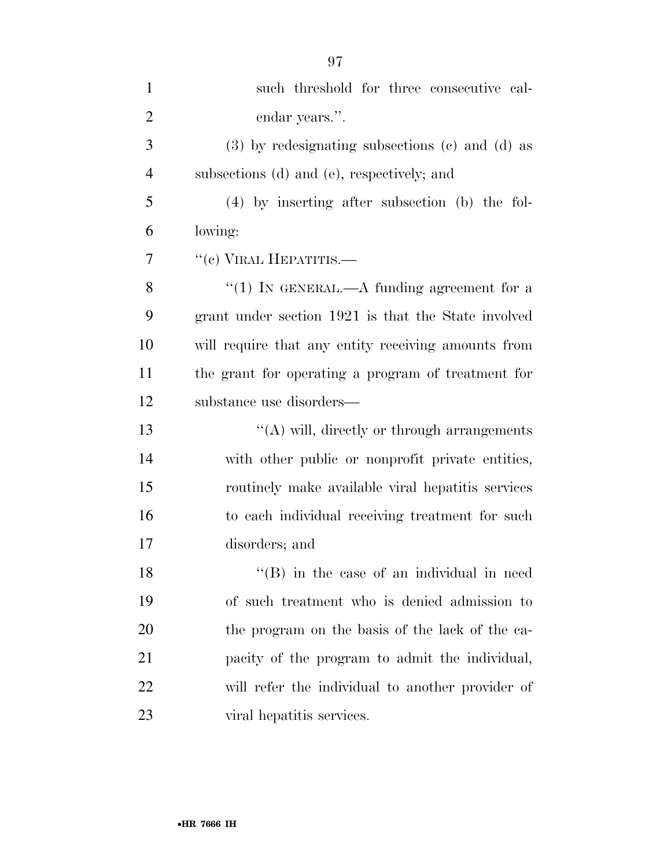| $\mathbf{1}$   | such threshold for three consecutive cal-             |
|----------------|-------------------------------------------------------|
| $\overline{2}$ | endar years.".                                        |
| 3              | $(3)$ by redesignating subsections $(e)$ and $(d)$ as |
| $\overline{4}$ | subsections (d) and (e), respectively; and            |
| 5              | $(4)$ by inserting after subsection (b) the fol-      |
| 6              | lowing:                                               |
| 7              | $``(c)$ VIRAL HEPATITIS.—                             |
| 8              | "(1) IN GENERAL.—A funding agreement for a            |
| 9              | grant under section 1921 is that the State involved   |
| 10             | will require that any entity receiving amounts from   |
| 11             | the grant for operating a program of treatment for    |
| 12             | substance use disorders—                              |
| 13             | $\lq\lq$ will, directly or through arrangements       |
| 14             | with other public or nonprofit private entities,      |
| 15             | routinely make available viral hepatitis services     |
| 16             | to each individual receiving treatment for such       |
| 17             | disorders; and                                        |
| 18             | $\lq\lq$ (B) in the case of an individual in need     |
| 19             | of such treatment who is denied admission to          |
| 20             | the program on the basis of the lack of the ca-       |
| 21             | pacity of the program to admit the individual,        |
| 22             | will refer the individual to another provider of      |
| 23             | viral hepatitis services.                             |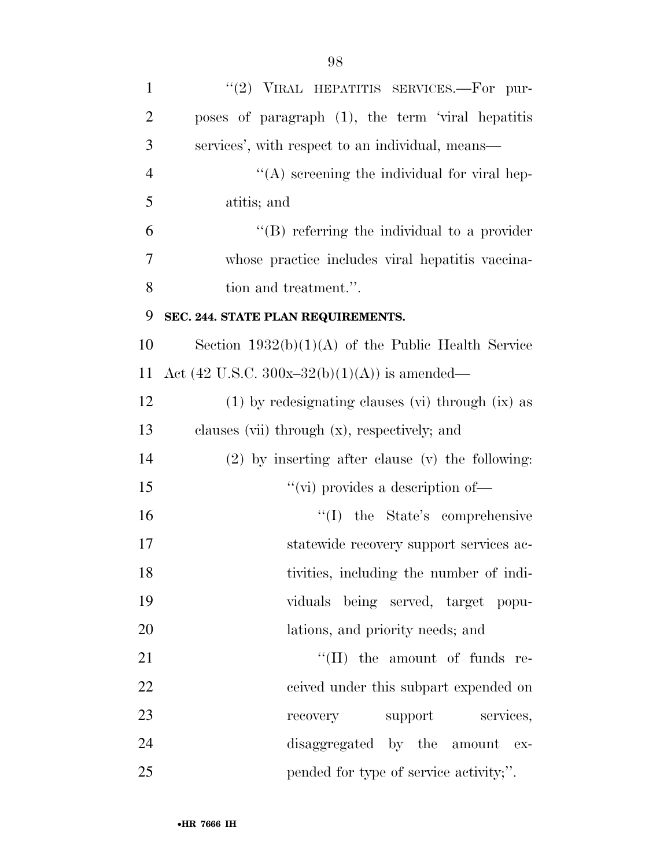| $\mathbf{1}$   | "(2) VIRAL HEPATITIS SERVICES.-For pur-              |
|----------------|------------------------------------------------------|
| $\overline{2}$ | poses of paragraph (1), the term 'viral hepatitis    |
| 3              | services', with respect to an individual, means—     |
| $\overline{4}$ | $\lq\lq$ screening the individual for viral hep-     |
| 5              | atitis; and                                          |
| 6              | $\lq\lq(B)$ referring the individual to a provider   |
| 7              | whose practice includes viral hepatitis vaccina-     |
| 8              | tion and treatment.".                                |
| 9              | SEC. 244. STATE PLAN REQUIREMENTS.                   |
| 10             | Section $1932(b)(1)(A)$ of the Public Health Service |
| 11             | Act (42 U.S.C. 300x-32(b)(1)(A)) is amended—         |
| 12             | $(1)$ by redesignating clauses (vi) through (ix) as  |
| 13             | clauses (vii) through (x), respectively; and         |
| 14             | $(2)$ by inserting after clause (v) the following:   |
| 15             | "(vi) provides a description of $\equiv$             |
| 16             | "(I) the State's comprehensive                       |
| 17             | statewide recovery support services ac-              |
| 18             | tivities, including the number of indi-              |
| 19             | viduals being served, target popu-                   |
| 20             | lations, and priority needs; and                     |
| 21             | $``(II)$ the amount of funds re-                     |
| 22             | ceived under this subpart expended on                |
| 23             | support<br>services,<br>recovery                     |
| 24             | disaggregated by the amount ex-                      |
| 25             | pended for type of service activity;".               |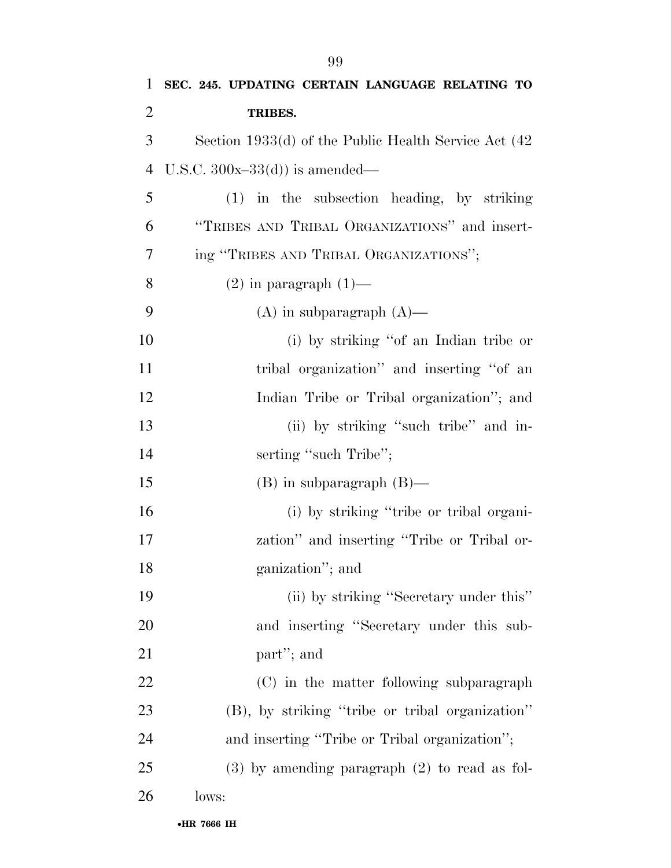| $\mathbf{1}$   | SEC. 245. UPDATING CERTAIN LANGUAGE RELATING TO       |
|----------------|-------------------------------------------------------|
| $\overline{2}$ | TRIBES.                                               |
| 3              | Section 1933(d) of the Public Health Service Act (42) |
| $\overline{4}$ | U.S.C. $300x-33(d)$ is amended—                       |
| 5              | $(1)$ in the subsection heading, by striking          |
| 6              | "TRIBES AND TRIBAL ORGANIZATIONS" and insert-         |
| 7              | ing "TRIBES AND TRIBAL ORGANIZATIONS";                |
| 8              | $(2)$ in paragraph $(1)$ —                            |
| 9              | $(A)$ in subparagraph $(A)$ —                         |
| 10             | (i) by striking "of an Indian tribe or                |
| 11             | tribal organization" and inserting "of an             |
| 12             | Indian Tribe or Tribal organization"; and             |
| 13             | (ii) by striking "such tribe" and in-                 |
| 14             | serting "such Tribe";                                 |
| 15             | $(B)$ in subparagraph $(B)$ —                         |
| 16             | (i) by striking "tribe or tribal organi-              |
| 17             | zation" and inserting "Tribe or Tribal or-            |
| 18             | ganization"; and                                      |
| 19             | (ii) by striking "Secretary under this"               |
| 20             | and inserting "Secretary under this sub-              |
| 21             | part"; and                                            |
| 22             | (C) in the matter following subparagraph              |
| 23             | (B), by striking "tribe or tribal organization"       |
| 24             | and inserting "Tribe or Tribal organization";         |
| 25             | $(3)$ by amending paragraph $(2)$ to read as fol-     |
| 26             | lows:                                                 |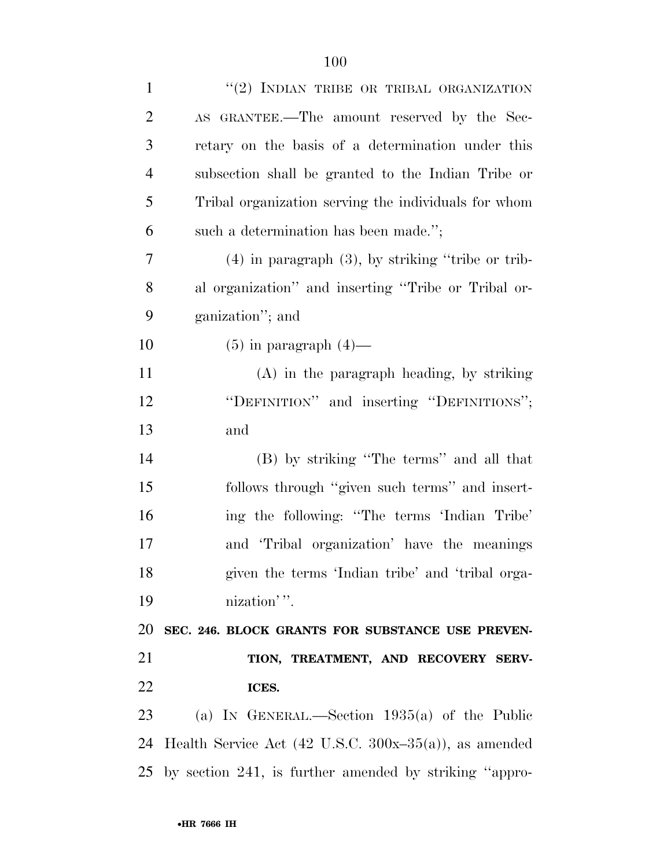| $\mathbf{1}$   | "(2) INDIAN TRIBE OR TRIBAL ORGANIZATION                          |
|----------------|-------------------------------------------------------------------|
| $\overline{2}$ | AS GRANTEE.—The amount reserved by the Sec-                       |
| 3              | retary on the basis of a determination under this                 |
| $\overline{4}$ | subsection shall be granted to the Indian Tribe or                |
| 5              | Tribal organization serving the individuals for whom              |
| 6              | such a determination has been made.";                             |
| 7              | $(4)$ in paragraph $(3)$ , by striking "tribe or trib-            |
| 8              | al organization" and inserting "Tribe or Tribal or-               |
| 9              | ganization"; and                                                  |
| 10             | $(5)$ in paragraph $(4)$ —                                        |
| 11             | $(A)$ in the paragraph heading, by striking                       |
| 12             | "DEFINITION" and inserting "DEFINITIONS";                         |
| 13             | and                                                               |
| 14             | (B) by striking "The terms" and all that                          |
| 15             | follows through "given such terms" and insert-                    |
| 16             | ing the following: "The terms 'Indian Tribe'                      |
| 17             | and 'Tribal organization' have the meanings                       |
| 18             | given the terms 'Indian tribe' and 'tribal orga-                  |
| 19             | nization''.                                                       |
| 20             | SEC. 246. BLOCK GRANTS FOR SUBSTANCE USE PREVEN-                  |
| 21             | TION, TREATMENT, AND RECOVERY SERV-                               |
| 22             | ICES.                                                             |
| 23             | (a) IN GENERAL.—Section $1935(a)$ of the Public                   |
| 24             | Health Service Act $(42 \text{ U.S.C. } 300x-35(a))$ , as amended |
|                | 25 by section 241, is further amended by striking "appro-         |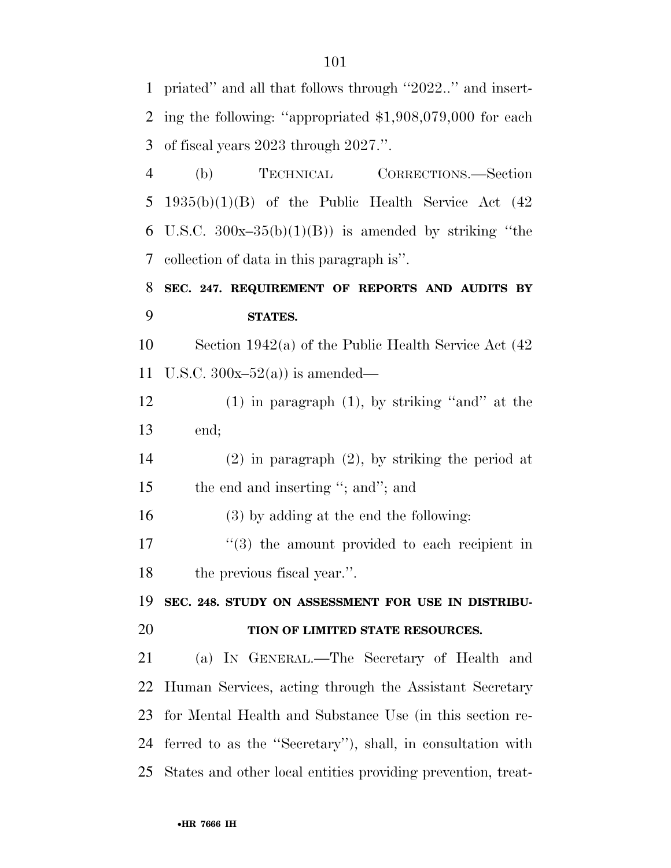priated'' and all that follows through ''2022..'' and insert- ing the following: ''appropriated \$1,908,079,000 for each of fiscal years 2023 through 2027.''.

 (b) TECHNICAL CORRECTIONS.—Section 1935(b)(1)(B) of the Public Health Service Act (42 6 U.S.C.  $300x-35(b)(1)(B)$  is amended by striking "the collection of data in this paragraph is''.

### **SEC. 247. REQUIREMENT OF REPORTS AND AUDITS BY STATES.**

 Section 1942(a) of the Public Health Service Act (42 11 U.S.C.  $300x-52(a)$  is amended—

 (1) in paragraph (1), by striking ''and'' at the end;

 (2) in paragraph (2), by striking the period at 15 the end and inserting "; and"; and

(3) by adding at the end the following:

17 ''(3) the amount provided to each recipient in the previous fiscal year.''.

**SEC. 248. STUDY ON ASSESSMENT FOR USE IN DISTRIBU-**

#### **TION OF LIMITED STATE RESOURCES.**

 (a) IN GENERAL.—The Secretary of Health and Human Services, acting through the Assistant Secretary for Mental Health and Substance Use (in this section re- ferred to as the ''Secretary''), shall, in consultation with States and other local entities providing prevention, treat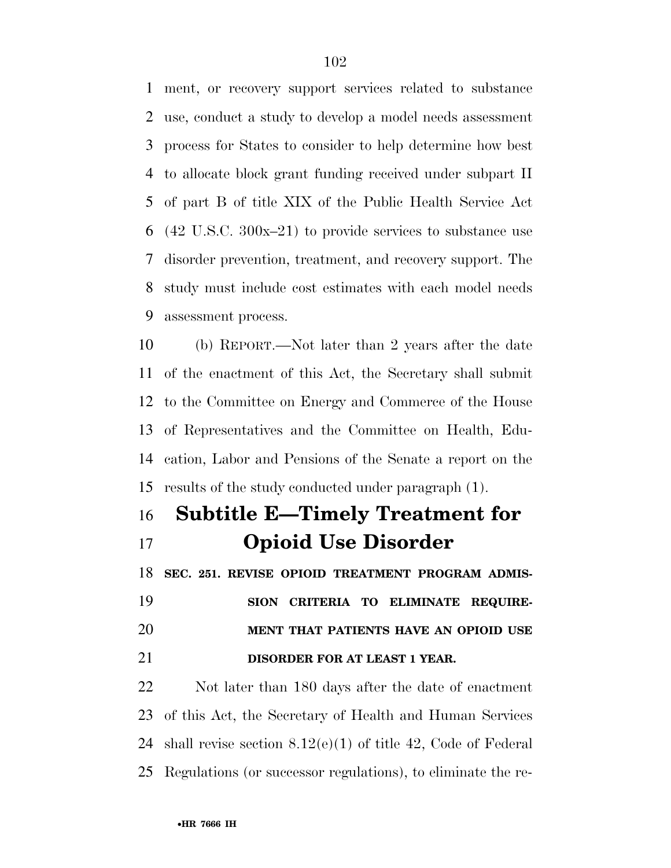ment, or recovery support services related to substance use, conduct a study to develop a model needs assessment process for States to consider to help determine how best to allocate block grant funding received under subpart II of part B of title XIX of the Public Health Service Act (42 U.S.C. 300x–21) to provide services to substance use disorder prevention, treatment, and recovery support. The study must include cost estimates with each model needs assessment process.

 (b) REPORT.—Not later than 2 years after the date of the enactment of this Act, the Secretary shall submit to the Committee on Energy and Commerce of the House of Representatives and the Committee on Health, Edu- cation, Labor and Pensions of the Senate a report on the results of the study conducted under paragraph (1).

## **Subtitle E—Timely Treatment for Opioid Use Disorder**

 **SEC. 251. REVISE OPIOID TREATMENT PROGRAM ADMIS-SION CRITERIA TO ELIMINATE REQUIRE-**

 **MENT THAT PATIENTS HAVE AN OPIOID USE DISORDER FOR AT LEAST 1 YEAR.** 

 Not later than 180 days after the date of enactment of this Act, the Secretary of Health and Human Services shall revise section 8.12(e)(1) of title 42, Code of Federal Regulations (or successor regulations), to eliminate the re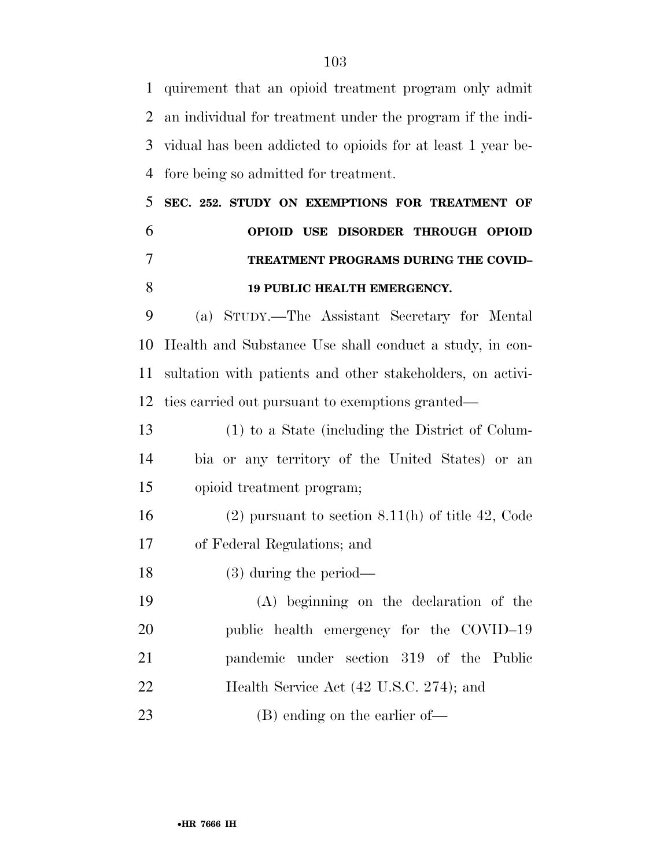quirement that an opioid treatment program only admit an individual for treatment under the program if the indi- vidual has been addicted to opioids for at least 1 year be-fore being so admitted for treatment.

 **SEC. 252. STUDY ON EXEMPTIONS FOR TREATMENT OF OPIOID USE DISORDER THROUGH OPIOID TREATMENT PROGRAMS DURING THE COVID– 19 PUBLIC HEALTH EMERGENCY.** 

 (a) STUDY.—The Assistant Secretary for Mental Health and Substance Use shall conduct a study, in con- sultation with patients and other stakeholders, on activi-ties carried out pursuant to exemptions granted—

 (1) to a State (including the District of Colum- bia or any territory of the United States) or an opioid treatment program;

 (2) pursuant to section 8.11(h) of title 42, Code of Federal Regulations; and

(3) during the period—

 (A) beginning on the declaration of the public health emergency for the COVID–19 pandemic under section 319 of the Public Health Service Act (42 U.S.C. 274); and 23 (B) ending on the earlier of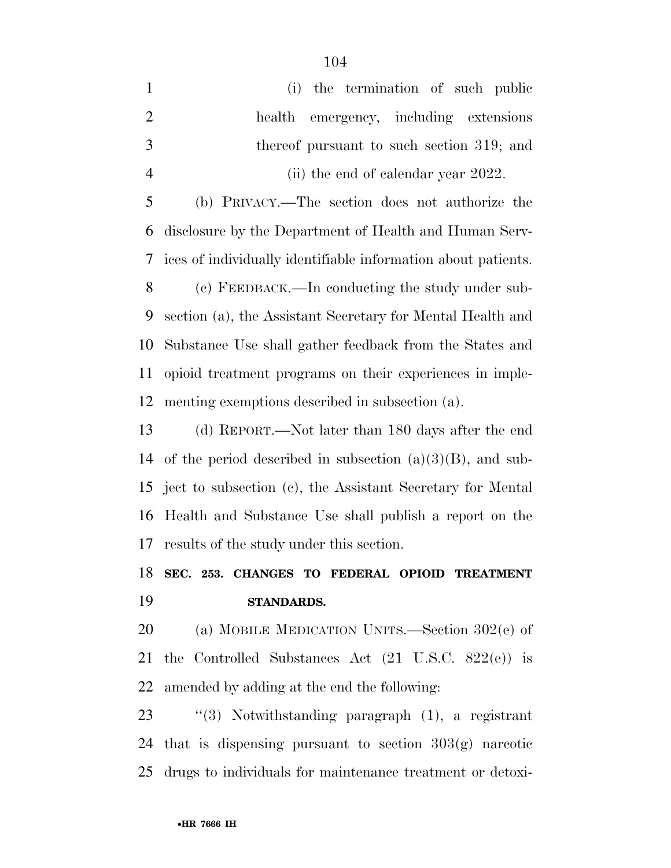(i) the termination of such public health emergency, including extensions thereof pursuant to such section 319; and 4 (ii) the end of calendar year 2022.

 (b) PRIVACY.—The section does not authorize the disclosure by the Department of Health and Human Serv-ices of individually identifiable information about patients.

 (c) FEEDBACK.—In conducting the study under sub- section (a), the Assistant Secretary for Mental Health and Substance Use shall gather feedback from the States and opioid treatment programs on their experiences in imple-menting exemptions described in subsection (a).

 (d) REPORT.—Not later than 180 days after the end 14 of the period described in subsection  $(a)(3)(B)$ , and sub- ject to subsection (c), the Assistant Secretary for Mental Health and Substance Use shall publish a report on the results of the study under this section.

### **SEC. 253. CHANGES TO FEDERAL OPIOID TREATMENT STANDARDS.**

 (a) MOBILE MEDICATION UNITS.—Section 302(e) of the Controlled Substances Act (21 U.S.C. 822(e)) is amended by adding at the end the following:

 ''(3) Notwithstanding paragraph (1), a registrant that is dispensing pursuant to section 303(g) narcotic drugs to individuals for maintenance treatment or detoxi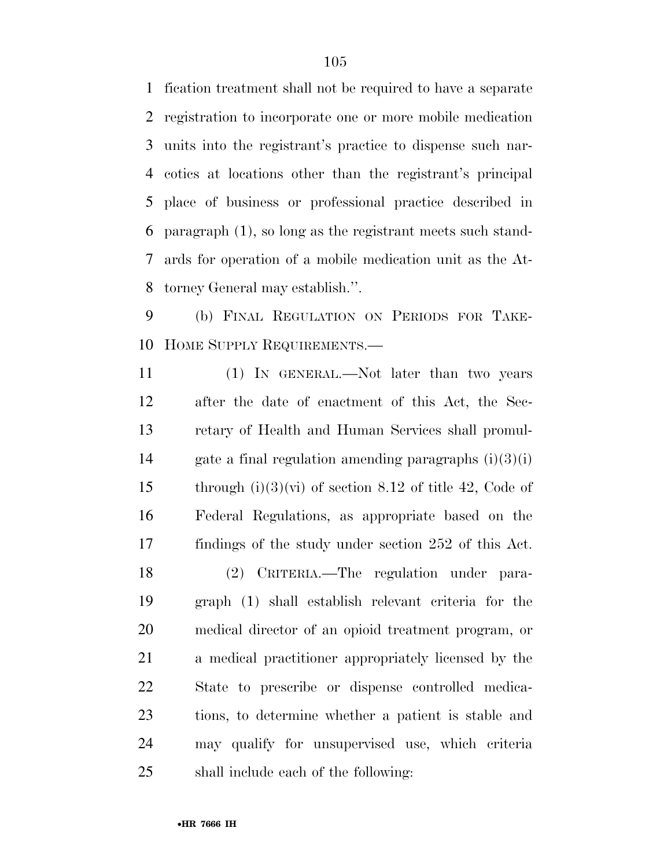fication treatment shall not be required to have a separate registration to incorporate one or more mobile medication units into the registrant's practice to dispense such nar- cotics at locations other than the registrant's principal place of business or professional practice described in paragraph (1), so long as the registrant meets such stand- ards for operation of a mobile medication unit as the At-torney General may establish.''.

 (b) FINAL REGULATION ON PERIODS FOR TAKE-HOME SUPPLY REQUIREMENTS.—

 (1) IN GENERAL.—Not later than two years after the date of enactment of this Act, the Sec- retary of Health and Human Services shall promul-14 gate a final regulation amending paragraphs  $(i)(3)(i)$ 15 through  $(i)(3)(vi)$  of section 8.12 of title 42, Code of Federal Regulations, as appropriate based on the findings of the study under section 252 of this Act. (2) CRITERIA.—The regulation under para- graph (1) shall establish relevant criteria for the medical director of an opioid treatment program, or a medical practitioner appropriately licensed by the State to prescribe or dispense controlled medica- tions, to determine whether a patient is stable and may qualify for unsupervised use, which criteria shall include each of the following: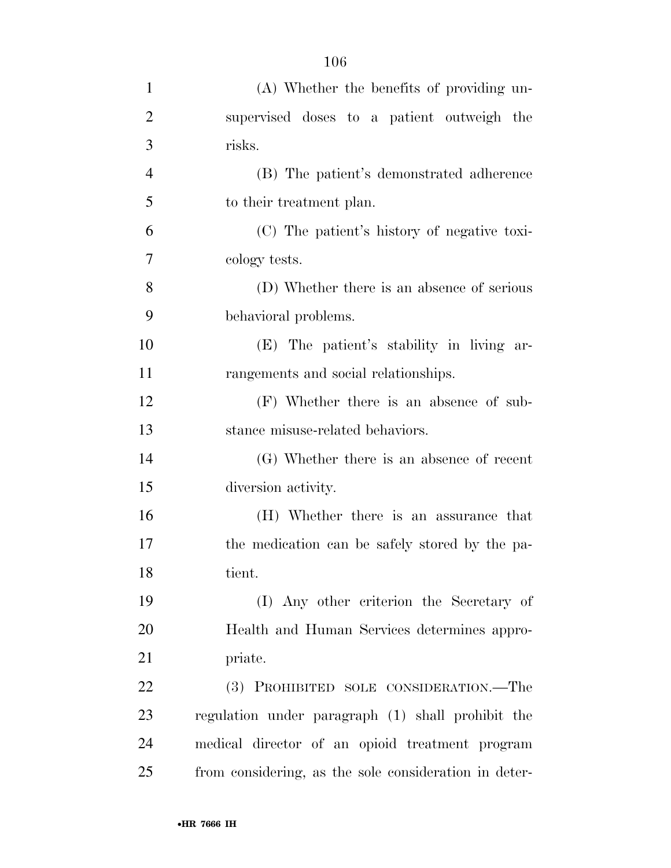| $\mathbf{1}$   | (A) Whether the benefits of providing un-             |
|----------------|-------------------------------------------------------|
| $\overline{2}$ | supervised doses to a patient outweigh the            |
| 3              | risks.                                                |
| $\overline{4}$ | (B) The patient's demonstrated adherence              |
| 5              | to their treatment plan.                              |
| 6              | (C) The patient's history of negative toxi-           |
| 7              | cology tests.                                         |
| 8              | (D) Whether there is an absence of serious            |
| 9              | behavioral problems.                                  |
| 10             | (E) The patient's stability in living ar-             |
| 11             | rangements and social relationships.                  |
| 12             | (F) Whether there is an absence of sub-               |
| 13             | stance misuse-related behaviors.                      |
| 14             | (G) Whether there is an absence of recent             |
| 15             | diversion activity.                                   |
| 16             | (H) Whether there is an assurance that                |
| 17             | the medication can be safely stored by the pa-        |
| 18             | tient.                                                |
| 19             | (I) Any other criterion the Secretary of              |
| 20             | Health and Human Services determines appro-           |
| 21             | priate.                                               |
| 22             | (3) PROHIBITED SOLE CONSIDERATION.—The                |
| 23             | regulation under paragraph (1) shall prohibit the     |
| 24             | medical director of an opioid treatment program       |
| 25             | from considering, as the sole consideration in deter- |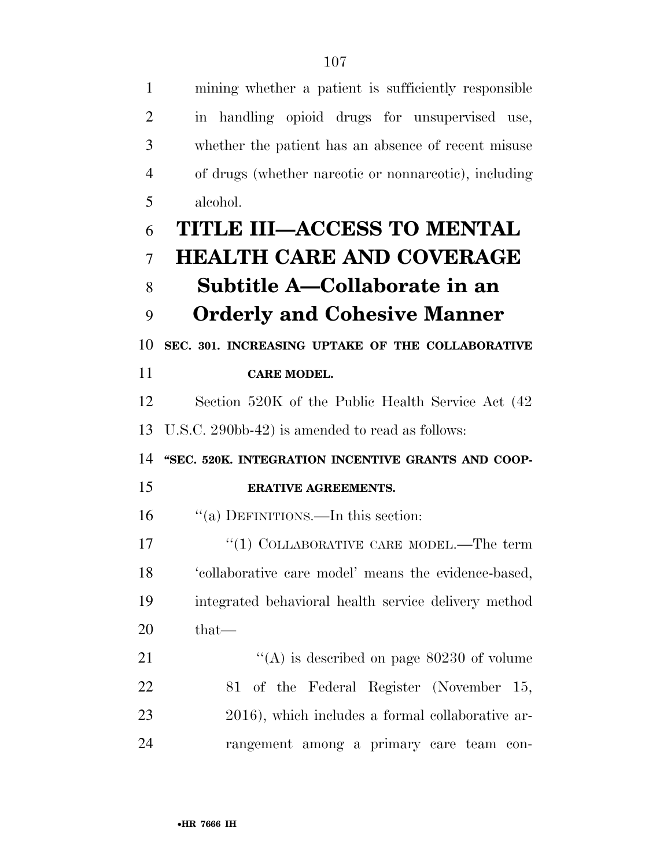| $\mathbf{1}$   | mining whether a patient is sufficiently responsible  |
|----------------|-------------------------------------------------------|
| $\overline{2}$ | in handling opioid drugs for unsupervised use,        |
| 3              | whether the patient has an absence of recent misuse   |
| $\overline{4}$ | of drugs (whether narcotic or nonnarcotic), including |
| 5              | alcohol.                                              |
| 6              | <b>TITLE III-ACCESS TO MENTAL</b>                     |
| 7              | <b>HEALTH CARE AND COVERAGE</b>                       |
| 8              | Subtitle A—Collaborate in an                          |
| 9              | <b>Orderly and Cohesive Manner</b>                    |
| 10             | SEC. 301. INCREASING UPTAKE OF THE COLLABORATIVE      |
| 11             | <b>CARE MODEL.</b>                                    |
| 12             | Section 520K of the Public Health Service Act (42)    |
| 13             | U.S.C. 290bb-42) is amended to read as follows:       |
| 14             | "SEC. 520K. INTEGRATION INCENTIVE GRANTS AND COOP-    |
| 15             | <b>ERATIVE AGREEMENTS.</b>                            |
| 16             | "(a) DEFINITIONS.—In this section:                    |
| 17             | "(1) COLLABORATIVE CARE MODEL.—The term               |
| 18             | 'collaborative care model' means the evidence-based,  |
| 19             | integrated behavioral health service delivery method  |
| 20             | $that-$                                               |
| 21             | "(A) is described on page $80230$ of volume           |
| 22             |                                                       |
|                | 81 of the Federal Register (November 15,              |
| 23             | 2016), which includes a formal collaborative ar-      |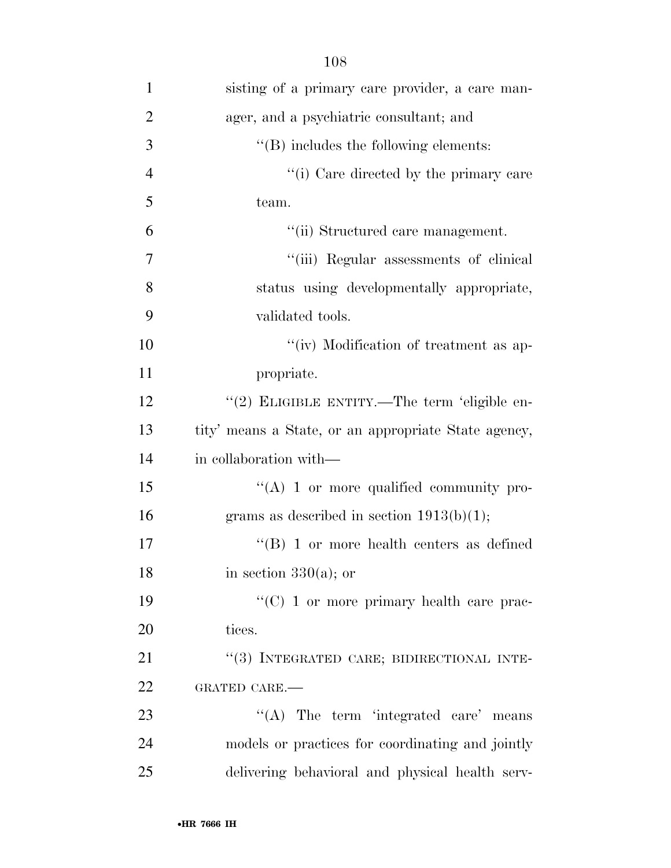| 1              | sisting of a primary care provider, a care man-      |
|----------------|------------------------------------------------------|
| $\overline{2}$ | ager, and a psychiatric consultant; and              |
| 3              | $\lq\lq$ includes the following elements:            |
| $\overline{4}$ | "(i) Care directed by the primary care               |
| 5              | team.                                                |
| 6              | "(ii) Structured care management.                    |
| 7              | "(iii) Regular assessments of clinical               |
| 8              | status using developmentally appropriate,            |
| 9              | validated tools.                                     |
| 10             | "(iv) Modification of treatment as ap-               |
| 11             | propriate.                                           |
| 12             | "(2) ELIGIBLE ENTITY.—The term 'eligible en-         |
| 13             | tity' means a State, or an appropriate State agency, |
| 14             | in collaboration with—                               |
| 15             | $\lq\lq$ (A) 1 or more qualified community pro-      |
| 16             | grams as described in section $1913(b)(1)$ ;         |
| 17             | $\cdot$ (B) 1 or more health centers as defined      |
| 18             | in section $330(a)$ ; or                             |
| 19             | " $(C)$ 1 or more primary health care prac-          |
| 20             | tices.                                               |
| 21             | "(3) INTEGRATED CARE; BIDIRECTIONAL INTE-            |
| 22             | GRATED CARE.-                                        |
| 23             | "(A) The term 'integrated care' means                |
| 24             | models or practices for coordinating and jointly     |
| 25             | delivering behavioral and physical health serv-      |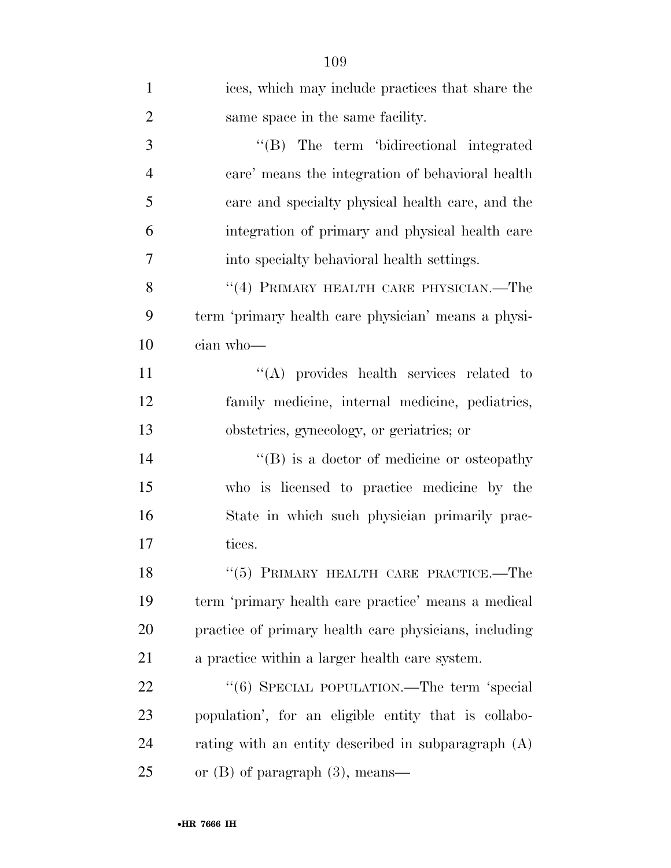| $\mathbf{1}$   | ices, which may include practices that share the      |
|----------------|-------------------------------------------------------|
| $\overline{2}$ | same space in the same facility.                      |
| 3              | "(B) The term 'bidirectional integrated               |
| $\overline{4}$ | care' means the integration of behavioral health      |
| 5              | care and specialty physical health care, and the      |
| 6              | integration of primary and physical health care       |
| 7              | into specialty behavioral health settings.            |
| 8              | "(4) PRIMARY HEALTH CARE PHYSICIAN.—The               |
| 9              | term 'primary health care physician' means a physi-   |
| 10             | cian who-                                             |
| 11             | "(A) provides health services related to              |
| 12             | family medicine, internal medicine, pediatrics,       |
| 13             | obstetries, gynecology, or geriatrics; or             |
| 14             | $\lq\lq (B)$ is a doctor of medicine or osteopathy    |
| 15             | who is licensed to practice medicine by the           |
| 16             | State in which such physician primarily prac-         |
| 17             | tices.                                                |
| 18             | "(5) PRIMARY HEALTH CARE PRACTICE.-The                |
| 19             | term 'primary health care practice' means a medical   |
| 20             | practice of primary health care physicians, including |
| 21             | a practice within a larger health care system.        |
| 22             | "(6) SPECIAL POPULATION.—The term 'special            |
| 23             | population', for an eligible entity that is collabo-  |
| 24             | rating with an entity described in subparagraph $(A)$ |
| 25             | or $(B)$ of paragraph $(3)$ , means—                  |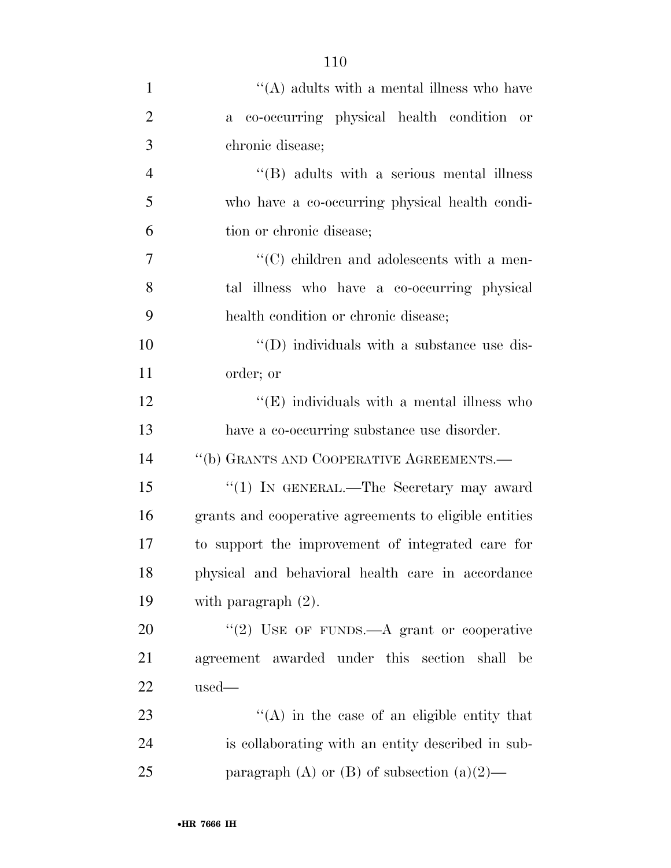| $\mathbf{1}$   | $\lq\lq$ adults with a mental illness who have         |
|----------------|--------------------------------------------------------|
| $\overline{2}$ | a co-occurring physical health condition or            |
| 3              | chronic disease;                                       |
| $\overline{4}$ | $\lq\lq$ (B) adults with a serious mental illness      |
| 5              | who have a co-occurring physical health condi-         |
| 6              | tion or chronic disease;                               |
| $\overline{7}$ | $\lq\lq$ children and adolescents with a men-          |
| 8              | tal illness who have a co-occurring physical           |
| 9              | health condition or chronic disease;                   |
| 10             | $\lq\lq$ (D) individuals with a substance use dis-     |
| 11             | order; or                                              |
| 12             | $\lq\lq$ (E) individuals with a mental illness who     |
| 13             | have a co-occurring substance use disorder.            |
| 14             | "(b) GRANTS AND COOPERATIVE AGREEMENTS.—               |
| 15             | "(1) IN GENERAL.—The Secretary may award               |
| 16             | grants and cooperative agreements to eligible entities |
| 17             | to support the improvement of integrated care for      |
| 18             | physical and behavioral health care in accordance      |
| 19             | with paragraph $(2)$ .                                 |
| 20             | "(2) USE OF FUNDS.—A grant or cooperative              |
| 21             | agreement awarded under this section shall<br>be       |
| 22             | $used-$                                                |
| 23             | $\lq\lq$ in the case of an eligible entity that        |
| 24             | is collaborating with an entity described in sub-      |
| 25             | paragraph (A) or (B) of subsection $(a)(2)$ —          |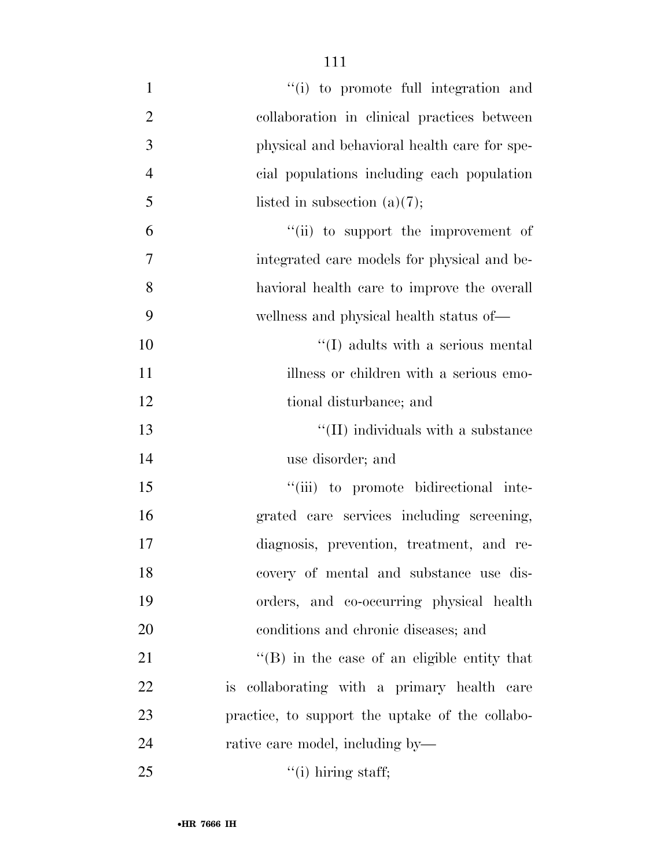| $\mathbf{1}$   | "(i) to promote full integration and                |
|----------------|-----------------------------------------------------|
| $\overline{2}$ | collaboration in clinical practices between         |
| 3              | physical and behavioral health care for spe-        |
| $\overline{4}$ | cial populations including each population          |
| 5              | listed in subsection $(a)(7)$ ;                     |
| 6              | "(ii) to support the improvement of                 |
| 7              | integrated care models for physical and be-         |
| 8              | havioral health care to improve the overall         |
| 9              | wellness and physical health status of—             |
| 10             | $\lq\lq$ (I) adults with a serious mental           |
| 11             | illness or children with a serious emo-             |
| 12             | tional disturbance; and                             |
| 13             | $\lq\lq$ (II) individuals with a substance          |
| 14             | use disorder; and                                   |
| 15             | "(iii) to promote bidirectional inte-               |
| 16             | grated care services including screening,           |
| 17             | diagnosis, prevention, treatment, and re-           |
| 18             | covery of mental and substance use dis-             |
| 19             | orders, and co-occurring physical health            |
| 20             | conditions and chronic diseases; and                |
| 21             | $\lq\lq (B)$ in the case of an eligible entity that |
| 22             | is collaborating with a primary health care         |
| 23             | practice, to support the uptake of the collabo-     |
| 24             | rative care model, including by—                    |
| 25             | $\lq($ i) hiring staff;                             |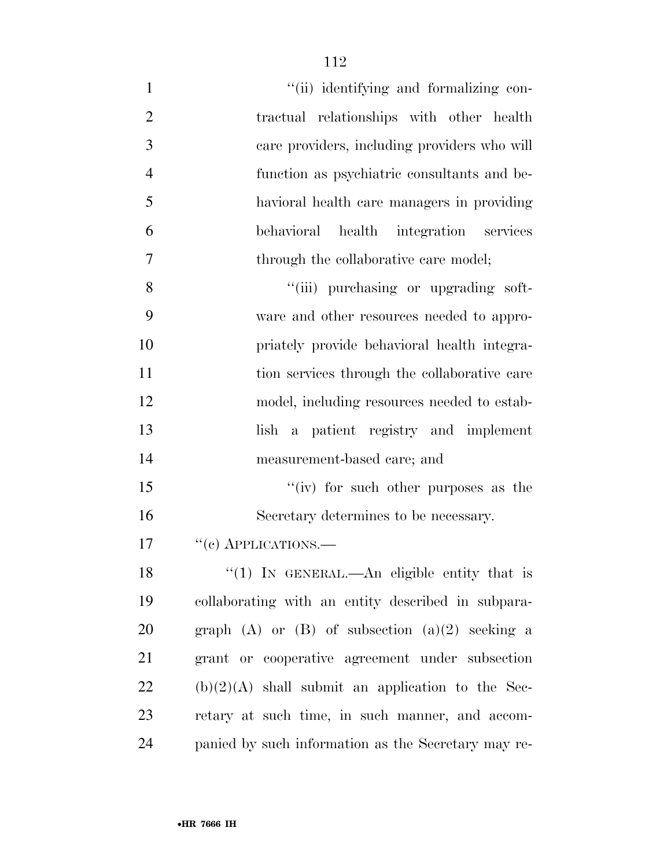| $\mathbf{1}$   | "(ii) identifying and formalizing con-              |
|----------------|-----------------------------------------------------|
| $\overline{2}$ | tractual relationships with other health            |
| 3              | care providers, including providers who will        |
| $\overline{4}$ | function as psychiatric consultants and be-         |
| 5              | havioral health care managers in providing          |
| 6              | behavioral health integration services              |
| 7              | through the collaborative care model;               |
| 8              | "(iii) purchasing or upgrading soft-                |
| 9              | ware and other resources needed to appro-           |
| 10             | priately provide behavioral health integra-         |
| 11             | tion services through the collaborative care        |
| 12             | model, including resources needed to estab-         |
| 13             | a patient registry and implement<br>lish            |
| 14             | measurement-based care; and                         |
| 15             | "(iv) for such other purposes as the                |
| 16             | Secretary determines to be necessary.               |
| 17             | $``(e)$ APPLICATIONS.—                              |
| 18             | " $(1)$ IN GENERAL.—An eligible entity that is      |
| 19             | collaborating with an entity described in subpara-  |
| 20             | graph (A) or $(B)$ of subsection $(a)(2)$ seeking a |
| 21             | grant or cooperative agreement under subsection     |
| 22             | $(b)(2)(A)$ shall submit an application to the Sec- |
| 23             | retary at such time, in such manner, and accom-     |
| 24             | panied by such information as the Secretary may re- |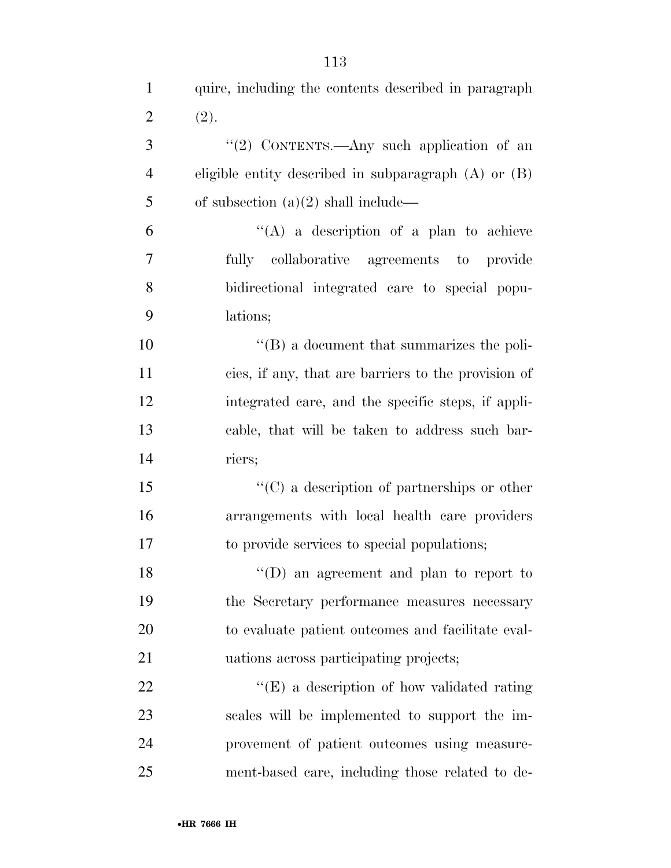| $\mathbf{1}$   | quire, including the contents described in paragraph     |
|----------------|----------------------------------------------------------|
| $\overline{2}$ | (2).                                                     |
| 3              | "(2) CONTENTS.—Any such application of an                |
| $\overline{4}$ | eligible entity described in subparagraph $(A)$ or $(B)$ |
| 5              | of subsection $(a)(2)$ shall include—                    |
| 6              | "(A) a description of a plan to achieve                  |
| 7              | fully collaborative agreements to provide                |
| 8              | bidirectional integrated care to special popu-           |
| 9              | lations;                                                 |
| 10             | $\lq\lq (B)$ a document that summarizes the poli-        |
| 11             | cies, if any, that are barriers to the provision of      |
| 12             | integrated care, and the specific steps, if appli-       |
| 13             | cable, that will be taken to address such bar-           |
| 14             | riers;                                                   |
| 15             | $\lq\lq$ (C) a description of partnerships or other      |
| 16             | arrangements with local health care providers            |
| 17             | to provide services to special populations;              |
| 18             | "(D) an agreement and plan to report to                  |
| 19             | the Secretary performance measures necessary             |
| 20             | to evaluate patient outcomes and facilitate eval-        |
| 21             | uations across participating projects;                   |
| 22             | $\lq\lq(E)$ a description of how validated rating        |
| 23             | scales will be implemented to support the im-            |
| 24             | provement of patient outcomes using measure-             |
| 25             | ment-based care, including those related to de-          |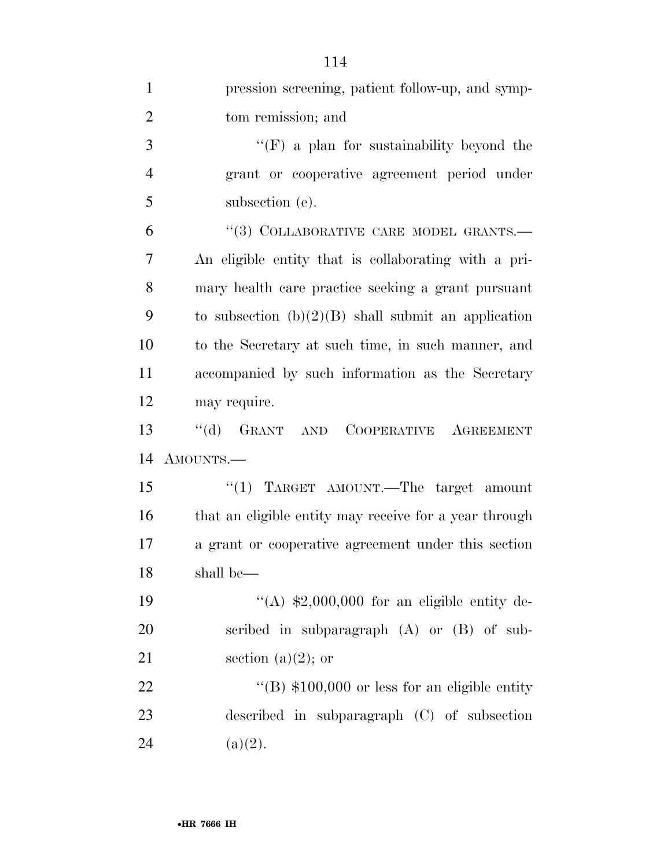| $\mathbf{1}$   | pression screening, patient follow-up, and symp-       |
|----------------|--------------------------------------------------------|
| $\overline{2}$ | tom remission; and                                     |
| 3              | $\lq\lq(F)$ a plan for sustainability beyond the       |
| $\overline{4}$ | grant or cooperative agreement period under            |
| 5              | subsection (e).                                        |
| 6              | "(3) COLLABORATIVE CARE MODEL GRANTS.-                 |
| 7              | An eligible entity that is collaborating with a pri-   |
| 8              | mary health care practice seeking a grant pursuant     |
| 9              | to subsection $(b)(2)(B)$ shall submit an application  |
| 10             | to the Secretary at such time, in such manner, and     |
| 11             | accompanied by such information as the Secretary       |
| 12             | may require.                                           |
| 13             | $``$ (d)<br>GRANT AND COOPERATIVE AGREEMENT            |
| 14             | AMOUNTS.—                                              |
| 15             | "(1) TARGET AMOUNT.—The target amount                  |
| 16             | that an eligible entity may receive for a year through |
| 17             | a grant or cooperative agreement under this section    |
| 18             | shall be—                                              |
| 19             | "(A) $$2,000,000$ for an eligible entity de-           |
| 20             | scribed in subparagraph $(A)$ or $(B)$ of sub-         |
| 21             | section (a) $(2)$ ; or                                 |
| 22             | "(B) $$100,000$ or less for an eligible entity         |
| 23             | described in subparagraph (C) of subsection            |
| 24             | (a)(2).                                                |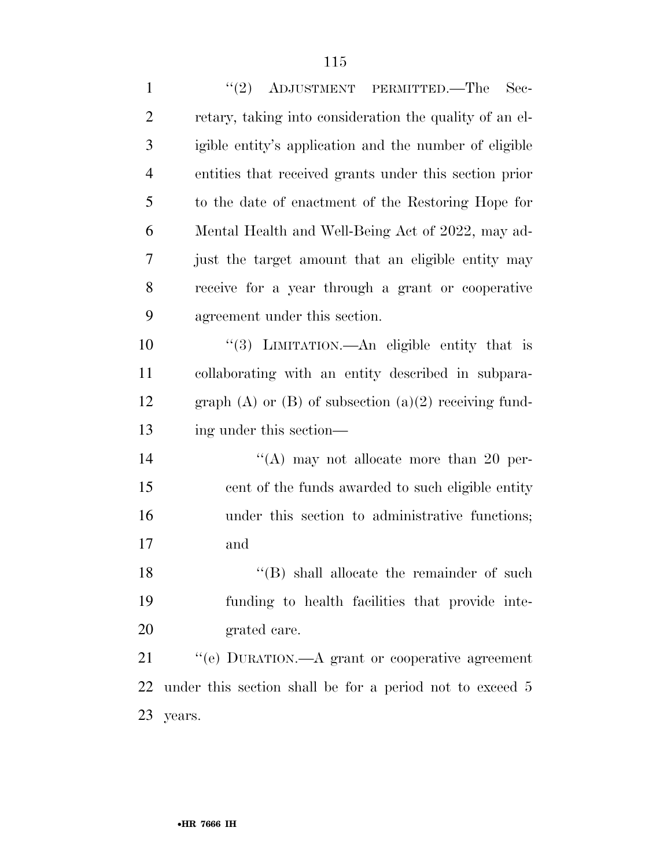| $\mathbf{1}$   | "(2) ADJUSTMENT PERMITTED.—The Sec-                         |
|----------------|-------------------------------------------------------------|
| $\overline{2}$ | retary, taking into consideration the quality of an el-     |
| 3              | igible entity's application and the number of eligible      |
| $\overline{4}$ | entities that received grants under this section prior      |
| 5              | to the date of enactment of the Restoring Hope for          |
| 6              | Mental Health and Well-Being Act of 2022, may ad-           |
| $\tau$         | just the target amount that an eligible entity may          |
| 8              | receive for a year through a grant or cooperative           |
| 9              | agreement under this section.                               |
| 10             | "(3) LIMITATION.—An eligible entity that is                 |
| 11             | collaborating with an entity described in subpara-          |
| 12             | graph $(A)$ or $(B)$ of subsection $(a)(2)$ receiving fund- |
| 13             | ing under this section—                                     |
| 14             | "(A) may not allocate more than 20 per-                     |
| 15             | cent of the funds awarded to such eligible entity           |
| 16             | under this section to administrative functions;             |
| 17             | and                                                         |
| 18             | "(B) shall allocate the remainder of such                   |
| 19             | funding to health facilities that provide inte-             |
| 20             | grated care.                                                |
| 21             | "(e) DURATION.—A grant or cooperative agreement             |
| 22             | under this section shall be for a period not to exceed 5    |
| 23             | years.                                                      |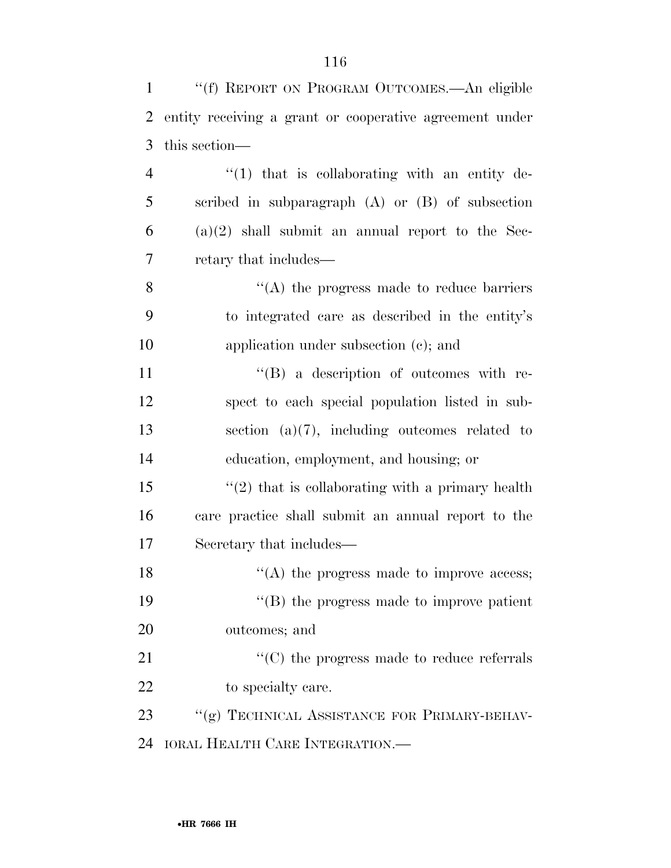| $\mathbf{1}$   | "(f) REPORT ON PROGRAM OUTCOMES.—An eligible            |
|----------------|---------------------------------------------------------|
| $\overline{2}$ | entity receiving a grant or cooperative agreement under |
| 3              | this section—                                           |
| $\overline{4}$ | $f(1)$ that is collaborating with an entity de-         |
| 5              | scribed in subparagraph $(A)$ or $(B)$ of subsection    |
| 6              | $(a)(2)$ shall submit an annual report to the Sec-      |
| 7              | retary that includes—                                   |
| 8              | $\lq\lq$ the progress made to reduce barriers           |
| 9              | to integrated care as described in the entity's         |
| 10             | application under subsection (c); and                   |
| 11             | $\lq\lq (B)$ a description of outcomes with re-         |
| 12             | spect to each special population listed in sub-         |
| 13             | section $(a)(7)$ , including outcomes related to        |
| 14             | education, employment, and housing; or                  |
| 15             | $\lq(2)$ that is collaborating with a primary health    |
| 16             | care practice shall submit an annual report to the      |
| 17             | Secretary that includes—                                |
| 18             | $\mathcal{L}(A)$ the progress made to improve access;   |
| 19             | $\lq\lq$ (B) the progress made to improve patient       |
| 20             | outcomes; and                                           |
| 21             | $\lq\lq$ (C) the progress made to reduce referrals      |
| 22             | to specialty care.                                      |
| 23             | "(g) TECHNICAL ASSISTANCE FOR PRIMARY-BEHAV-            |
| 24             | <b>IORAL HEALTH CARE INTEGRATION.—</b>                  |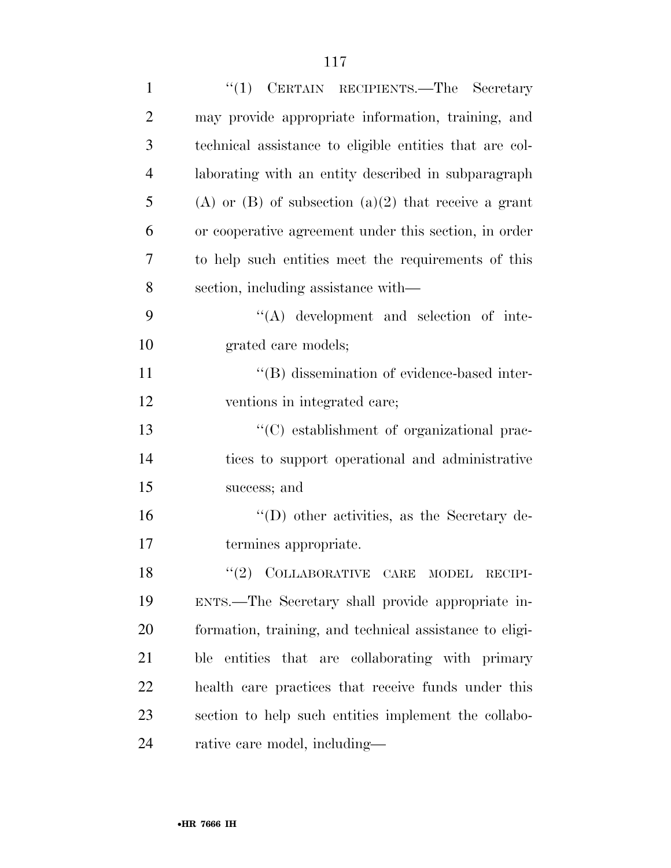| $\mathbf{1}$   | "(1) CERTAIN RECIPIENTS.—The Secretary                  |
|----------------|---------------------------------------------------------|
| $\overline{2}$ | may provide appropriate information, training, and      |
| 3              | technical assistance to eligible entities that are col- |
| $\overline{4}$ | laborating with an entity described in subparagraph     |
| 5              | (A) or (B) of subsection (a)(2) that receive a grant    |
| 6              | or cooperative agreement under this section, in order   |
| 7              | to help such entities meet the requirements of this     |
| 8              | section, including assistance with—                     |
| 9              | $\lq\lq$ development and selection of inte-             |
| 10             | grated care models;                                     |
| 11             | "(B) dissemination of evidence-based inter-             |
| 12             | ventions in integrated care;                            |
| 13             | "(C) establishment of organizational prac-              |
| 14             | tices to support operational and administrative         |
| 15             | success; and                                            |
| 16             | $\lq\lq$ other activities, as the Secretary de-         |
| 17             | termines appropriate.                                   |
| 18             | "(2) COLLABORATIVE CARE MODEL RECIPI-                   |
| 19             | ENTS.—The Secretary shall provide appropriate in-       |
| 20             | formation, training, and technical assistance to eligi- |
| 21             | ble entities that are collaborating with primary        |
| 22             | health care practices that receive funds under this     |
| 23             | section to help such entities implement the collabo-    |
| 24             | rative care model, including—                           |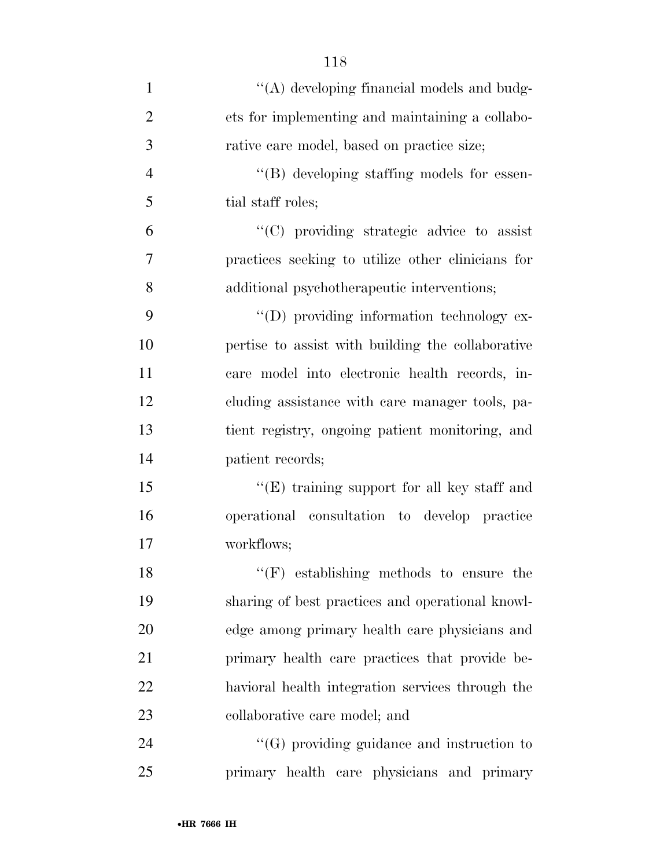| $\mathbf{1}$   | "(A) developing financial models and budg-        |
|----------------|---------------------------------------------------|
| $\overline{2}$ | ets for implementing and maintaining a collabo-   |
| 3              | rative care model, based on practice size;        |
| $\overline{4}$ | "(B) developing staffing models for essen-        |
| 5              | tial staff roles;                                 |
| 6              | $\cdot$ (C) providing strategic advice to assist  |
| $\overline{7}$ | practices seeking to utilize other clinicians for |
| 8              | additional psychotherapeutic interventions;       |
| 9              | "(D) providing information technology ex-         |
| 10             | pertise to assist with building the collaborative |
| 11             | care model into electronic health records, in-    |
| 12             | cluding assistance with care manager tools, pa-   |
| 13             | tient registry, ongoing patient monitoring, and   |
| 14             | patient records;                                  |
| 15             | "(E) training support for all key staff and       |
| 16             | operational consultation to develop practice      |
| 17             | workflows;                                        |
| 18             | $``(F)$ establishing methods to ensure the        |
| 19             | sharing of best practices and operational knowl-  |
| 20             | edge among primary health care physicians and     |
| 21             | primary health care practices that provide be-    |
| 22             | havioral health integration services through the  |
| 23             | collaborative care model; and                     |
| 24             | $\lq\lq(G)$ providing guidance and instruction to |
| 25             | primary health care physicians and primary        |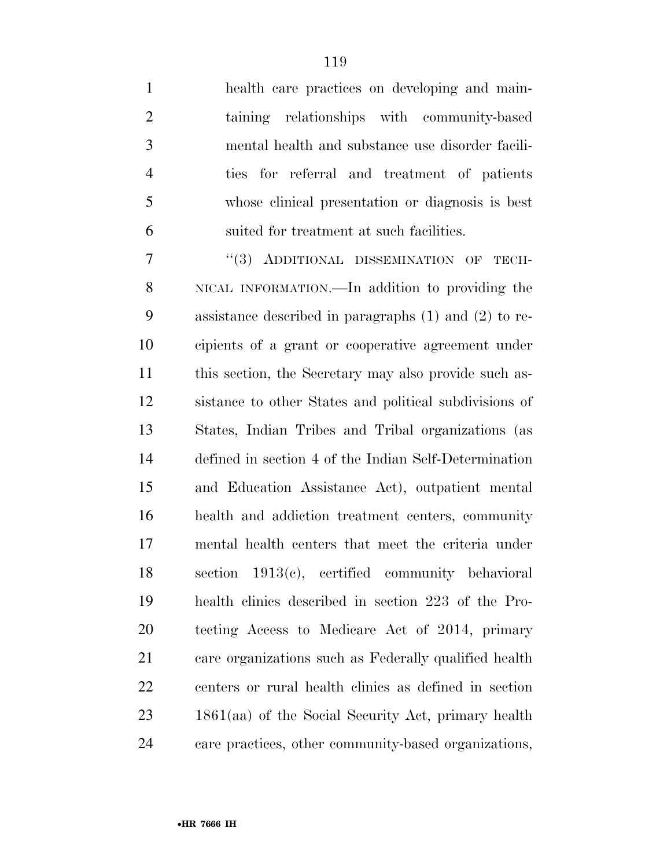health care practices on developing and main- taining relationships with community-based mental health and substance use disorder facili- ties for referral and treatment of patients whose clinical presentation or diagnosis is best suited for treatment at such facilities.

7 "(3) ADDITIONAL DISSEMINATION OF TECH- NICAL INFORMATION.—In addition to providing the assistance described in paragraphs (1) and (2) to re- cipients of a grant or cooperative agreement under this section, the Secretary may also provide such as- sistance to other States and political subdivisions of States, Indian Tribes and Tribal organizations (as defined in section 4 of the Indian Self-Determination and Education Assistance Act), outpatient mental health and addiction treatment centers, community mental health centers that meet the criteria under section 1913(c), certified community behavioral health clinics described in section 223 of the Pro- tecting Access to Medicare Act of 2014, primary care organizations such as Federally qualified health centers or rural health clinics as defined in section 1861(aa) of the Social Security Act, primary health care practices, other community-based organizations,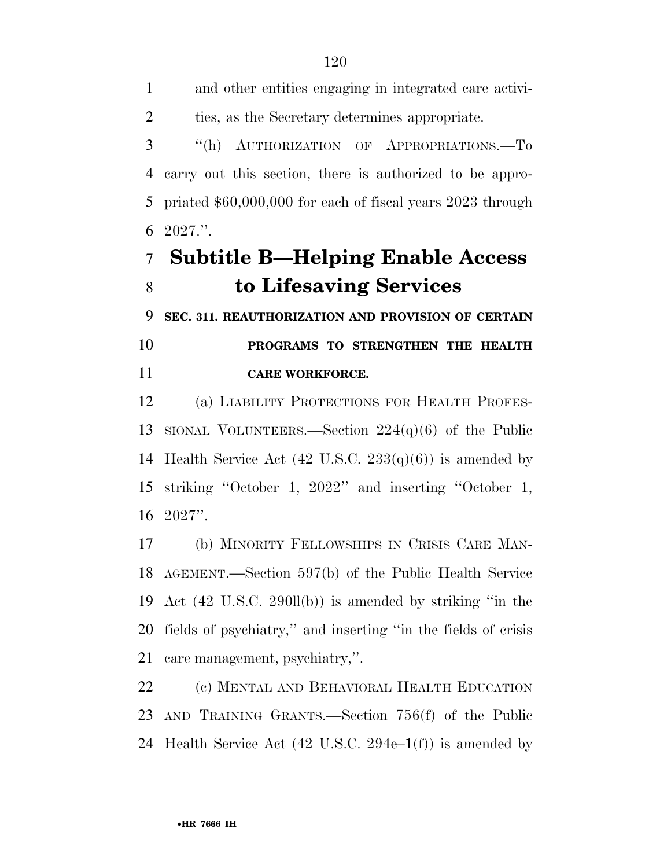and other entities engaging in integrated care activi-ties, as the Secretary determines appropriate.

 ''(h) AUTHORIZATION OF APPROPRIATIONS.—To carry out this section, there is authorized to be appro- priated \$60,000,000 for each of fiscal years 2023 through 2027.''.

## **Subtitle B—Helping Enable Access to Lifesaving Services**

**SEC. 311. REAUTHORIZATION AND PROVISION OF CERTAIN** 

 **PROGRAMS TO STRENGTHEN THE HEALTH CARE WORKFORCE.** 

 (a) LIABILITY PROTECTIONS FOR HEALTH PROFES- SIONAL VOLUNTEERS.—Section 224(q)(6) of the Public 14 Health Service Act  $(42 \text{ U.S.C. } 233(q)(6))$  is amended by striking ''October 1, 2022'' and inserting ''October 1, 2027''.

 (b) MINORITY FELLOWSHIPS IN CRISIS CARE MAN- AGEMENT.—Section 597(b) of the Public Health Service Act (42 U.S.C. 290ll(b)) is amended by striking ''in the fields of psychiatry,'' and inserting ''in the fields of crisis care management, psychiatry,''.

 (c) MENTAL AND BEHAVIORAL HEALTH EDUCATION AND TRAINING GRANTS.—Section 756(f) of the Public Health Service Act (42 U.S.C. 294e–1(f)) is amended by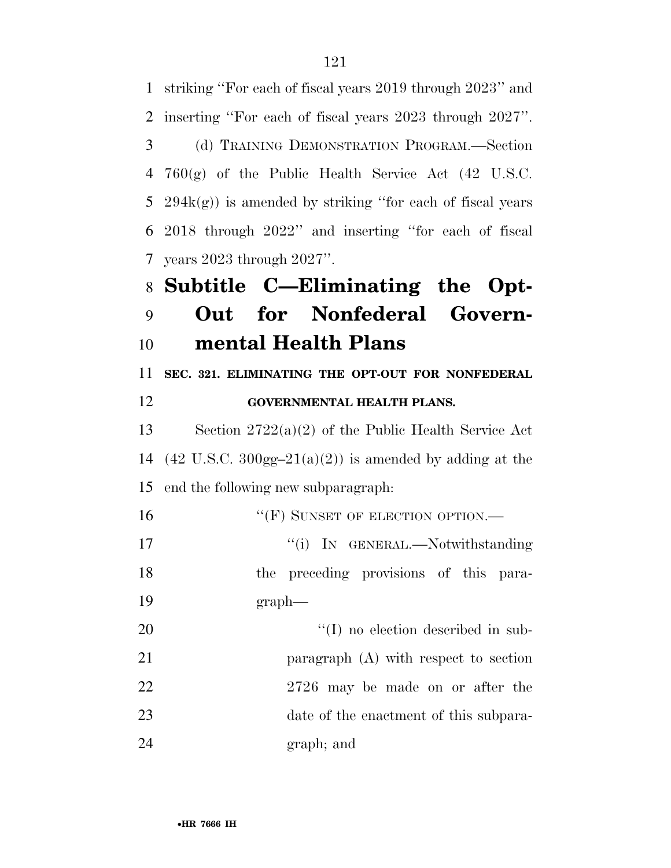| 1  | striking "For each of fiscal years 2019 through 2023" and                   |
|----|-----------------------------------------------------------------------------|
| 2  | inserting "For each of fiscal years 2023 through 2027".                     |
| 3  | (d) TRAINING DEMONSTRATION PROGRAM.—Section                                 |
| 4  | $760(g)$ of the Public Health Service Act $(42 \text{ U.S.C.})$             |
| 5  | $294k(g)$ ) is amended by striking "for each of fiscal years                |
| 6  | 2018 through 2022" and inserting "for each of fiscal                        |
| 7  | years $2023$ through $2027$ ".                                              |
| 8  | Subtitle C-Eliminating the Opt-                                             |
| 9  | Out for Nonfederal Govern-                                                  |
| 10 | mental Health Plans                                                         |
| 11 | SEC. 321. ELIMINATING THE OPT-OUT FOR NONFEDERAL                            |
| 12 | <b>GOVERNMENTAL HEALTH PLANS.</b>                                           |
| 13 | Section $2722(a)(2)$ of the Public Health Service Act                       |
| 14 | $(42 \text{ U.S.C. } 300 \text{gg} - 21(a)(2))$ is amended by adding at the |
| 15 | end the following new subparagraph:                                         |
| 16 | "(F) SUNSET OF ELECTION OPTION.—                                            |
| 17 | "(i) IN GENERAL.—Notwithstanding                                            |
| 18 | the preceding provisions of this para-                                      |
| 19 | graph                                                                       |
| 20 | $\lq\lq$ (I) no election described in sub-                                  |
| 21 | paragraph (A) with respect to section                                       |
| 22 | 2726 may be made on or after the                                            |
| 23 | date of the enactment of this subpara-                                      |
| 24 | graph; and                                                                  |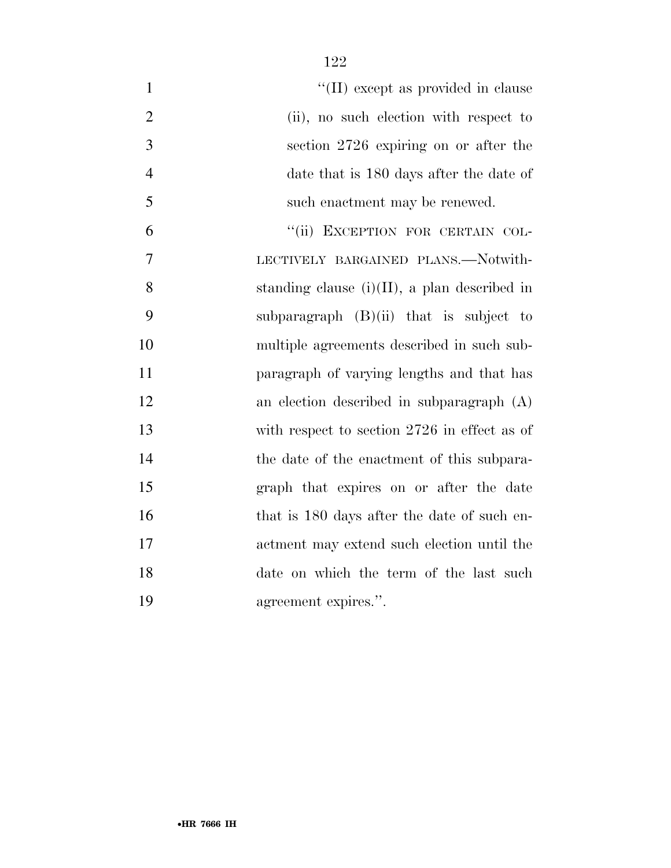| $\mathbf{1}$   | "(II) except as provided in clause              |
|----------------|-------------------------------------------------|
| $\overline{2}$ | (ii), no such election with respect to          |
| 3              | section 2726 expiring on or after the           |
| $\overline{4}$ | date that is 180 days after the date of         |
| 5              | such enactment may be renewed.                  |
| 6              | "(ii) EXCEPTION FOR CERTAIN COL-                |
| 7              | LECTIVELY BARGAINED PLANS.-Notwith-             |
| 8              | standing clause $(i)(II)$ , a plan described in |
| 9              | subparagraph $(B)(ii)$ that is subject to       |
| 10             | multiple agreements described in such sub-      |
| 11             | paragraph of varying lengths and that has       |
| 12             | an election described in subparagraph $(A)$     |
| 13             | with respect to section 2726 in effect as of    |
| 14             | the date of the enactment of this subpara-      |
| 15             | graph that expires on or after the date         |
| 16             | that is 180 days after the date of such en-     |
| 17             | actment may extend such election until the      |
| 18             | date on which the term of the last such         |
| 19             | agreement expires.".                            |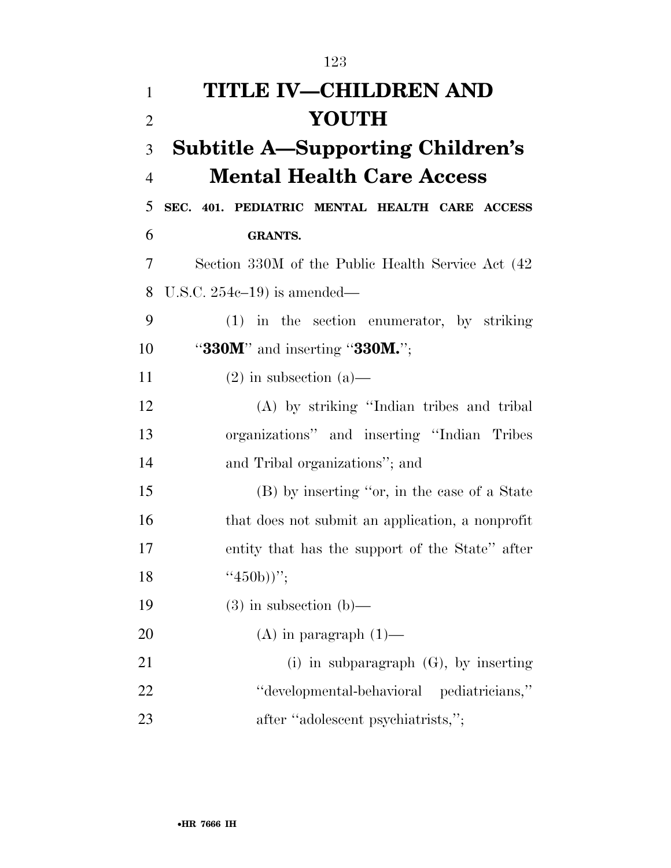| $\mathbf{1}$   | <b>TITLE IV-CHILDREN AND</b>                       |
|----------------|----------------------------------------------------|
| $\overline{2}$ | <b>YOUTH</b>                                       |
| 3              | <b>Subtitle A—Supporting Children's</b>            |
| $\overline{4}$ | <b>Mental Health Care Access</b>                   |
| 5              | SEC. 401. PEDIATRIC MENTAL HEALTH CARE ACCESS      |
| 6              | <b>GRANTS.</b>                                     |
| 7              | Section 330M of the Public Health Service Act (42) |
| 8              | U.S.C. $254c-19$ ) is amended—                     |
| 9              | $(1)$ in the section enumerator, by striking       |
| 10             | " $330M$ " and inserting " $330M$ .";              |
| 11             | $(2)$ in subsection $(a)$ —                        |
| 12             | (A) by striking "Indian tribes and tribal          |
| 13             | organizations" and inserting "Indian Tribes"       |
| 14             | and Tribal organizations"; and                     |
| 15             | (B) by inserting "or, in the case of a State       |
| 16             | that does not submit an application, a nonprofit   |
| 17             | entity that has the support of the State" after    |
| 18             | $``450b))''$ ;                                     |
| 19             | $(3)$ in subsection $(b)$ —                        |
| 20             | $(A)$ in paragraph $(1)$ —                         |
| 21             | (i) in subparagraph $(G)$ , by inserting           |
| 22             | "developmental-behavioral pediatricians,"          |
| 23             | after "adolescent psychiatrists,";                 |

•**HR 7666 IH**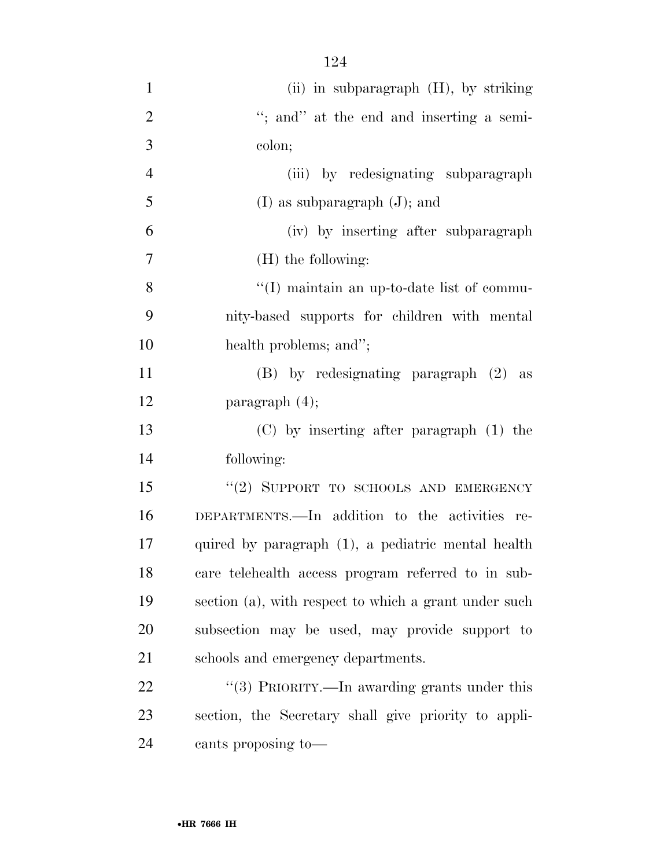| $\mathbf{1}$   | (ii) in subparagraph $(H)$ , by striking              |
|----------------|-------------------------------------------------------|
| $\overline{2}$ | "; and" at the end and inserting a semi-              |
| 3              | colon;                                                |
| $\overline{4}$ | (iii) by redesignating subparagraph                   |
| 5              | $(I)$ as subparagraph $(J)$ ; and                     |
| 6              | (iv) by inserting after subparagraph                  |
| 7              | $(H)$ the following:                                  |
| 8              | "(I) maintain an up-to-date list of commu-            |
| 9              | nity-based supports for children with mental          |
| 10             | health problems; and";                                |
| 11             | (B) by redesignating paragraph (2) as                 |
| 12             | paragraph $(4)$ ;                                     |
| 13             | $(C)$ by inserting after paragraph $(1)$ the          |
| 14             | following:                                            |
| 15             | "(2) SUPPORT TO SCHOOLS AND EMERGENCY                 |
| 16             | DEPARTMENTS.—In addition to the activities re-        |
| 17             | quired by paragraph (1), a pediatric mental health    |
| 18             | care telehealth access program referred to in sub-    |
| 19             | section (a), with respect to which a grant under such |
| 20             | subsection may be used, may provide support to        |
| 21             | schools and emergency departments.                    |
| 22             | "(3) PRIORITY.—In awarding grants under this          |
| 23             | section, the Secretary shall give priority to appli-  |
|                |                                                       |

cants proposing to—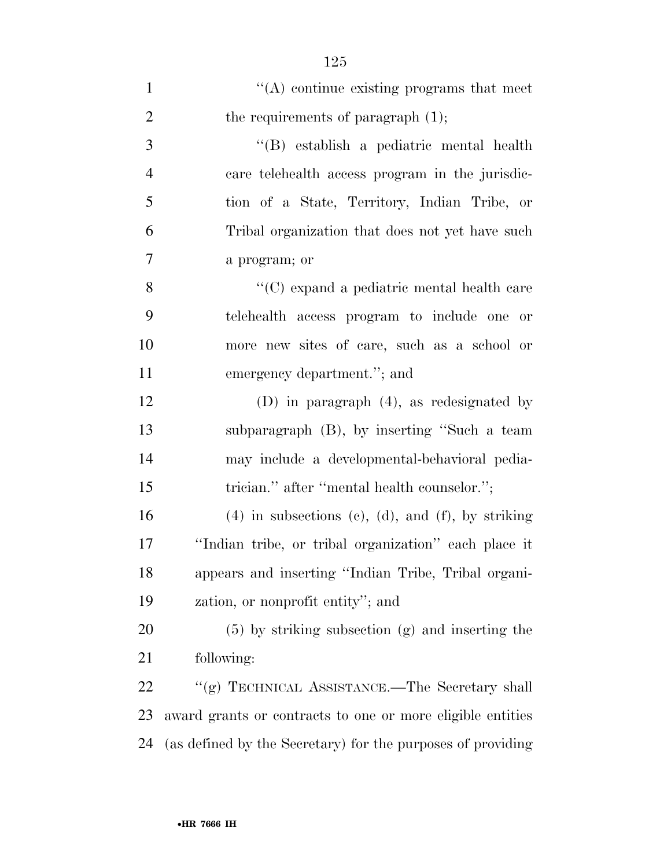| $\mathbf{1}$   | $\lq\lq$ continue existing programs that meet                |
|----------------|--------------------------------------------------------------|
| $\overline{2}$ | the requirements of paragraph $(1)$ ;                        |
| 3              | "(B) establish a pediatric mental health                     |
| $\overline{4}$ | care telehealth access program in the jurisdic-              |
| 5              | tion of a State, Territory, Indian Tribe, or                 |
| 6              | Tribal organization that does not yet have such              |
| $\tau$         | a program; or                                                |
| 8              | $\lq\lq$ expand a pediatric mental health care               |
| 9              | telehealth access program to include one or                  |
| 10             | more new sites of care, such as a school or                  |
| 11             | emergency department."; and                                  |
| 12             | (D) in paragraph $(4)$ , as redesignated by                  |
| 13             | subparagraph (B), by inserting "Such a team                  |
| 14             | may include a developmental-behavioral pedia-                |
| 15             | trician." after "mental health counselor.";                  |
| 16             | $(4)$ in subsections $(e)$ , $(d)$ , and $(f)$ , by striking |
| 17             | "Indian tribe, or tribal organization" each place it         |
| 18             | appears and inserting "Indian Tribe, Tribal organi-          |
| 19             | zation, or nonprofit entity"; and                            |
| 20             | $(5)$ by striking subsection $(g)$ and inserting the         |
| 21             | following:                                                   |
| 22             | "(g) TECHNICAL ASSISTANCE.—The Secretary shall               |
| 23             | award grants or contracts to one or more eligible entities   |
| 24             | (as defined by the Secretary) for the purposes of providing  |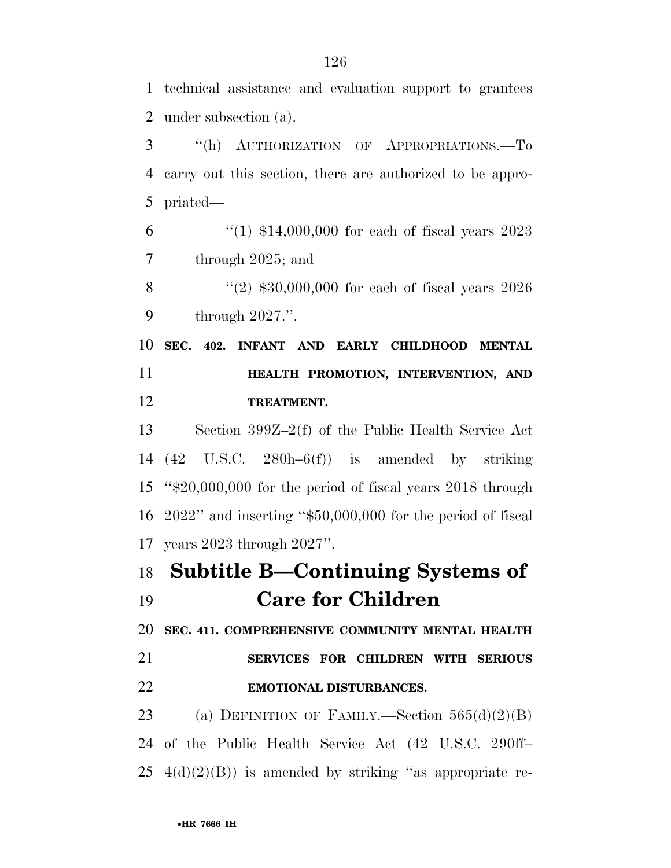technical assistance and evaluation support to grantees under subsection (a).

 ''(h) AUTHORIZATION OF APPROPRIATIONS.—To carry out this section, there are authorized to be appro-priated—

 ''(1) \$14,000,000 for each of fiscal years 2023 through 2025; and

8 "(2) \$30,000,000 for each of fiscal years 2026 through 2027.''.

 **SEC. 402. INFANT AND EARLY CHILDHOOD MENTAL HEALTH PROMOTION, INTERVENTION, AND TREATMENT.** 

 Section 399Z–2(f) of the Public Health Service Act (42 U.S.C. 280h–6(f)) is amended by striking ''\$20,000,000 for the period of fiscal years 2018 through 2022'' and inserting ''\$50,000,000 for the period of fiscal years 2023 through 2027''.

## **Subtitle B—Continuing Systems of**

**Care for Children** 

#### **SEC. 411. COMPREHENSIVE COMMUNITY MENTAL HEALTH**

### **SERVICES FOR CHILDREN WITH SERIOUS EMOTIONAL DISTURBANCES.**

23 (a) DEFINITION OF FAMILY.—Section  $565(d)(2)(B)$  of the Public Health Service Act (42 U.S.C. 290ff– 25  $4(d)(2)(B)$  is amended by striking "as appropriate re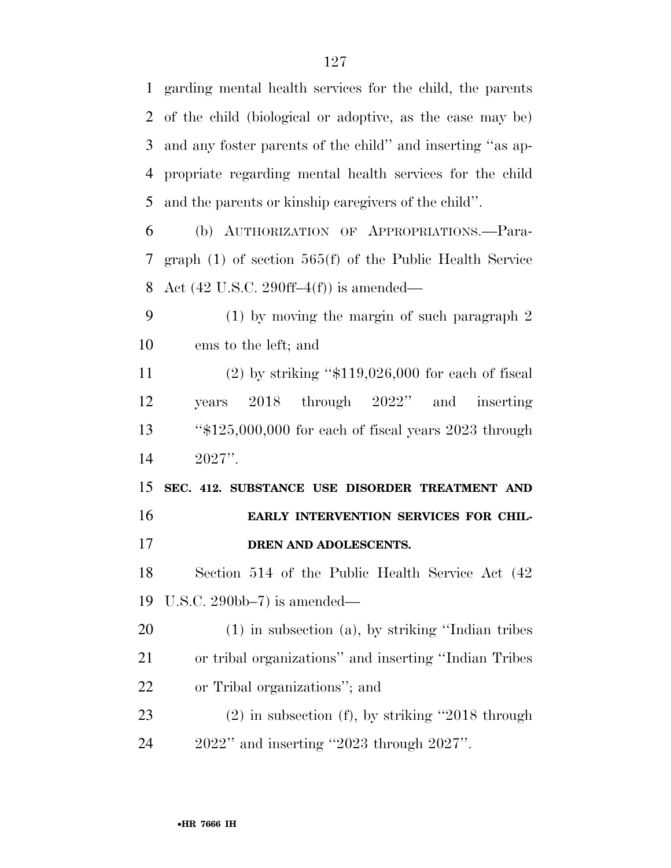garding mental health services for the child, the parents of the child (biological or adoptive, as the case may be) and any foster parents of the child'' and inserting ''as ap- propriate regarding mental health services for the child and the parents or kinship caregivers of the child''.

 (b) AUTHORIZATION OF APPROPRIATIONS.—Para- graph (1) of section 565(f) of the Public Health Service Act (42 U.S.C. 290ff–4(f)) is amended—

 (1) by moving the margin of such paragraph 2 ems to the left; and

 (2) by striking ''\$119,026,000 for each of fiscal years 2018 through 2022'' and inserting ''\$125,000,000 for each of fiscal years 2023 through 2027''.

 **SEC. 412. SUBSTANCE USE DISORDER TREATMENT AND EARLY INTERVENTION SERVICES FOR CHIL-DREN AND ADOLESCENTS.** 

 Section 514 of the Public Health Service Act (42 U.S.C. 290bb–7) is amended—

 (1) in subsection (a), by striking ''Indian tribes or tribal organizations'' and inserting ''Indian Tribes or Tribal organizations''; and

 (2) in subsection (f), by striking ''2018 through 2022'' and inserting ''2023 through 2027''.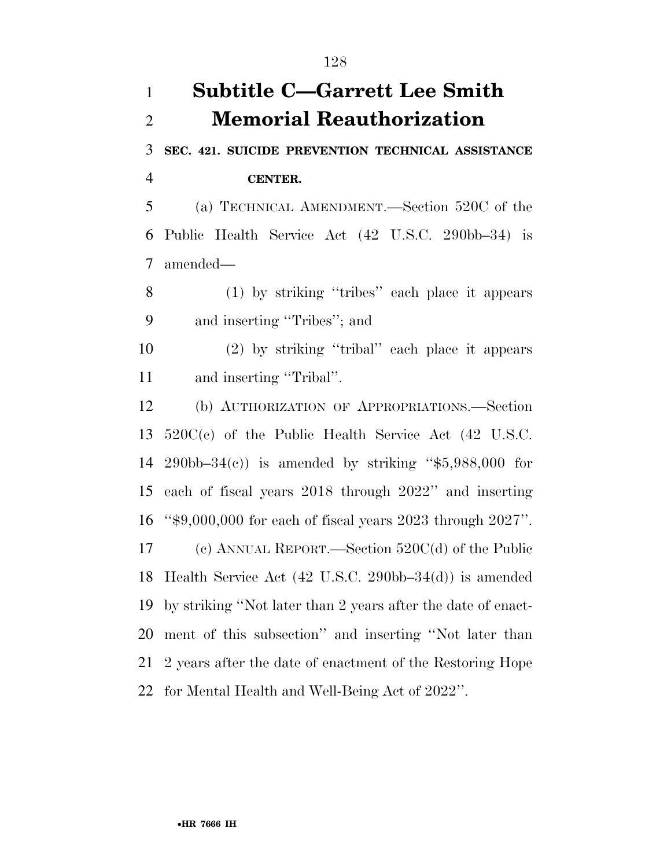# **Subtitle C—Garrett Lee Smith Memorial Reauthorization**

**SEC. 421. SUICIDE PREVENTION TECHNICAL ASSISTANCE** 

**CENTER.** 

 (a) TECHNICAL AMENDMENT.—Section 520C of the Public Health Service Act (42 U.S.C. 290bb–34) is amended—

 (1) by striking ''tribes'' each place it appears and inserting ''Tribes''; and

 (2) by striking ''tribal'' each place it appears and inserting ''Tribal''.

 (b) AUTHORIZATION OF APPROPRIATIONS.—Section 520C(c) of the Public Health Service Act (42 U.S.C. 290bb–34(c)) is amended by striking ''\$5,988,000 for each of fiscal years 2018 through 2022'' and inserting ''\$9,000,000 for each of fiscal years 2023 through 2027''. (c) ANNUAL REPORT.—Section 520C(d) of the Public Health Service Act (42 U.S.C. 290bb–34(d)) is amended by striking ''Not later than 2 years after the date of enact- ment of this subsection'' and inserting ''Not later than 2 years after the date of enactment of the Restoring Hope for Mental Health and Well-Being Act of 2022''.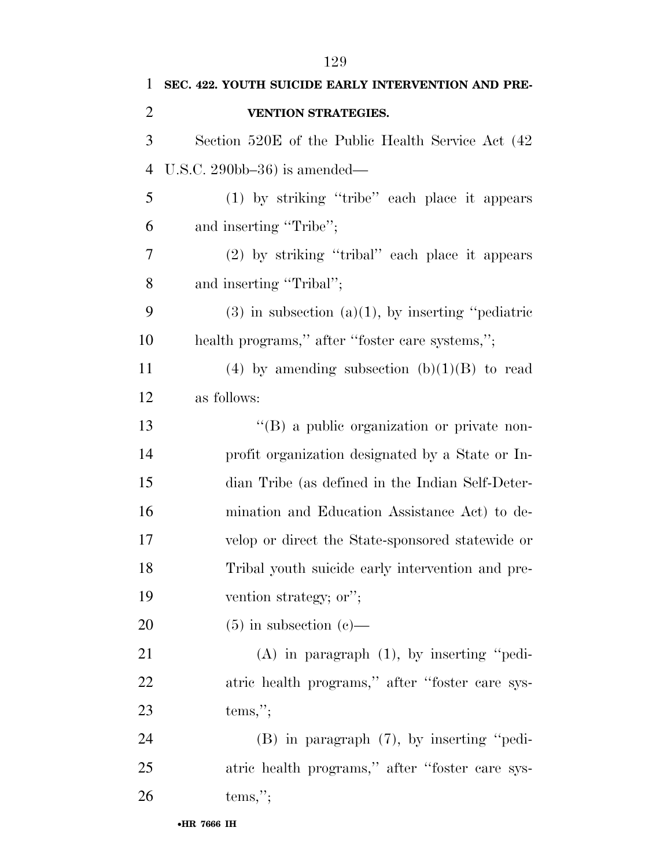| 1              | SEC. 422. YOUTH SUICIDE EARLY INTERVENTION AND PRE-    |
|----------------|--------------------------------------------------------|
| $\overline{2}$ | VENTION STRATEGIES.                                    |
| 3              | Section 520E of the Public Health Service Act (42)     |
| $\overline{4}$ | U.S.C. $290bb-36$ ) is amended—                        |
| 5              | (1) by striking "tribe" each place it appears          |
| 6              | and inserting "Tribe";                                 |
| 7              | (2) by striking "tribal" each place it appears         |
| 8              | and inserting "Tribal";                                |
| 9              | $(3)$ in subsection $(a)(1)$ , by inserting "pediatric |
| 10             | health programs," after "foster care systems,";        |
| 11             | (4) by amending subsection $(b)(1)(B)$ to read         |
| 12             | as follows:                                            |
| 13             | "(B) a public organization or private non-             |
| 14             | profit organization designated by a State or In-       |
| 15             | dian Tribe (as defined in the Indian Self-Deter-       |
| 16             | mination and Education Assistance Act) to de-          |
| 17             | velop or direct the State-sponsored statewide or       |
| 18             | Tribal youth suicide early intervention and pre-       |
| 19             | vention strategy; or";                                 |
| 20             | $(5)$ in subsection $(e)$ —                            |
| 21             | $(A)$ in paragraph $(1)$ , by inserting "pedi-         |
| 22             | atric health programs," after "foster care sys-        |
| 23             | tems,";                                                |
| 24             | $(B)$ in paragraph $(7)$ , by inserting "pedi-         |
| 25             | atric health programs," after "foster care sys-        |
| 26             | tems,";                                                |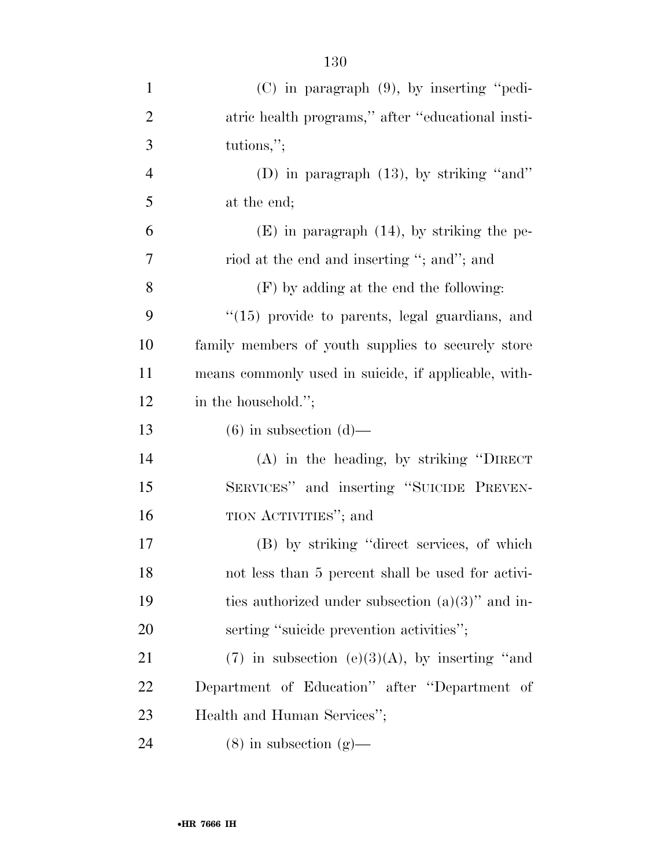| $\mathbf{1}$   | $(C)$ in paragraph $(9)$ , by inserting "pedi-       |
|----------------|------------------------------------------------------|
| $\overline{2}$ | atric health programs," after "educational insti-    |
| 3              | tutions,";                                           |
| $\overline{4}$ | (D) in paragraph $(13)$ , by striking "and"          |
| 5              | at the end;                                          |
| 6              | $(E)$ in paragraph $(14)$ , by striking the pe-      |
| 7              | riod at the end and inserting "; and"; and           |
| 8              | (F) by adding at the end the following:              |
| 9              | "(15) provide to parents, legal guardians, and       |
| 10             | family members of youth supplies to securely store   |
| 11             | means commonly used in suicide, if applicable, with- |
| 12             | in the household.";                                  |
| 13             | $(6)$ in subsection $(d)$ —                          |
| 14             | $(A)$ in the heading, by striking "DIRECT"           |
| 15             | SERVICES" and inserting "SUICIDE PREVEN-             |
| 16             | TION ACTIVITIES"; and                                |
| 17             | (B) by striking "direct services, of which           |
| 18             | not less than 5 percent shall be used for activi-    |
| 19             | ties authorized under subsection $(a)(3)$ " and in-  |
| 20             | serting "suicide prevention activities";             |
| 21             | $(7)$ in subsection $(e)(3)(A)$ , by inserting "and  |
| 22             | Department of Education" after "Department of        |
| 23             | Health and Human Services";                          |
| 24             | $(8)$ in subsection $(g)$ —                          |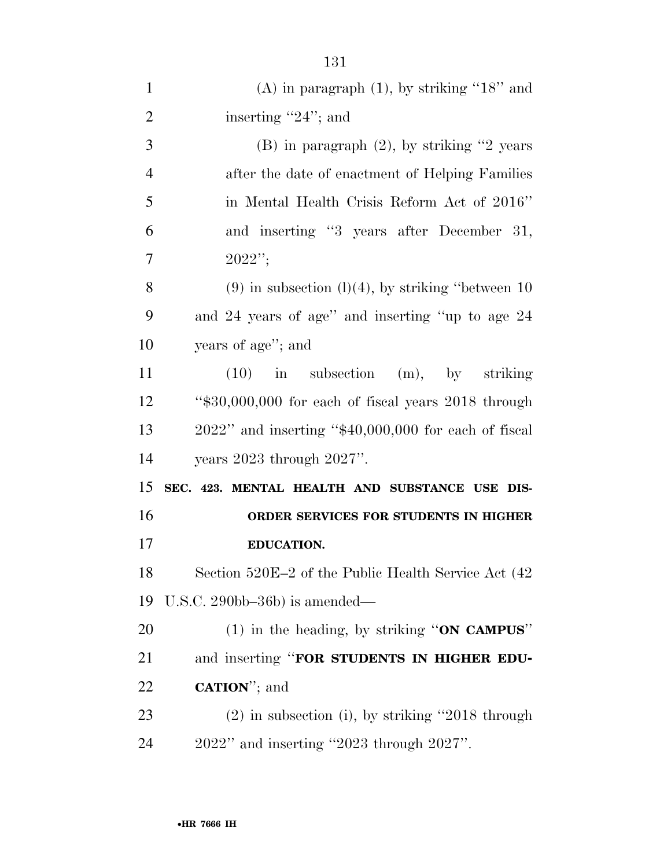| 1              | (A) in paragraph $(1)$ , by striking "18" and             |
|----------------|-----------------------------------------------------------|
| $\overline{2}$ | inserting "24"; and                                       |
| 3              | $(B)$ in paragraph $(2)$ , by striking "2 years"          |
| $\overline{4}$ | after the date of enactment of Helping Families           |
| 5              | in Mental Health Crisis Reform Act of 2016"               |
| 6              | and inserting "3 years after December 31,                 |
| 7              | $2022$ ";                                                 |
| 8              | $(9)$ in subsection $(l)(4)$ , by striking "between 10    |
| 9              | and 24 years of age" and inserting "up to age 24          |
| 10             | years of age"; and                                        |
| 11             | $(10)$ in subsection $(m)$ , by striking                  |
| 12             | " $$30,000,000$ for each of fiscal years $2018$ through   |
| 13             | $2022$ " and inserting " $$40,000,000$ for each of fiscal |
| 14             | years $2023$ through $2027$ ".                            |
| 15             | SEC. 423. MENTAL HEALTH AND SUBSTANCE USE DIS-            |
| 16             | ORDER SERVICES FOR STUDENTS IN HIGHER                     |
| 17             | <b>EDUCATION.</b>                                         |
| 18             | Section 520E-2 of the Public Health Service Act (42       |
| 19             | U.S.C. $290bb-36b$ is amended—                            |
| 20             | (1) in the heading, by striking "ON CAMPUS"               |
| 21             | and inserting "FOR STUDENTS IN HIGHER EDU-                |
| 22             | <b>CATION</b> "; and                                      |
| 23             | $(2)$ in subsection (i), by striking "2018 through        |
| 24             | $2022"$ and inserting "2023 through $2027"$ .             |